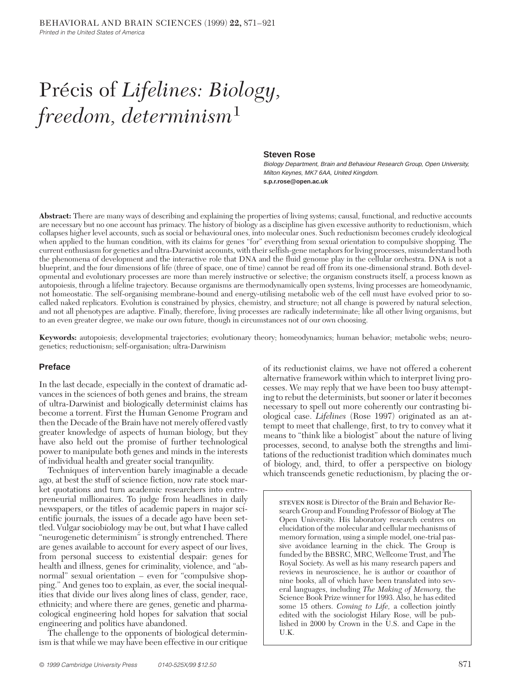# Précis of *Lifelines: Biology, freedom, determinism*<sup>1</sup>

## **Steven Rose**

Biology Department, Brain and Behaviour Research Group, Open University, Milton Keynes, MK7 6AA, United Kingdom. **s.p.r.rose@open.ac.uk**

**Abstract:** There are many ways of describing and explaining the properties of living systems; causal, functional, and reductive accounts are necessary but no one account has primacy. The history of biology as a discipline has given excessive authority to reductionism, which collapses higher level accounts, such as social or behavioural ones, into molecular ones. Such reductionism becomes crudely ideological when applied to the human condition, with its claims for genes "for" everything from sexual orientation to compulsive shopping. The current enthusiasm for genetics and ultra-Darwinist accounts, with their selfish-gene metaphors for living processes, misunderstand both the phenomena of development and the interactive role that DNA and the fluid genome play in the cellular orchestra. DNA is not a blueprint, and the four dimensions of life (three of space, one of time) cannot be read off from its one-dimensional strand. Both developmental and evolutionary processes are more than merely instructive or selective; the organism constructs itself, a process known as autopoiesis, through a lifeline trajectory. Because organisms are thermodynamically open systems, living processes are homeodynamic, not homeostatic. The self-organising membrane-bound and energy-utilising metabolic web of the cell must have evolved prior to socalled naked replicators. Evolution is constrained by physics, chemistry, and structure; not all change is powered by natural selection, and not all phenotypes are adaptive. Finally, therefore, living processes are radically indeterminate; like all other living organisms, but to an even greater degree, we make our own future, though in circumstances not of our own choosing.

**Keywords:** autopoiesis; developmental trajectories; evolutionary theory; homeodynamics; human behavior; metabolic webs; neurogenetics; reductionism; self-organisation; ultra-Darwinism

## **Preface**

In the last decade, especially in the context of dramatic advances in the sciences of both genes and brains, the stream of ultra-Darwinist and biologically determinist claims has become a torrent. First the Human Genome Program and then the Decade of the Brain have not merely offered vastly greater knowledge of aspects of human biology, but they have also held out the promise of further technological power to manipulate both genes and minds in the interests of individual health and greater social tranquility.

Techniques of intervention barely imaginable a decade ago, at best the stuff of science fiction, now rate stock market quotations and turn academic researchers into entrepreneurial millionaires. To judge from headlines in daily newspapers, or the titles of academic papers in major scientific journals, the issues of a decade ago have been settled. Vulgar sociobiology may be out, but what I have called "neurogenetic determinism" is strongly entrenched. There are genes available to account for every aspect of our lives, from personal success to existential despair: genes for health and illness, genes for criminality, violence, and "abnormal" sexual orientation – even for "compulsive shopping." And genes too to explain, as ever, the social inequalities that divide our lives along lines of class, gender, race, ethnicity; and where there are genes, genetic and pharmacological engineering hold hopes for salvation that social engineering and politics have abandoned.

The challenge to the opponents of biological determinism is that while we may have been effective in our critique

of its reductionist claims, we have not offered a coherent alternative framework within which to interpret living processes. We may reply that we have been too busy attempting to rebut the determinists, but sooner or later it becomes necessary to spell out more coherently our contrasting biological case. *Lifelines* (Rose 1997) originated as an attempt to meet that challenge, first, to try to convey what it means to "think like a biologist" about the nature of living processes, second, to analyse both the strengths and limitations of the reductionist tradition which dominates much of biology, and, third, to offer a perspective on biology which transcends genetic reductionism, by placing the or-

steven rose is Director of the Brain and Behavior Research Group and Founding Professor of Biology at The Open University. His laboratory research centres on elucidation of the molecular and cellular mechanisms of memory formation, using a simple model, one-trial passive avoidance learning in the chick. The Group is funded by the BBSRC, MRC, Wellcome Trust, and The Royal Society. As well as his many research papers and reviews in neuroscience, he is author or coauthor of nine books, all of which have been translated into several languages, including *The Making of Memory,* the Science Book Prize winner for 1993. Also, he has edited some 15 others. *Coming to Life,* a collection jointly edited with the sociologist Hilary Rose, will be published in 2000 by Crown in the U.S. and Cape in the U.K.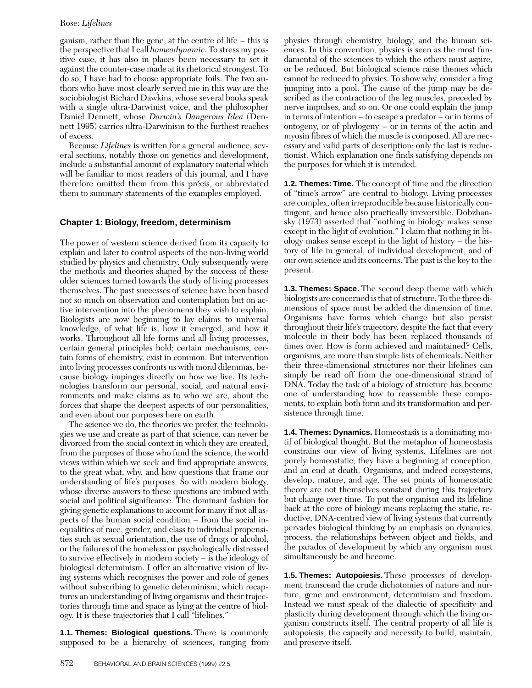## Rose: *Lifelines*

ganism, rather than the gene, at the centre of life – this is the perspective that I call *homeodynamic.* To stress my positive case, it has also in places been necessary to set it against the counter-case made at its rhetorical strongest. To do so, I have had to choose appropriate foils. The two authors who have most clearly served me in this way are the sociobiologist Richard Dawkins, whose several books speak with a single ultra-Darwinist voice, and the philosopher Daniel Dennett, whose *Darwin's Dangerous Idea* (Dennett 1995) carries ultra-Darwinism to the furthest reaches of excess.

Because *Lifelines* is written for a general audience, several sections, notably those on genetics and development, include a substantial amount of explanatory material which will be familiar to most readers of this journal, and I have therefore omitted them from this précis, or abbreviated them to summary statements of the examples employed.

## **Chapter 1: Biology, freedom, determinism**

The power of western science derived from its capacity to explain and later to control aspects of the non-living world studied by physics and chemistry. Only subsequently were the methods and theories shaped by the success of these older sciences turned towards the study of living processes themselves. The past successes of science have been based not so much on observation and contemplation but on active intervention into the phenomena they wish to explain. Biologists are now beginning to lay claims to universal knowledge, of what life is, how it emerged, and how it works. Throughout all life forms and all living processes, certain general principles hold; certain mechanisms, certain forms of chemistry, exist in common. But intervention into living processes confronts us with moral dilemmas, because biology impinges directly on how we live. Its technologies transform our personal, social, and natural environments and make claims as to who we are, about the forces that shape the deepest aspects of our personalities, and even about our purposes here on earth.

The science we do, the theories we prefer, the technologies we use and create as part of that science, can never be divorced from the social context in which they are created, from the purposes of those who fund the science, the world views within which we seek and find appropriate answers, to the great what, why, and how questions that frame our understanding of life's purposes. So with modern biology, whose diverse answers to these questions are imbued with social and political significance. The dominant fashion for giving genetic explanations to account for many if not all aspects of the human social condition – from the social inequalities of race, gender, and class to individual propensities such as sexual orientation, the use of drugs or alcohol, or the failures of the homeless or psychologically distressed to survive effectively in modern society – is the ideology of biological determinism. I offer an alternative vision of living systems which recognises the power and role of genes without subscribing to genetic determinism, which recaptures an understanding of living organisms and their trajectories through time and space as lying at the centre of biology. It is these trajectories that I call "lifelines."

**1.1. Themes: Biological questions.** There is commonly supposed to be a hierarchy of sciences, ranging from physics through chemistry, biology, and the human sciences. In this convention, physics is seen as the most fundamental of the sciences to which the others must aspire, or be reduced. But biological science raise themes which cannot be reduced to physics. To show why, consider a frog jumping into a pool. The cause of the jump may be described as the contraction of the leg muscles, preceded by nerve impulses, and so on. Or one could explain the jump in terms of intention – to escape a predator – or in terms of ontogeny, or of phylogeny – or in terms of the actin and myosin fibres of which the muscle is composed. All are necessary and valid parts of description; only the last is reductionist. Which explanation one finds satisfying depends on the purposes for which it is intended.

**1.2. Themes:Time.** The concept of time and the direction of "time's arrow" are central to biology. Living processes are complex, often irreproducible because historically contingent, and hence also practically irreversible. Dobzhansky (1973) asserted that "nothing in biology makes sense except in the light of evolution." I claim that nothing in biology makes sense except in the light of history – the history of life in general, of individual development, and of our own science and its concerns. The past is the key to the present.

**1.3. Themes: Space.** The second deep theme with which biologists are concerned is that of structure. To the three dimensions of space must be added the dimension of time. Organisms have forms which change but also persist throughout their life's trajectory, despite the fact that every molecule in their body has been replaced thousands of times over. How is form achieved and maintained? Cells, organisms, are more than simple lists of chemicals. Neither their three-dimensional structures nor their lifelines can simply be read off from the one-dimensional strand of DNA. Today the task of a biology of structure has become one of understanding how to reassemble these components, to explain both form and its transformation and persistence through time.

**1.4. Themes: Dynamics.** Homeostasis is a dominating motif of biological thought. But the metaphor of homeostasis constrains our view of living systems. Lifelines are not purely homeostatic, they have a beginning at conception, and an end at death. Organisms, and indeed ecosystems, develop, mature, and age. The set points of homeostatic theory are not themselves constant during this trajectory but change over time. To put the organism and its lifeline back at the core of biology means replacing the static, reductive, DNA-centred view of living systems that currently pervades biological thinking by an emphasis on dynamics, process, the relationships between object and fields, and the paradox of development by which any organism must simultaneously be and become.

**1.5. Themes: Autopoiesis.** These processes of development transcend the crude dichotomies of nature and nurture, gene and environment, determinism and freedom. Instead we must speak of the dialectic of specificity and plasticity during development through which the living organism constructs itself. The central property of all life is autopoiesis, the capacity and necessity to build, maintain, and preserve itself.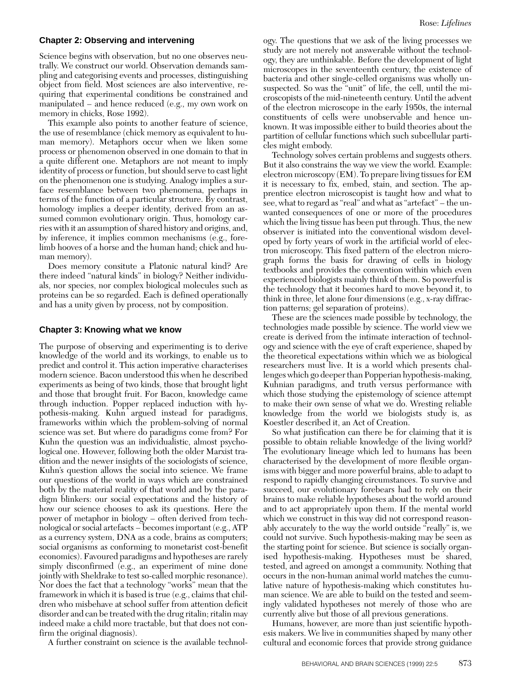#### **Chapter 2: Observing and intervening**

Science begins with observation, but no one observes neutrally. We construct our world. Observation demands sampling and categorising events and processes, distinguishing object from field. Most sciences are also interventive, requiring that experimental conditions be constrained and manipulated – and hence reduced (e.g., my own work on memory in chicks, Rose 1992).

This example also points to another feature of science, the use of resemblance (chick memory as equivalent to human memory). Metaphors occur when we liken some process or phenomenon observed in one domain to that in a quite different one. Metaphors are not meant to imply identity of process or function, but should serve to cast light on the phenomenon one is studying. Analogy implies a surface resemblance between two phenomena, perhaps in terms of the function of a particular structure. By contrast, homology implies a deeper identity, derived from an assumed common evolutionary origin. Thus, homology carries with it an assumption of shared history and origins, and, by inference, it implies common mechanisms (e.g., forelimb hooves of a horse and the human hand; chick and human memory).

Does memory consitute a Platonic natural kind? Are there indeed "natural kinds" in biology? Neither individuals, nor species, nor complex biological molecules such as proteins can be so regarded. Each is defined operationally and has a unity given by process, not by composition.

#### **Chapter 3: Knowing what we know**

The purpose of observing and experimenting is to derive knowledge of the world and its workings, to enable us to predict and control it. This action imperative characterises modern science. Bacon understood this when he described experiments as being of two kinds, those that brought light and those that brought fruit. For Bacon, knowledge came through induction. Popper replaced induction with hypothesis-making. Kuhn argued instead for paradigms, frameworks within which the problem-solving of normal science was set. But where do paradigms come from? For Kuhn the question was an individualistic, almost psychological one. However, following both the older Marxist tradition and the newer insights of the sociologists of science, Kuhn's question allows the social into science. We frame our questions of the world in ways which are constrained both by the material reality of that world and by the paradigm blinkers: our social expectations and the history of how our science chooses to ask its questions. Here the power of metaphor in biology – often derived from technological or social artefacts – becomes important (e.g., ATP as a currency system, DNA as a code, brains as computers; social organisms as conforming to monetarist cost-benefit economics). Favoured paradigms and hypotheses are rarely simply disconfirmed (e.g., an experiment of mine done jointly with Sheldrake to test so-called morphic resonance). Nor does the fact that a technology "works" mean that the framework in which it is based is true (e.g., claims that children who misbehave at school suffer from attention deficit disorder and can be treated with the drug ritalin; ritalin may indeed make a child more tractable, but that does not confirm the original diagnosis).

A further constraint on science is the available technol-

ogy. The questions that we ask of the living processes we study are not merely not answerable without the technology, they are unthinkable. Before the development of light microscopes in the seventeenth century, the existence of bacteria and other single-celled organisms was wholly unsuspected. So was the "unit" of life, the cell, until the microscopists of the mid-nineteenth century. Until the advent of the electron microscope in the early 1950s, the internal constituents of cells were unobservable and hence unknown. It was impossible either to build theories about the partition of cellular functions which such subcellular particles might embody.

Technology solves certain problems and suggests others. But it also constrains the way we view the world. Example: electron microscopy (EM). To prepare living tissues for EM it is necessary to fix, embed, stain, and section. The apprentice electron microscopist is taught how and what to see, what to regard as "real" and what as "artefact" – the unwanted consequences of one or more of the procedures which the living tissue has been put through. Thus, the new observer is initiated into the conventional wisdom developed by forty years of work in the artificial world of electron microscopy. This fixed pattern of the electron micrograph forms the basis for drawing of cells in biology textbooks and provides the convention within which even experienced biologists mainly think of them. So powerful is the technology that it becomes hard to move beyond it, to think in three, let alone four dimensions (e.g., x-ray diffraction patterns; gel separation of proteins).

These are the sciences made possible by technology, the technologies made possible by science. The world view we create is derived from the intimate interaction of technology and science with the eye of craft experience, shaped by the theoretical expectations within which we as biological researchers must live. It is a world which presents challenges which go deeper than Popperian hypothesis-making, Kuhnian paradigms, and truth versus performance with which those studying the epistemology of science attempt to make their own sense of what we do. Wresting reliable knowledge from the world we biologists study is, as Koestler described it, an Act of Creation.

So what justification can there be for claiming that it is possible to obtain reliable knowledge of the living world? The evolutionary lineage which led to humans has been characterised by the development of more flexible organisms with bigger and more powerful brains, able to adapt to respond to rapidly changing circumstances. To survive and succeed, our evolutionary forebears had to rely on their brains to make reliable hypotheses about the world around and to act appropriately upon them. If the mental world which we construct in this way did not correspond reasonably accurately to the way the world outside "really" is, we could not survive. Such hypothesis-making may be seen as the starting point for science. But science is socially organised hypothesis-making. Hypotheses must be shared, tested, and agreed on amongst a community. Nothing that occurs in the non-human animal world matches the cumulative nature of hypothesis-making which constitutes human science. We are able to build on the tested and seemingly validated hypotheses not merely of those who are currently alive but those of all previous generations.

Humans, however, are more than just scientific hypothesis makers. We live in communities shaped by many other cultural and economic forces that provide strong guidance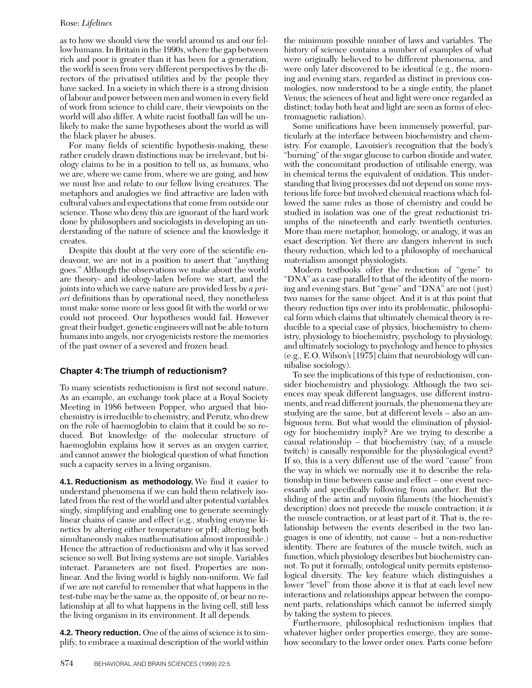## Rose: *Lifelines*

as to how we should view the world around us and our fellow humans. In Britain in the 1990s, where the gap between rich and poor is greater than it has been for a generation, the world is seen from very different perspectives by the directors of the privatised utilities and by the people they have sacked. In a society in which there is a strong division of labour and power between men and women in every field of work from science to child care, their viewpoints on the world will also differ. A white racist football fan will be unlikely to make the same hypotheses about the world as will the black player he abuses.

For many fields of scientific hypothesis-making, these rather crudely drawn distinctions may be irrelevant, but biology claims to be in a position to tell us, as humans, who we are, where we came from, where we are going, and how we must live and relate to our fellow living creatures. The metaphors and analogies we find attractive are laden with cultural values and expectations that come from outside our science. Those who deny this are ignorant of the hard work done by philosophers and sociologists in developing an understanding of the nature of science and the knowledge it creates.

Despite this doubt at the very core of the scientific endeavour, we are not in a position to assert that "anything goes." Although the observations we make about the world are theory- and ideology-laden before we start, and the joints into which we carve nature are provided less by *a priori* definitions than by operational need, they nonetheless must make some more or less good fit with the world or we could not proceed. Our hypotheses would fail. However great their budget, genetic engineers will not be able to turn humans into angels, nor cryogenicists restore the memories of the past owner of a severed and frozen head.

## **Chapter 4:The triumph of reductionism?**

To many scientists reductionism is first not second nature. As an example, an exchange took place at a Royal Society Meeting in 1986 between Popper, who argued that biochemistry is irreducible to chemistry, and Perutz, who drew on the role of haemoglobin to claim that it could be so reduced. But knowledge of the molecular structure of haemoglobin explains how it serves as an oxygen carrier, and cannot answer the biological question of what function such a capacity serves in a living organism.

**4.1. Reductionism as methodology.** We find it easier to understand phenomena if we can hold them relatively isolated from the rest of the world and alter potential variables singly, simplifying and enabling one to generate seemingly linear chains of cause and effect (e.g., studying enzyme kinetics by altering either temperature or pH; altering both simultaneously makes mathematisation almost impossible.) Hence the attraction of reductionism and why it has served science so well. But living systems are not simple. Variables interact. Parameters are not fixed. Properties are nonlinear. And the living world is highly non-uniform. We fail if we are not careful to remember that what happens in the test-tube may be the same as, the opposite of, or bear no relationship at all to what happens in the living cell, still less the living organism in its environment. It all depends.

**4.2. Theory reduction.** One of the aims of science is to simplify, to embrace a maximal description of the world within the minimum possible number of laws and variables. The history of science contains a number of examples of what were originally believed to be different phenomena, and were only later discovered to be identical (e.g., the morning and evening stars, regarded as distinct in previous cosmologies, now understood to be a single entity, the planet Venus; the sciences of heat and light were once regarded as distinct; today both heat and light are seen as forms of electromagnetic radiation).

Some unifications have been immensely powerful, particularly at the interface between biochemistry and chemistry. For example, Lavoisier's recognition that the body's "burning" of the sugar glucose to carbon dioxide and water, with the concomitant production of utilisable energy, was in chemical terms the equivalent of oxidation. This understanding that living processes did not depend on some mysterious life force but involved chemical reactions which followed the same rules as those of chemistry and could be studied in isolation was one of the great reductionist triumphs of the nineteenth and early twentieth centuries. More than mere metaphor, homology, or analogy, it was an exact description. Yet there are dangers inherent in such theory reduction, which led to a philosophy of mechanical materialism amongst physiologists.

Modern textbooks offer the reduction of "gene" to "DNA" as a case parallel to that of the identity of the morning and evening stars. But "gene" and "DNA" are not (just) two names for the same object. And it is at this point that theory reduction tips over into its problematic, philosophical form which claims that ultimately chemical theory is reducible to a special case of physics, biochemistry to chemistry, physiology to biochemistry, psychology to physiology, and ultimately sociology to psychology and hence to physics (e.g., E.O. Wilson's [1975] claim that neurobiology will cannibalise sociology).

To see the implications of this type of reductionism, consider biochemistry and physiology. Although the two sciences may speak different languages, use different instruments, and read different journals, the phenomena they are studying are the same, but at different levels – also an ambiguous term. But what would the elimination of physiology for biochemistry imply? Are we trying to describe a causal relationship – that biochemistry (say, of a muscle twitch) is causally responsible for the physiological event? If so, this is a very different use of the word "cause" from the way in which we normally use it to describe the relationship in time between cause and effect – one event necessarily and specifically following from another. But the sliding of the actin and myosin filaments (the biochemist's description) does not precede the muscle contraction; it *is* the muscle contraction, or at least part of it. That is, the relationship between the events described in the two languages is one of identity, not cause – but a non-reductive identity. There are features of the muscle twitch, such as function, which physiology describes but biochemistry cannot. To put it formally, ontological unity permits epistemological diversity. The key feature which distinguishes a lower "level" from those above it is that at each level new interactions and relationships appear between the component parts, relationships which cannot be inferred simply by taking the system to pieces.

Furthermore, philosophical reductionism implies that whatever higher order properties emerge, they are somehow secondary to the lower order ones. Parts come before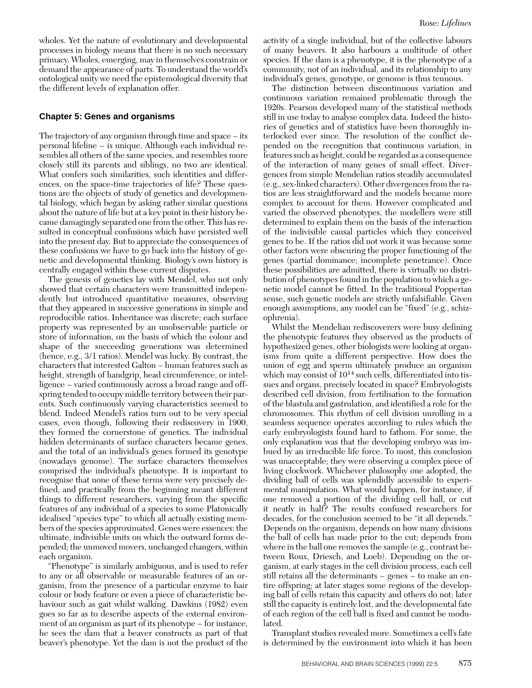wholes. Yet the nature of evolutionary and developmental processes in biology means that there is no such necessary primacy. Wholes, emerging, may in themselves constrain or demand the appearance of parts. To understand the world's ontological unity we need the epistemological diversity that the different levels of explanation offer.

## **Chapter 5: Genes and organisms**

The trajectory of any organism through time and space – its personal lifeline – is unique. Although each individual resembles all others of the same species, and resembles more closely still its parents and siblings, no two are identical. What confers such similarities, such identities and differences, on the space-time trajectories of life? These questions are the objects of study of genetics and developmental biology, which began by asking rather similar questions about the nature of life but at a key point in their history became damagingly separated one from the other. This has resulted in conceptual confusions which have persisted well into the present day. But to appreciate the consequences of these confusions we have to go back into the history of genetic and developmental thinking. Biology's own history is centrally engaged within these current disputes.

The genesis of genetics lay with Mendel, who not only showed that certain characters were transmitted independently but introduced quantitative measures, observing that they appeared in successive generations in simple and reproducible ratios. Inheritance was discrete; each surface property was represented by an unobservable particle or store of information, on the basis of which the colour and shape of the succeeding generations was determined (hence, e.g., 3/1 ratios). Mendel was lucky. By contrast, the characters that interested Galton – human features such as height, strength of handgrip, head circumference, or intelligence – varied continuously across a broad range and offspring tended to occupy middle territory between their parents. Such continuously varying characteristics seemed to blend. Indeed Mendel's ratios turn out to be very special cases, even though, following their rediscovery in 1900, they formed the cornerstone of genetics. The individual hidden determinants of surface characters became genes, and the total of an individual's genes formed its genotype (nowadays genome). The surface characters themselves comprised the individual's phenotype. It is important to recognise that none of these terms were very precisely defined, and practically from the beginning meant different things to different researchers, varying from the specific features of any individual of a species to some Platonically idealised "species type" to which all actually existing members of the species approximated. Genes were essences: the ultimate, indivisible units on which the outward forms depended; the unmoved movers, unchanged changers, within each organism.

"Phenotype" is similarly ambiguous, and is used to refer to any or all observable or measurable features of an organism, from the presence of a particular enzyme to hair colour or body feature or even a piece of characteristic behaviour such as gait whilst walking. Dawkins (1982) even goes so far as to describe aspects of the external environment of an organism as part of its phenotype – for instance, he sees the dam that a beaver constructs as part of that beaver's phenotype. Yet the dam is not the product of the

activity of a single individual, but of the collective labours of many beavers. It also harbours a multitude of other species. If the dam is a phenotype, it is the phenotype of a community, not of an individual, and its relationship to any individual's genes, genotype, or genome is thus tenuous.

The distinction between discontinuous variation and continuous variation remained problematic through the 1920s. Pearson developed many of the statistical methods still in use today to analyse complex data. Indeed the histories of genetics and of statistics have been thoroughly interlocked ever since. The resolution of the conflict depended on the recognition that continuous variation, in features such as height, could be regarded as a consequence of the interaction of many genes of small effect. Divergences from simple Mendelian ratios steadily accumulated (e.g., sex-linked characters). Other divergences from the ratios are less straightforward and the models became more complex to account for them. However complicated and varied the observed phenotypes, the modellers were still determined to explain them on the basis of the interaction of the indivisible causal particles which they conceived genes to be. If the ratios did not work it was because some other factors were obscuring the proper functioning of the genes (partial dominance; incomplete penetrance). Once these possibilities are admitted, there is virtually no distribution of phenotypes found in the population to which a genetic model cannot be fitted. In the traditional Popperian sense, such genetic models are strictly unfalsifiable. Given enough assumptions, any model can be "fixed" (e.g., schizophrenia).

Whilst the Mendelian rediscoverers were busy defining the phenotypic features they observed as the products of hypothesized genes, other biologists were looking at organisms from quite a different perspective. How does the union of egg and sperm ultimately produce an organism which may consist of  $10^{14}$  such cells, differentiated into tissues and organs, precisely located in space? Embryologists described cell division, from fertilisation to the formation of the blastula and gastrulation, and identified a role for the chromosomes. This rhythm of cell division unrolling in a seamless sequence operates according to rules which the early embryologists found hard to fathom. For some, the only explanation was that the developing embryo was imbued by an irreducible life force. To most, this conclusion was unacceptable; they were observing a complex piece of living clockwork. Whichever philosophy one adopted, the dividing ball of cells was splendidly accessible to experimental manipulation. What would happen, for instance, if one removed a portion of the dividing cell ball, or cut it neatly in half? The results confused researchers for decades, for the conclusion seemed to be "it all depends." Depends on the organism, depends on how many divisions the ball of cells has made prior to the cut; depends from where in the ball one removes the sample (e.g., contrast between Roux, Driesch, and Loeb). Depending on the organism, at early stages in the cell division process, each cell still retains all the determinants – genes – to make an entire offspring; at later stages some regions of the developing ball of cells retain this capacity and others do not; later still the capacity is entirely lost, and the developmental fate of each region of the cell ball is fixed and cannot be modulated.

Transplant studies revealed more. Sometimes a cell's fate is determined by the environment into which it has been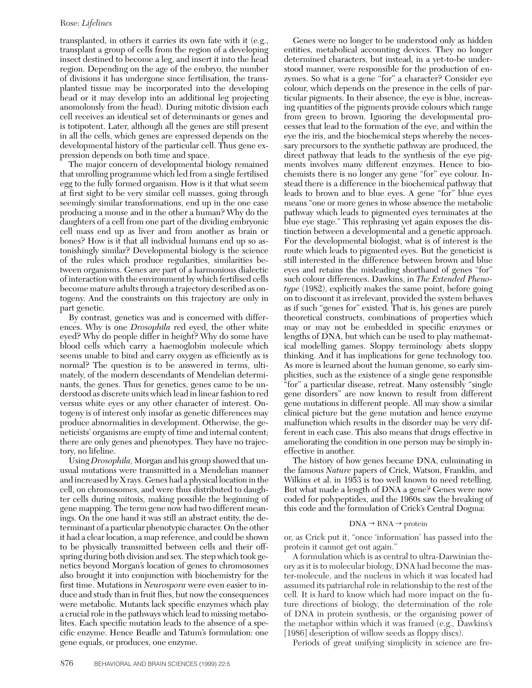## Rose: *Lifelines*

transplanted, in others it carries its own fate with it (e.g., transplant a group of cells from the region of a developing insect destined to become a leg, and insert it into the head region. Depending on the age of the embryo, the number of divisions it has undergone since fertilisation, the transplanted tissue may be incorporated into the developing head or it may develop into an additional leg projecting anomolously from the head). During mitotic division each cell receives an identical set of determinants or genes and is totipotent. Later, although all the genes are still present in all the cells, which genes are expressed depends on the developmental history of the particular cell. Thus gene expression depends on both time and space.

The major concern of developmental biology remained that unrolling programme which led from a single fertilised egg to the fully formed organism. How is it that what seem at first sight to be very similar cell masses, going through seemingly similar transformations, end up in the one case producing a mouse and in the other a human? Why do the daughters of a cell from one part of the dividing embryonic cell mass end up as liver and from another as brain or bones? How is it that all individual humans end up so astonishingly similar? Developmental biology is the science of the rules which produce regularities, similarities between organisms. Genes are part of a harmonious dialectic of interaction with the environment by which fertilised cells become mature adults through a trajectory described as ontogeny. And the constraints on this trajectory are only in part genetic.

By contrast, genetics was and is concerned with differences. Why is one *Drosophila* red eyed, the other white eyed? Why do people differ in height? Why do some have blood cells which carry a haemoglobin molecule which seems unable to bind and carry oxygen as efficiently as is normal? The question is to be answered in terms, ultimately, of the modern descendants of Mendelian determinants, the genes. Thus for genetics, genes came to be understood as discrete units which lead in linear fashion to red versus white eyes or any other character of interest. Ontogeny is of interest only insofar as genetic differences may produce abnormalities in development. Otherwise, the geneticists' organisms are empty of time and internal content; there are only genes and phenotypes. They have no trajectory, no lifeline.

Using *Drosophila,* Morgan and his group showed that unusual mutations were transmitted in a Mendelian manner and increased by X rays. Genes had a physical location in the cell, on chromosomes, and were thus distributed to daughter cells during mitosis, making possible the beginning of gene mapping. The term gene now had two different meanings. On the one hand it was still an abstract entity, the determinant of a particular phenotypic character. On the other it had a clear location, a map reference, and could be shown to be physically transmitted between cells and their offspring during both division and sex. The step which took genetics beyond Morgan's location of genes to chromosomes also brought it into conjunction with biochemistry for the first time. Mutations in *Neurospora* were even easier to induce and study than in fruit flies, but now the consequences were metabolic. Mutants lack specific enzymes which play a crucial role in the pathways which lead to missing metabolites. Each specific mutation leads to the absence of a specific enzyme. Hence Beadle and Tatum's formulation: one gene equals, or produces, one enzyme.

Genes were no longer to be understood only as hidden entities, metabolical accounting devices. They no longer determined characters, but instead, in a yet-to-be understood manner, were responsible for the production of enzymes. So what is a gene "for" a character? Consider eye colour, which depends on the presence in the cells of particular pigments. In their absence, the eye is blue, increasing quantities of the pigments provide colours which range from green to brown. Ignoring the developmental processes that lead to the formation of the eye, and within the eye the iris, and the biochemical steps whereby the necessary precursors to the synthetic pathway are produced, the direct pathway that leads to the synthesis of the eye pigments involves many different enzymes. Hence to biochemists there is no longer any gene "for" eye colour. Instead there is a difference in the biochemical pathway that leads to brown and to blue eyes. A gene "for" blue eyes means "one or more genes in whose absence the metabolic pathway which leads to pigmented eyes terminates at the blue eye stage." This rephrasing yet again exposes the distinction between a developmental and a genetic approach. For the developmental biologist, what is of interest is the route which leads to pigmented eyes. But the geneticist is still interested in the difference between brown and blue eyes and retains the misleading shorthand of genes "for" such colour differences. Dawkins, in *The Extended Phenotype* (1982), explicitly makes the same point, before going on to discount it as irrelevant, provided the system behaves as if such "genes for" existed. That is, his genes are purely theoretical constructs, combinations of properties which may or may not be embedded in specific enzymes or lengths of DNA, but which can be used to play mathematical modelling games. Sloppy terminology abets sloppy thinking. And it has implications for gene technology too. As more is learned about the human genome, so early simplicities, such as the existence of a single gene responsible "for" a particular disease, retreat. Many ostensibly "single gene disorders" are now known to result from different gene mutations in different people. All may show a similar clinical picture but the gene mutation and hence enzyme malfunction which results in the disorder may be very different in each case. This also means that drugs effective in ameliorating the condition in one person may be simply ineffective in another.

The history of how genes became DNA, culminating in the famous *Nature* papers of Crick, Watson, Franklin, and Wilkins et al. in 1953 is too well known to need retelling. But what made a length of DNA a gene? Genes were now coded for polypeptides, and the 1960s saw the breaking of this code and the formulation of Crick's Central Dogma:

#### $DNA \rightarrow RNA \rightarrow protein$

or, as Crick put it, "once 'information' has passed into the protein it cannot get out again."

A formulation which is as central to ultra-Darwinian theory as it is to molecular biology, DNA had become the master-molecule, and the nucleus in which it was located had assumed its patriarchal role in relationship to the rest of the cell. It is hard to know which had more impact on the future directions of biology, the determination of the role of DNA in protein synthesis, or the organising power of the metaphor within which it was framed (e.g., Dawkins's [1986] description of willow seeds as floppy discs).

Periods of great unifying simplicity in science are fre-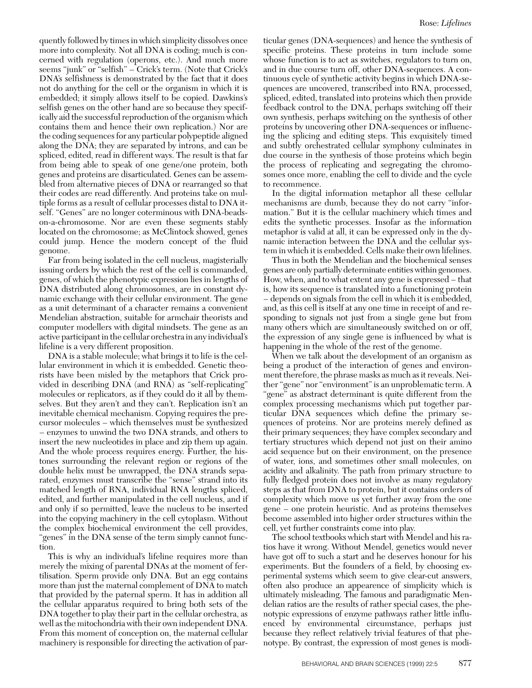quently followed by times in which simplicity dissolves once more into complexity. Not all DNA is coding; much is concerned with regulation (operons, etc.). And much more seems "junk" or "selfish" – Crick's term. (Note that Crick's DNA's selfishness is demonstrated by the fact that it does not do anything for the cell or the organism in which it is embedded; it simply allows itself to be copied. Dawkins's selfish genes on the other hand are so because they specifically aid the successful reproduction of the organism which contains them and hence their own replication.) Nor are the coding sequences for any particular polypeptide aligned along the DNA; they are separated by introns, and can be spliced, edited, read in different ways. The result is that far from being able to speak of one gene/one protein, both genes and proteins are disarticulated. Genes can be assembled from alternative pieces of DNA or rearranged so that their codes are read differently. And proteins take on multiple forms as a result of cellular processes distal to DNA itself. "Genes" are no longer coterminous with DNA-beadson-a-chromosome. Nor are even these segments stably located on the chromosome; as McClintock showed, genes could jump. Hence the modern concept of the fluid genome.

Far from being isolated in the cell nucleus, magisterially issuing orders by which the rest of the cell is commanded, genes, of which the phenotypic expression lies in lengths of DNA distributed along chromosomes, are in constant dynamic exchange with their cellular environment. The gene as a unit determinant of a character remains a convenient Mendelian abstraction, suitable for armchair theorists and computer modellers with digital mindsets. The gene as an active participant in the cellular orchestra in any individual's lifeline is a very different proposition.

DNA is a stable molecule; what brings it to life is the cellular environment in which it is embedded. Genetic theorists have been misled by the metaphors that Crick provided in describing DNA (and RNA) as "self-replicating" molecules or replicators, as if they could do it all by themselves. But they aren't and they can't. Replication isn't an inevitable chemical mechanism. Copying requires the precursor molecules – which themselves must be synthesized – enzymes to unwind the two DNA strands, and others to insert the new nucleotides in place and zip them up again. And the whole process requires energy. Further, the histones surrounding the relevant region or regions of the double helix must be unwrapped, the DNA strands separated, enzymes must transcribe the "sense" strand into its matched length of RNA, individual RNA lengths spliced, edited, and further manipulated in the cell nucleus, and if and only if so permitted, leave the nucleus to be inserted into the copying machinery in the cell cytoplasm. Without the complex biochemical environment the cell provides, "genes" in the DNA sense of the term simply cannot function.

This is why an individual's lifeline requires more than merely the mixing of parental DNAs at the moment of fertilisation. Sperm provide only DNA. But an egg contains more than just the maternal complement of DNA to match that provided by the paternal sperm. It has in addition all the cellular apparatus required to bring both sets of the DNA together to play their part in the cellular orchestra, as well as the mitochondria with their own independent DNA. From this moment of conception on, the maternal cellular machinery is responsible for directing the activation of par-

ticular genes (DNA-sequences) and hence the synthesis of specific proteins. These proteins in turn include some whose function is to act as switches, regulators to turn on, and in due course turn off, other DNA-sequences. A continuous cycle of synthetic activity begins in which DNA-sequences are uncovered, transcribed into RNA, processed, spliced, edited, translated into proteins which then provide feedback control to the DNA, perhaps switching off their own synthesis, perhaps switching on the synthesis of other proteins by uncovering other DNA-sequences or influencing the splicing and editing steps. This exquisitely timed and subtly orchestrated cellular symphony culminates in due course in the synthesis of those proteins which begin the process of replicating and segregating the chromosomes once more, enabling the cell to divide and the cycle to recommence.

In the digital information metaphor all these cellular mechanisms are dumb, because they do not carry "information." But it is the cellular machinery which times and edits the synthetic processes. Insofar as the information metaphor is valid at all, it can be expressed only in the dynamic interaction between the DNA and the cellular system in which it is embedded. Cells make their own lifelines.

Thus in both the Mendelian and the biochemical senses genes are only partially determinate entities within genomes. How, when, and to what extent any gene is expressed – that is, how its sequence is translated into a functioning protein – depends on signals from the cell in which it is embedded, and, as this cell is itself at any one time in receipt of and responding to signals not just from a single gene but from many others which are simultaneously switched on or off, the expression of any single gene is influenced by what is happening in the whole of the rest of the genome.

When we talk about the development of an organism as being a product of the interaction of genes and environment therefore, the phrase masks as much as it reveals. Neither "gene" nor "environment" is an unproblematic term. A "gene" as abstract determinant is quite different from the complex processing mechanisms which put together particular DNA sequences which define the primary sequences of proteins. Nor are proteins merely defined as their primary sequences; they have complex secondary and tertiary structures which depend not just on their amino acid sequence but on their environment, on the presence of water, ions, and sometimes other small molecules, on acidity and alkalinity. The path from primary structure to fully fledged protein does not involve as many regulatory steps as that from DNA to protein, but it contains orders of complexity which move us yet further away from the one gene – one protein heuristic. And as proteins themselves become assembled into higher order structures within the cell, yet further constraints come into play.

The school textbooks which start with Mendel and his ratios have it wrong. Without Mendel, genetics would never have got off to such a start and he deserves honour for his experiments. But the founders of a field, by choosing experimental systems which seem to give clear-cut answers, often also produce an appearence of simplicity which is ultimately misleading. The famous and paradigmatic Mendelian ratios are the results of rather special cases, the phenotypic expressions of enzyme pathways rather little influenced by environmental circumstance, perhaps just because they reflect relatively trivial features of that phenotype. By contrast, the expression of most genes is modi-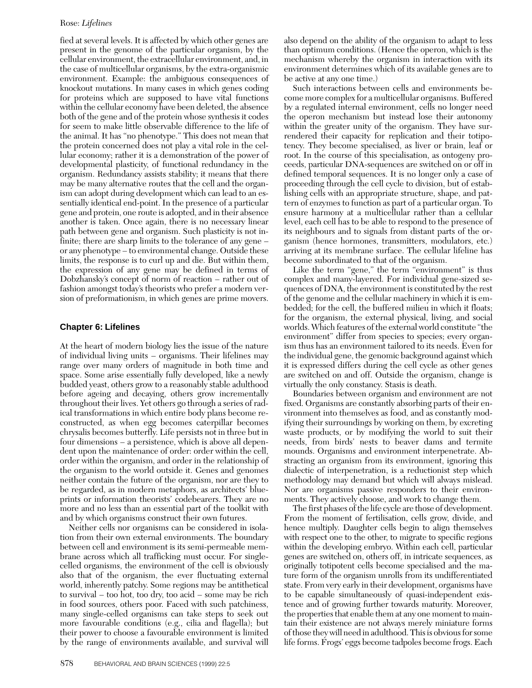## Rose: *Lifelines*

fied at several levels. It is affected by which other genes are present in the genome of the particular organism, by the cellular environment, the extracellular environment, and, in the case of multicellular organisms, by the extra-organismic environment. Example: the ambiguous consequences of knockout mutations. In many cases in which genes coding for proteins which are supposed to have vital functions within the cellular economy have been deleted, the absence both of the gene and of the protein whose synthesis it codes for seem to make little observable difference to the life of the animal. It has "no phenotype." This does not mean that the protein concerned does not play a vital role in the cellular economy; rather it is a demonstration of the power of developmental plasticity, of functional redundancy in the organism. Redundancy assists stability; it means that there may be many alternative routes that the cell and the organism can adopt during development which can lead to an essentially identical end-point. In the presence of a particular gene and protein, one route is adopted, and in their absence another is taken. Once again, there is no necessary linear path between gene and organism. Such plasticity is not infinite; there are sharp limits to the tolerance of any gene – or any phenotype – to environmental change. Outside these limits, the response is to curl up and die. But within them, the expression of any gene may be defined in terms of Dobzhansky's concept of norm of reaction – rather out of fashion amongst today's theorists who prefer a modern version of preformationism, in which genes are prime movers.

## **Chapter 6: Lifelines**

At the heart of modern biology lies the issue of the nature of individual living units – organisms. Their lifelines may range over many orders of magnitude in both time and space. Some arise essentially fully developed, like a newly budded yeast, others grow to a reasonably stable adulthood before ageing and decaying, others grow incrementally throughout their lives. Yet others go through a series of radical transformations in which entire body plans become reconstructed, as when egg becomes caterpillar becomes chrysalis becomes butterfly. Life persists not in three but in four dimensions – a persistence, which is above all dependent upon the maintenance of order: order within the cell, order within the organism, and order in the relationship of the organism to the world outside it. Genes and genomes neither contain the future of the organism, nor are they to be regarded, as in modern metaphors, as architects' blueprints or information theorists' codebearers. They are no more and no less than an essential part of the toolkit with and by which organisms construct their own futures.

Neither cells nor organisms can be considered in isolation from their own external environments. The boundary between cell and environment is its semi-permeable membrane across which all trafficking must occur. For singlecelled organisms, the environment of the cell is obviously also that of the organism, the ever fluctuating external world, inherently patchy. Some regions may be antithetical to survival – too hot, too dry, too acid – some may be rich in food sources, others poor. Faced with such patchiness, many single-celled organisms can take steps to seek out more favourable conditions (e.g., cilia and flagella); but their power to choose a favourable environment is limited by the range of environments available, and survival will

also depend on the ability of the organism to adapt to less than optimum conditions. (Hence the operon, which is the mechanism whereby the organism in interaction with its environment determines which of its available genes are to be active at any one time.)

Such interactions between cells and environments become more complex for a multicellular organisms. Buffered by a regulated internal environment, cells no longer need the operon mechanism but instead lose their autonomy within the greater unity of the organism. They have surrendered their capacity for replication and their totipotency. They become specialised, as liver or brain, leaf or root. In the course of this specialisation, as ontogeny proceeds, particular DNA-sequences are switched on or off in defined temporal sequences. It is no longer only a case of proceeding through the cell cycle to division, but of establishing cells with an appropriate structure, shape, and pattern of enzymes to function as part of a particular organ. To ensure harmony at a multicellular rather than a cellular level, each cell has to be able to respond to the presence of its neighbours and to signals from distant parts of the organism (hence hormones, transmitters, modulators, etc.) arriving at its membrane surface. The cellular lifeline has become subordinated to that of the organism.

Like the term "gene," the term "environment" is thus complex and many-layered. For individual gene-sized sequences of DNA, the environment is constituted by the rest of the genome and the cellular machinery in which it is embedded; for the cell, the buffered milieu in which it floats; for the organism, the external physical, living, and social worlds. Which features of the external world constitute "the environment" differ from species to species; every organism thus has an environment tailored to its needs. Even for the individual gene, the genomic background against which it is expressed differs during the cell cycle as other genes are switched on and off. Outside the organism, change is virtually the only constancy. Stasis is death.

Boundaries between organism and environment are not fixed. Organisms are constantly absorbing parts of their environment into themselves as food, and as constantly modifying their surroundings by working on them, by excreting waste products, or by modifying the world to suit their needs, from birds' nests to beaver dams and termite mounds. Organisms and environment interpenetrate. Abstracting an organism from its environment, ignoring this dialectic of interpenetration, is a reductionist step which methodology may demand but which will always mislead. Nor are organisms passive responders to their environments. They actively choose, and work to change them.

The first phases of the life cycle are those of development. From the moment of fertilisation, cells grow, divide, and hence multiply. Daughter cells begin to align themselves with respect one to the other, to migrate to specific regions within the developing embryo. Within each cell, particular genes are switched on, others off, in intricate sequences, as originally totipotent cells become specialised and the mature form of the organism unrolls from its undifferentiated state. From very early in their development, organisms have to be capable simultaneously of quasi-independent existence and of growing further towards maturity. Moreover, the properties that enable them at any one moment to maintain their existence are not always merely miniature forms of those they will need in adulthood. This is obvious for some life forms. Frogs' eggs become tadpoles become frogs. Each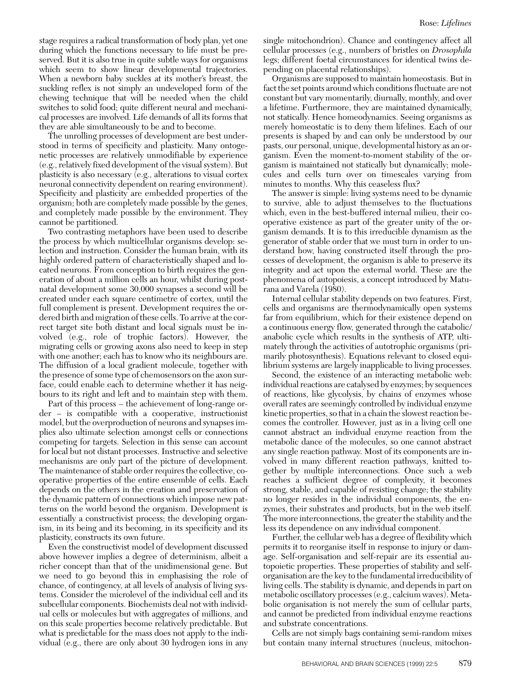stage requires a radical transformation of body plan, yet one during which the functions necessary to life must be preserved. But it is also true in quite subtle ways for organisms which seem to show linear developmental trajectories. When a newborn baby suckles at its mother's breast, the suckling reflex is not simply an undeveloped form of the chewing technique that will be needed when the child switches to solid food; quite different neural and mechanical processes are involved. Life demands of all its forms that they are able simultaneously to be and to become.

The unrolling processes of development are best understood in terms of specificity and plasticity. Many ontogenetic processes are relatively unmodifiable by experience (e.g., relatively fixed development of the visual system). But plasticity is also necessary (e.g., alterations to visual cortex neuronal connectivity dependent on rearing environment). Specificity and plasticity are embedded properties of the organism; both are completely made possible by the genes, and completely made possible by the environment. They cannot be partitioned.

Two contrasting metaphors have been used to describe the process by which multicellular organisms develop: selection and instruction. Consider the human brain, with its highly ordered pattern of characteristically shaped and located neurons. From conception to birth requires the generation of about a million cells an hour, whilst during postnatal development some 30,000 synapses a second will be created under each square centimetre of cortex, until the full complement is present. Development requires the ordered birth and migration of these cells. To arrive at the correct target site both distant and local signals must be involved (e.g., role of trophic factors). However, the migrating cells or growing axons also need to keep in step with one another; each has to know who its neighbours are. The diffusion of a local gradient molecule, together with the presence of some type of chemosensors on the axon surface, could enable each to determine whether it has neigbours to its right and left and to maintain step with them.

Part of this process – the achievement of long-range order – is compatible with a cooperative, instructionist model, but the overproduction of neurons and synapses implies also ultimate selection amongst cells or connections competing for targets. Selection in this sense can account for local but not distant processes. Instructive and selective mechanisms are only part of the picture of development. The maintenance of stable order requires the collective, cooperative properties of the entire ensemble of cells. Each depends on the others in the creation and preservation of the dynamic pattern of connections which impose new patterns on the world beyond the organism. Development is essentially a constructivist process; the developing organism, in its being and its becoming, in its specificity and its plasticity, constructs its own future.

Even the constructivist model of development discussed above however implies a degree of determinism, albeit a richer concept than that of the unidimensional gene. But we need to go beyond this in emphasising the role of chance, of contingency, at all levels of analysis of living systems. Consider the microlevel of the individual cell and its subcellular components. Biochemists deal not with individual cells or molecules but with aggregates of millions, and on this scale properties become relatively predictable. But what is predictable for the mass does not apply to the individual (e.g., there are only about 30 hydrogen ions in any

single mitochondrion). Chance and contingency affect all cellular processes (e.g., numbers of bristles on *Drosophila* legs; different foetal circumstances for identical twins depending on placental relationships).

Organisms are supposed to maintain homeostasis. But in fact the set points around which conditions fluctuate are not constant but vary momentarily, diurnally, monthly, and over a lifetime. Furthermore, they are maintained dynamically, not statically. Hence homeodynamics. Seeing organisms as merely homeostatic is to deny them lifelines. Each of our presents is shaped by and can only be understood by our pasts, our personal, unique, developmental history as an organism. Even the moment-to-moment stability of the organism is maintained not statically but dynamically; molecules and cells turn over on timescales varying from minutes to months. Why this ceaseless flux?

The answer is simple: living systems need to be dynamic to survive, able to adjust themselves to the fluctuations which, even in the best-buffered internal milieu, their cooperative existence as part of the greater unity of the organism demands. It is to this irreducible dynamism as the generator of stable order that we must turn in order to understand how, having constructed itself through the processes of development, the organism is able to preserve its integrity and act upon the external world. These are the phenomena of autopoiesis, a concept introduced by Maturana and Varela (1980).

Internal cellular stability depends on two features. First, cells and organisms are thermodynamically open systems far from equilibrium, which for their existence depend on a continuous energy flow, generated through the catabolic/ anabolic cycle which results in the synthesis of ATP, ultimately through the activities of autotrophic organisms (primarily photosynthesis). Equations relevant to closed equilibrium systems are largely inapplicable to living processes.

Second, the existence of an interacting metabolic web: individual reactions are catalysed by enzymes; by sequences of reactions, like glycolysis, by chains of enzymes whose overall rates are seemingly controlled by individual enzyme kinetic properties, so that in a chain the slowest reaction becomes the controller. However, just as in a living cell one cannot abstract an individual enzyme reaction from the metabolic dance of the molecules, so one cannot abstract any single reaction pathway. Most of its components are involved in many different reaction pathways, knitted together by multiple interconnections. Once such a web reaches a sufficient degree of complexity, it becomes strong, stable, and capable of resisting change; the stability no longer resides in the individual components, the enzymes, their substrates and products, but in the web itself. The more interconnections, the greater the stability and the less its dependence on any individual component.

Further, the cellular web has a degree of flexibility which permits it to reorganise itself in response to injury or damage. Self-organisation and self-repair are its essential autopoietic properties. These properties of stability and selforganisation are the key to the fundamental irreducibility of living cells. The stability is dynamic, and depends in part on metabolic oscillatory processes (e.g., calcium waves). Metabolic organisation is not merely the sum of cellular parts, and cannot be predicted from individual enzyme reactions and substrate concentrations.

Cells are not simply bags containing semi-random mixes but contain many internal structures (nucleus, mitochon-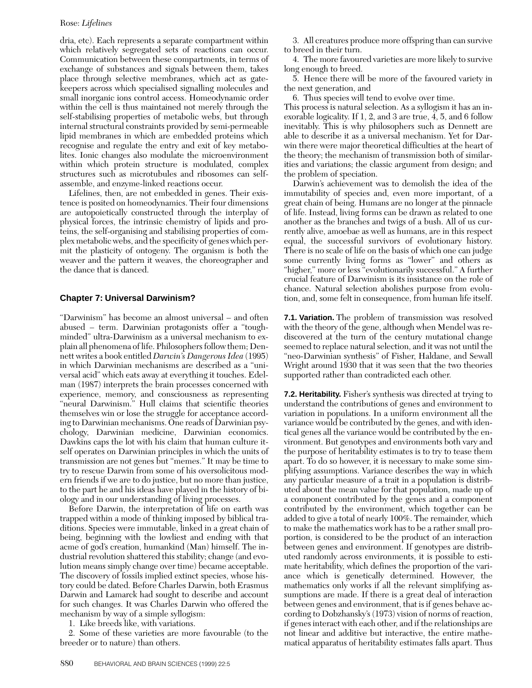## Rose: *Lifelines*

dria, etc). Each represents a separate compartment within which relatively segregated sets of reactions can occur. Communication between these compartments, in terms of exchange of substances and signals between them, takes place through selective membranes, which act as gatekeepers across which specialised signalling molecules and small inorganic ions control access. Homeodynamic order within the cell is thus maintained not merely through the self-stabilising properties of metabolic webs, but through internal structural constraints provided by semi-permeable lipid membranes in which are embedded proteins which recognise and regulate the entry and exit of key metabolites. Ionic changes also modulate the microenvironment within which protein structure is modulated, complex structures such as microtubules and ribosomes can selfassemble, and enzyme-linked reactions occur.

Lifelines, then, are not embedded in genes. Their existence is posited on homeodynamics. Their four dimensions are autopoietically constructed through the interplay of physical forces, the intrinsic chemistry of lipids and proteins, the self-organising and stabilising properties of complex metabolic webs, and the specificity of genes which permit the plasticity of ontogeny. The organism is both the weaver and the pattern it weaves, the choreographer and the dance that is danced.

## **Chapter 7: Universal Darwinism?**

"Darwinism" has become an almost universal – and often abused – term. Darwinian protagonists offer a "toughminded" ultra-Darwinism as a universal mechanism to explain all phenomena of life. Philosophers follow them; Dennett writes a book entitled *Darwin's Dangerous Idea* (1995) in which Darwinian mechanisms are described as a "universal acid" which eats away at everything it touches. Edelman (1987) interprets the brain processes concerned with experience, memory, and consciousness as representing "neural Darwinism." Hull claims that scientific theories themselves win or lose the struggle for acceptance according to Darwinian mechanisms. One reads of Darwinian psychology, Darwinian medicine, Darwinian economics. Dawkins caps the lot with his claim that human culture itself operates on Darwinian principles in which the units of transmission are not genes but "memes." It may be time to try to rescue Darwin from some of his oversolicitous modern friends if we are to do justice, but no more than justice, to the part he and his ideas have played in the history of biology and in our understanding of living processes.

Before Darwin, the interpretation of life on earth was trapped within a mode of thinking imposed by biblical traditions. Species were immutable, linked in a great chain of being, beginning with the lowliest and ending with that acme of god's creation, humankind (Man) himself. The industrial revolution shattered this stability; change (and evolution means simply change over time) became acceptable. The discovery of fossils implied extinct species, whose history could be dated. Before Charles Darwin, both Erasmus Darwin and Lamarck had sought to describe and account for such changes. It was Charles Darwin who offered the mechanism by way of a simple syllogism:

1. Like breeds like, with variations.

2. Some of these varieties are more favourable (to the breeder or to nature) than others.

3. All creatures produce more offspring than can survive to breed in their turn.

4. The more favoured varieties are more likely to survive long enough to breed.

5. Hence there will be more of the favoured variety in the next generation, and

6. Thus species will tend to evolve over time.

This process is natural selection. As a syllogism it has an inexorable logicality. If 1, 2, and 3 are true, 4, 5, and 6 follow inevitably. This is why philosophers such as Dennett are able to describe it as a universal mechanism. Yet for Darwin there were major theoretical difficulties at the heart of the theory; the mechanism of transmission both of similarities and variations; the classic argument from design; and the problem of speciation.

Darwin's achievement was to demolish the idea of the immutability of species and, even more important, of a great chain of being. Humans are no longer at the pinnacle of life. Instead, living forms can be drawn as related to one another as the branches and twigs of a bush. All of us currently alive, amoebae as well as humans, are in this respect equal, the successful survivors of evolutionary history. There is no scale of life on the basis of which one can judge some currently living forms as "lower" and others as "higher," more or less "evolutionarily successful." A further crucial feature of Darwinism is its insistance on the role of chance. Natural selection abolishes purpose from evolution, and, some felt in consequence, from human life itself.

**7.1. Variation.** The problem of transmission was resolved with the theory of the gene, although when Mendel was rediscovered at the turn of the century mutational change seemed to replace natural selection, and it was not until the "neo-Darwinian synthesis" of Fisher, Haldane, and Sewall Wright around 1930 that it was seen that the two theories supported rather than contradicted each other.

**7.2. Heritability.** Fisher's synthesis was directed at trying to understand the contributions of genes and environment to variation in populations. In a uniform environment all the variance would be contributed by the genes, and with identical genes all the variance would be contributed by the environment. But genotypes and environments both vary and the purpose of heritability estimates is to try to tease them apart. To do so however, it is necessary to make some simplifying assumptions. Variance describes the way in which any particular measure of a trait in a population is distributed about the mean value for that population, made up of a component contributed by the genes and a component contributed by the environment, which together can be added to give a total of nearly 100%. The remainder, which to make the mathematics work has to be a rather small proportion, is considered to be the product of an interaction between genes and environment. If genotypes are distributed randomly across environments, it is possible to estimate heritability, which defines the proportion of the variance which is genetically determined. However, the mathematics only works if all the relevant simplifying assumptions are made. If there is a great deal of interaction between genes and environment, that is if genes behave according to Dobzhansky's (1973) vision of norms of reaction, if genes interact with each other, and if the relationships are not linear and additive but interactive, the entire mathematical apparatus of heritability estimates falls apart. Thus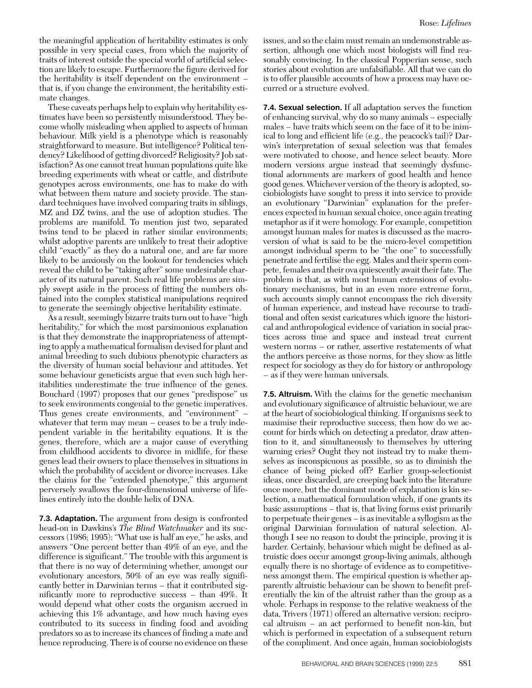the meaningful application of heritability estimates is only possible in very special cases, from which the majority of traits of interest outside the special world of artificial selection are likely to escape. Furthermore the figure derived for the heritability is itself dependent on the environment – that is, if you change the environment, the heritability estimate changes.

These caveats perhaps help to explain why heritability estimates have been so persistently misunderstood. They become wholly misleading when applied to aspects of human behaviour. Milk yield is a phenotype which is reasonably straightforward to measure. But intelligence? Political tendency? Likelihood of getting divorced? Religiosity? Job satisfaction? As one cannot treat human populations quite like breeding experiments with wheat or cattle, and distribute genotypes across environments, one has to make do with what between them nature and society provide. The standard techniques have involved comparing traits in siblings, MZ and DZ twins, and the use of adoption studies. The problems are manifold. To mention just two, separated twins tend to be placed in rather similar environments; whilst adoptive parents are unlikely to treat their adoptive child "exactly" as they do a natural one, and are far more likely to be anxiously on the lookout for tendencies which reveal the child to be "taking after" some undesirable character of its natural parent. Such real life problems are simply swept aside in the process of fitting the numbers obtained into the complex statistical manipulations required to generate the seemingly objective heritability estimate.

As a result, seemingly bizarre traits turn out to have "high heritability," for which the most parsimonious explanation is that they demonstrate the inappropriateness of attempting to apply a mathematical formalism devised for plant and animal breeding to such dubious phenotypic characters as the diversity of human social behaviour and attitudes. Yet some behaviour geneticists argue that even such high heritabilities underestimate the true influence of the genes. Bouchard (1997) proposes that our genes "predispose" us to seek environments congenial to the genetic imperatives. Thus genes create environments, and "environment" – whatever that term may mean – ceases to be a truly independent variable in the heritability equations. It is the genes, therefore, which are a major cause of everything from childhood accidents to divorce in midlife, for these genes lead their owners to place themselves in situations in which the probability of accident or divorce increases. Like the claims for the "extended phenotype," this argument perversely swallows the four-dimensional universe of lifelines entirely into the double helix of DNA.

**7.3. Adaptation.** The argument from design is confronted head-on in Dawkins's *The Blind Watchmaker* and its successors (1986; 1995): "What use is half an eye," he asks, and answers "One percent better than 49% of an eye, and the difference is significant." The trouble with this argument is that there is no way of determining whether, amongst our evolutionary ancestors, 50% of an eye was really significantly better in Darwinian terms – that it contributed significantly more to reproductive success – than 49%. It would depend what other costs the organism accrued in achieving this 1% advantage, and how much having eyes contributed to its success in finding food and avoiding predators so as to increase its chances of finding a mate and hence reproducing. There is of course no evidence on these

issues, and so the claim must remain an undemonstrable assertion, although one which most biologists will find reasonably convincing. In the classical Popperian sense, such stories about evolution are unfalsifiable. All that we can do is to offer plausible accounts of how a process may have occurred or a structure evolved.

**7.4. Sexual selection.** If all adaptation serves the function of enhancing survival, why do so many animals – especially males – have traits which seem on the face of it to be inimical to long and efficient life (e.g., the peacock's tail)? Darwin's interpretation of sexual selection was that females were motivated to choose, and hence select beauty. More modern versions argue instead that seemingly dysfunctional adornments are markers of good health and hence good genes. Whichever version of the theory is adopted, sociobiologists have sought to press it into service to provide an evolutionary "Darwinian" explanation for the preferences expected in human sexual choice, once again treating metaphor as if it were homology. For example, competition amongst human males for mates is discussed as the macroversion of what is said to be the micro-level competition amongst individual sperm to be "the one" to successfully penetrate and fertilise the egg. Males and their sperm compete, females and their ova quiescently await their fate. The problem is that, as with most human extensions of evolutionary mechanisms, but in an even more extreme form, such accounts simply cannot encompass the rich diversity of human experience, and instead have recourse to traditional and often sexist caricatures which ignore the historical and anthropological evidence of variation in social practices across time and space and instead treat current western norms – or rather, assertive restatements of what the authors perceive as those norms, for they show as little respect for sociology as they do for history or anthropology – as if they were human universals.

**7.5. Altruism.** With the claims for the genetic mechanism and evolutionary significance of altruistic behaviour, we are at the heart of sociobiological thinking. If organisms seek to maximise their reproductive success, then how do we account for birds which on detecting a predator, draw attention to it, and simultaneously to themselves by uttering warning cries? Ought they not instead try to make themselves as inconspicuous as possible, so as to diminish the chance of being picked off? Earlier group-selectionist ideas, once discarded, are creeping back into the literature once more, but the dominant mode of explanation is kin selection, a mathematical formulation which, if one grants its basic assumptions – that is, that living forms exist primarily to perpetuate their genes – is as inevitable a syllogism as the original Darwinian formulation of natural selection. Although I see no reason to doubt the principle, proving it is harder. Certainly, behaviour which might be defined as altruistic does occur amongst group-living animals, although equally there is no shortage of evidence as to competitiveness amongst them. The empirical question is whether apparently altruistic behaviour can be shown to benefit preferentially the kin of the altruist rather than the group as a whole. Perhaps in response to the relative weakness of the data, Trivers (1971) offered an alternative version: reciprocal altruism – an act performed to benefit non-kin, but which is performed in expectation of a subsequent return of the compliment. And once again, human sociobiologists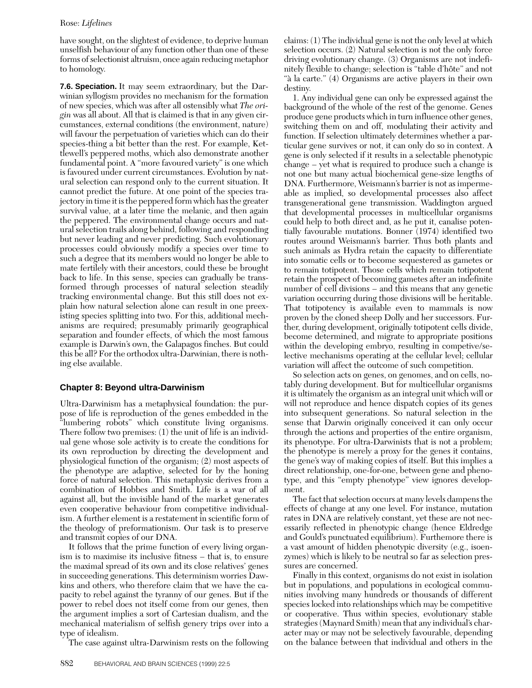## Rose: *Lifelines*

have sought, on the slightest of evidence, to deprive human unselfish behaviour of any function other than one of these forms of selectionist altruism, once again reducing metaphor to homology.

**7.6. Speciation.** It may seem extraordinary, but the Darwinian syllogism provides no mechanism for the formation of new species, which was after all ostensibly what *The origin* was all about. All that is claimed is that in any given circumstances, external conditions (the environment, nature) will favour the perpetuation of varieties which can do their species-thing a bit better than the rest. For example, Kettlewell's peppered moths, which also demonstrate another fundamental point. A "more favoured variety" is one which is favoured under current circumstances. Evolution by natural selection can respond only to the current situation. It cannot predict the future. At one point of the species trajectory in time it is the peppered form which has the greater survival value, at a later time the melanic, and then again the peppered. The environmental change occurs and natural selection trails along behind, following and responding but never leading and never predicting. Such evolutionary processes could obviously modify a species over time to such a degree that its members would no longer be able to mate fertilely with their ancestors, could these be brought back to life. In this sense, species can gradually be transformed through processes of natural selection steadily tracking environmental change. But this still does not explain how natural selection alone can result in one preexisting species splitting into two. For this, additional mechanisms are required; presumably primarily geographical separation and founder effects, of which the most famous example is Darwin's own, the Galapagos finches. But could this be all? For the orthodox ultra-Darwinian, there is nothing else available.

## **Chapter 8: Beyond ultra-Darwinism**

Ultra-Darwinism has a metaphysical foundation: the purpose of life is reproduction of the genes embedded in the "lumbering robots" which constitute living organisms. There follow two premises: (1) the unit of life is an individual gene whose sole activity is to create the conditions for its own reproduction by directing the development and physiological function of the organism; (2) most aspects of the phenotype are adaptive, selected for by the honing force of natural selection. This metaphysic derives from a combination of Hobbes and Smith. Life is a war of all against all, but the invisible hand of the market generates even cooperative behaviour from competitive individualism. A further element is a restatement in scientific form of the theology of preformationism. Our task is to preserve and transmit copies of our DNA.

It follows that the prime function of every living organism is to maximise its inclusive fitness – that is, to ensure the maximal spread of its own and its close relatives' genes in succeeding generations. This determinism worries Dawkins and others, who therefore claim that we have the capacity to rebel against the tyranny of our genes. But if the power to rebel does not itself come from our genes, then the argument implies a sort of Cartesian dualism, and the mechanical materialism of selfish genery trips over into a type of idealism.

The case against ultra-Darwinism rests on the following

claims: (1) The individual gene is not the only level at which selection occurs. (2) Natural selection is not the only force driving evolutionary change. (3) Organisms are not indefinitely flexible to change; selection is "table d'hôte" and not "à la carte." (4) Organisms are active players in their own destiny.

1. Any individual gene can only be expressed against the background of the whole of the rest of the genome. Genes produce gene products which in turn influence other genes, switching them on and off, modulating their activity and function. If selection ultimately determines whether a particular gene survives or not, it can only do so in context. A gene is only selected if it results in a selectable phenotypic change – yet what is required to produce such a change is not one but many actual biochemical gene-size lengths of DNA. Furthermore, Weismann's barrier is not as impermeable as implied, so developmental processes also affect transgenerational gene transmission. Waddington argued that developmental processes in multicellular organisms could help to both direct and, as he put it, canalise potentially favourable mutations. Bonner (1974) identified two routes around Weismann's barrier. Thus both plants and such animals as Hydra retain the capacity to differentiate into somatic cells or to become sequestered as gametes or to remain totipotent. Those cells which remain totipotent retain the prospect of becoming gametes after an indefinite number of cell divisions – and this means that any genetic variation occurring during those divisions will be heritable. That totipotency is available even to mammals is now proven by the cloned sheep Dolly and her successors. Further, during development, originally totipotent cells divide, become determined, and migrate to appropriate positions within the developing embryo, resulting in competive/selective mechanisms operating at the cellular level; cellular variation will affect the outcome of such competition.

So selection acts on genes, on genomes, and on cells, notably during development. But for multicellular organisms it is ultimately the organism as an integral unit which will or will not reproduce and hence dispatch copies of its genes into subsequent generations. So natural selection in the sense that Darwin originally conceived it can only occur through the actions and properties of the entire organism, its phenotype. For ultra-Darwinists that is not a problem; the phenotype is merely a proxy for the genes it contains, the gene's way of making copies of itself. But this implies a direct relationship, one-for-one, between gene and phenotype, and this "empty phenotype" view ignores development.

The fact that selection occurs at many levels dampens the effects of change at any one level. For instance, mutation rates in DNA are relatively constant, yet these are not necessarily reflected in phenotypic change (hence Eldredge and Gould's punctuated equilibrium). Furthemore there is a vast amount of hidden phenotypic diversity (e.g., isoenzymes) which is likely to be neutral so far as selection pressures are concerned.

Finally in this context, organisms do not exist in isolation but in populations, and populations in ecological communities involving many hundreds or thousands of different species locked into relationships which may be competitive or cooperative. Thus within species, evolutionary stable strategies (Maynard Smith) mean that any individual's character may or may not be selectively favourable, depending on the balance between that individual and others in the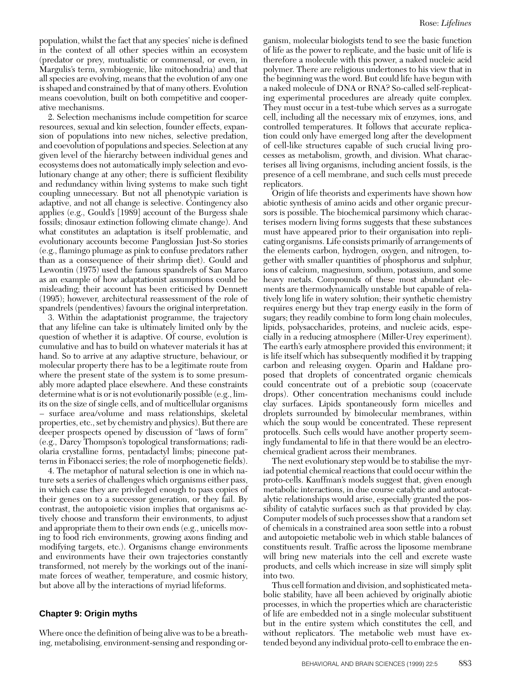population, whilst the fact that any species' niche is defined in the context of all other species within an ecosystem (predator or prey, mutualistic or commensal, or even, in Margulis's term, symbiogenic, like mitochondria) and that all species are evolving, means that the evolution of any one is shaped and constrained by that of many others. Evolution means coevolution, built on both competitive and cooperative mechanisms.

2. Selection mechanisms include competition for scarce resources, sexual and kin selection, founder effects, expansion of populations into new niches, selective predation, and coevolution of populations and species. Selection at any given level of the hierarchy between individual genes and ecosystems does not automatically imply selection and evolutionary change at any other; there is sufficient flexibility and redundancy within living systems to make such tight coupling unnecessary. But not all phenotypic variation is adaptive, and not all change is selective. Contingency also applies (e.g., Gould's [1989] account of the Burgess shale fossils; dinosaur extinction following climate change). And what constitutes an adaptation is itself problematic, and evolutionary accounts become Panglossian Just-So stories (e.g., flamingo plumage as pink to confuse predators rather than as a consequence of their shrimp diet). Gould and Lewontin (1975) used the famous spandrels of San Marco as an example of how adaptationist assumptions could be misleading; their account has been criticised by Dennett (1995); however, architectural reassessment of the role of spandrels (pendentives) favours the original interpretation.

3. Within the adaptationist programme, the trajectory that any lifeline can take is ultimately limited only by the question of whether it is adaptive. Of course, evolution is cumulative and has to build on whatever materials it has at hand. So to arrive at any adaptive structure, behaviour, or molecular property there has to be a legitimate route from where the present state of the system is to some presumably more adapted place elsewhere. And these constraints determine what is or is not evolutionarily possible (e.g., limits on the size of single cells, and of multicellular organisms – surface area/volume and mass relationships, skeletal properties, etc., set by chemistry and physics). But there are deeper prospects opened by discussion of "laws of form" (e.g., Darcy Thompson's topological transformations; radiolaria crystalline forms, pentadactyl limbs; pinecone patterns in Fibonacci series; the role of morphogenetic fields).

4. The metaphor of natural selection is one in which nature sets a series of challenges which organisms either pass, in which case they are privileged enough to pass copies of their genes on to a successor generation, or they fail. By contrast, the autopoietic vision implies that organisms actively choose and transform their environments, to adjust and appropriate them to their own ends (e.g., unicells moving to food rich environments, growing axons finding and modifying targets, etc.). Organisms change environments and environments have their own trajectories constantly transformed, not merely by the workings out of the inanimate forces of weather, temperature, and cosmic history, but above all by the interactions of myriad lifeforms.

## **Chapter 9: Origin myths**

Where once the definition of being alive was to be a breathing, metabolising, environment-sensing and responding or-

ganism, molecular biologists tend to see the basic function of life as the power to replicate, and the basic unit of life is therefore a molecule with this power, a naked nucleic acid polymer. There are religious undertones to his view that in the beginning was the word. But could life have begun with a naked molecule of DNA or RNA? So-called self-replicating experimental procedures are already quite complex. They must occur in a test-tube which serves as a surrogate cell, including all the necessary mix of enzymes, ions, and controlled temperatures. It follows that accurate replication could only have emerged long after the development of cell-like structures capable of such crucial living processes as metabolism, growth, and division. What characterises all living organisms, including ancient fossils, is the presence of a cell membrane, and such cells must precede replicators.

Origin of life theorists and experiments have shown how abiotic synthesis of amino acids and other organic precursors is possible. The biochemical parsimony which characterises modern living forms suggests that these substances must have appeared prior to their organisation into replicating organisms. Life consists primarily of arrangements of the elements carbon, hydrogen, oxygen, and nitrogen, together with smaller quantities of phosphorus and sulphur, ions of calcium, magnesium, sodium, potassium, and some heavy metals. Compounds of these most abundant elements are thermodynamically unstable but capable of relatively long life in watery solution; their synthetic chemistry requires energy but they trap energy easily in the form of sugars; they readily combine to form long chain molecules, lipids, polysaccharides, proteins, and nucleic acids, especially in a reducing atmosphere (Miller-Urey experiment). The earth's early atmosphere provided this environment; it is life itself which has subsequently modified it by trapping carbon and releasing oxygen. Oparin and Haldane proposed that droplets of concentrated organic chemicals could concentrate out of a prebiotic soup (coacervate drops). Other concentration mechanisms could include clay surfaces. Lipids spontaneously form micelles and droplets surrounded by bimolecular membranes, within which the soup would be concentrated. These represent protocells. Such cells would have another property seemingly fundamental to life in that there would be an electrochemical gradient across their membranes.

The next evolutionary step would be to stabilise the myriad potential chemical reactions that could occur within the proto-cells. Kauffman's models suggest that, given enough metabolic interactions, in due course catalytic and autocatalytic relationships would arise, especially granted the possibility of catalytic surfaces such as that provided by clay. Computer models of such processes show that a random set of chemicals in a constrained area soon settle into a robust and autopoietic metabolic web in which stable balances of constituents result. Traffic across the liposome membrane will bring new materials into the cell and excrete waste products, and cells which increase in size will simply split into two.

Thus cell formation and division, and sophisticated metabolic stability, have all been achieved by originally abiotic processes, in which the properties which are characteristic of life are embedded not in a single molecular substituent but in the entire system which constitutes the cell, and without replicators. The metabolic web must have extended beyond any individual proto-cell to embrace the en-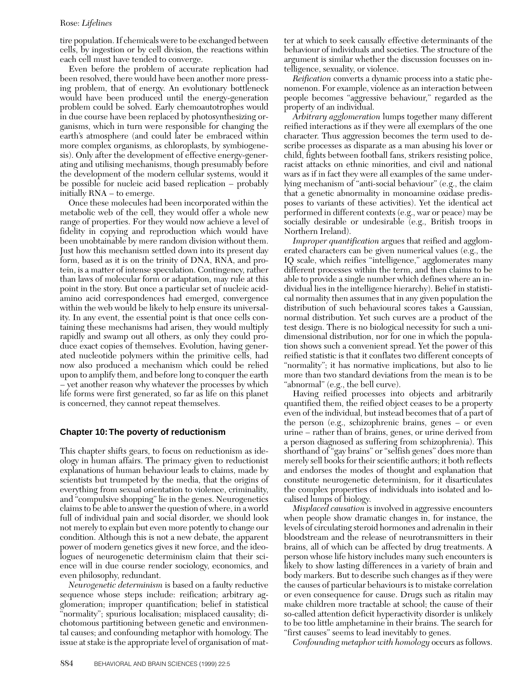## Rose: *Lifelines*

tire population. If chemicals were to be exchanged between cells, by ingestion or by cell division, the reactions within each cell must have tended to converge.

Even before the problem of accurate replication had been resolved, there would have been another more pressing problem, that of energy. An evolutionary bottleneck would have been produced until the energy-generation problem could be solved. Early chemoautotrophes would in due course have been replaced by photosynthesizing organisms, which in turn were responsible for changing the earth's atmosphere (and could later be embraced within more complex organisms, as chloroplasts, by symbiogenesis). Only after the development of effective energy-generating and utilising mechanisms, though presumably before the development of the modern cellular systems, would it be possible for nucleic acid based replication – probably initially RNA – to emerge.

Once these molecules had been incorporated within the metabolic web of the cell, they would offer a whole new range of properties. For they would now achieve a level of fidelity in copying and reproduction which would have been unobtainable by mere random division without them. Just how this mechanism settled down into its present day form, based as it is on the trinity of DNA, RNA, and protein, is a matter of intense speculation. Contingency, rather than laws of molecular form or adaptation, may rule at this point in the story. But once a particular set of nucleic acidamino acid correspondences had emerged, convergence within the web would be likely to help ensure its universality. In any event, the essential point is that once cells containing these mechanisms had arisen, they would multiply rapidly and swamp out all others, as only they could produce exact copies of themselves. Evolution, having generated nucleotide polymers within the primitive cells, had now also produced a mechanism which could be relied upon to amplify them, and before long to conquer the earth – yet another reason why whatever the processes by which life forms were first generated, so far as life on this planet is concerned, they cannot repeat themselves.

## **Chapter 10:The poverty of reductionism**

This chapter shifts gears, to focus on reductionism as ideology in human affairs. The primacy given to reductionist explanations of human behaviour leads to claims, made by scientists but trumpeted by the media, that the origins of everything from sexual orientation to violence, criminality, and "compulsive shopping" lie in the genes. Neurogenetics claims to be able to answer the question of where, in a world full of individual pain and social disorder, we should look not merely to explain but even more potently to change our condition. Although this is not a new debate, the apparent power of modern genetics gives it new force, and the ideologues of neurogenetic determinism claim that their science will in due course render sociology, economics, and even philosophy, redundant.

*Neurogenetic determinism* is based on a faulty reductive sequence whose steps include: reification; arbitrary agglomeration; improper quantification; belief in statistical "normality"; spurious localisation; misplaced causality; dichotomous partitioning between genetic and environmental causes; and confounding metaphor with homology. The issue at stake is the appropriate level of organisation of matter at which to seek causally effective determinants of the behaviour of individuals and societies. The structure of the argument is similar whether the discussion focusses on intelligence, sexuality, or violence.

*Reification* converts a dynamic process into a static phenomenon. For example, violence as an interaction between people becomes "aggressive behaviour," regarded as the property of an individual.

*Arbitrary agglomeration* lumps together many different reified interactions as if they were all exemplars of the one character. Thus aggression becomes the term used to describe processes as disparate as a man abusing his lover or child, fights between football fans, strikers resisting police, racist attacks on ethnic minorities, and civil and national wars as if in fact they were all examples of the same underlying mechanism of "anti-social behaviour" (e.g., the claim that a genetic abnormality in monoamine oxidase predisposes to variants of these activities). Yet the identical act performed in different contexts (e.g., war or peace) may be socially desirable or undesirable (e.g., British troops in Northern Ireland).

*Improper quantification* argues that reified and agglomerated characters can be given numerical values (e.g., the IQ scale, which reifies "intelligence," agglomerates many different processes within the term, and then claims to be able to provide a single number which defines where an individual lies in the intelligence hierarchy). Belief in statistical normality then assumes that in any given population the distribution of such behavioural scores takes a Gaussian, normal distribution. Yet such curves are a product of the test design. There is no biological necessity for such a unidimensional distribution, nor for one in which the population shows such a convenient spread. Yet the power of this reified statistic is that it conflates two different concepts of "normality"; it has normative implications, but also to lie more than two standard deviations from the mean is to be "abnormal" (e.g., the bell curve).

Having reified processes into objects and arbitrarily quantified them, the reified object ceases to be a property even of the individual, but instead becomes that of a part of the person (e.g., schizophrenic brains, genes – or even urine – rather than of brains, genes, or urine derived from a person diagnosed as suffering from schizophrenia). This shorthand of "gay brains" or "selfish genes" does more than merely sell books for their scientific authors; it both reflects and endorses the modes of thought and explanation that constitute neurogenetic determinism, for it disarticulates the complex properties of individuals into isolated and localised lumps of biology.

*Misplaced causation* is involved in aggressive encounters when people show dramatic changes in, for instance, the levels of circulating steroid hormones and adrenalin in their bloodstream and the release of neurotransmitters in their brains, all of which can be affected by drug treatments. A person whose life history includes many such encounters is likely to show lasting differences in a variety of brain and body markers. But to describe such changes as if they were the causes of particular behaviours is to mistake correlation or even consequence for cause. Drugs such as ritalin may make children more tractable at school; the cause of their so-called attention deficit hyperactivity disorder is unlikely to be too little amphetamine in their brains. The search for "first causes" seems to lead inevitably to genes.

*Confounding metaphor with homology* occurs as follows.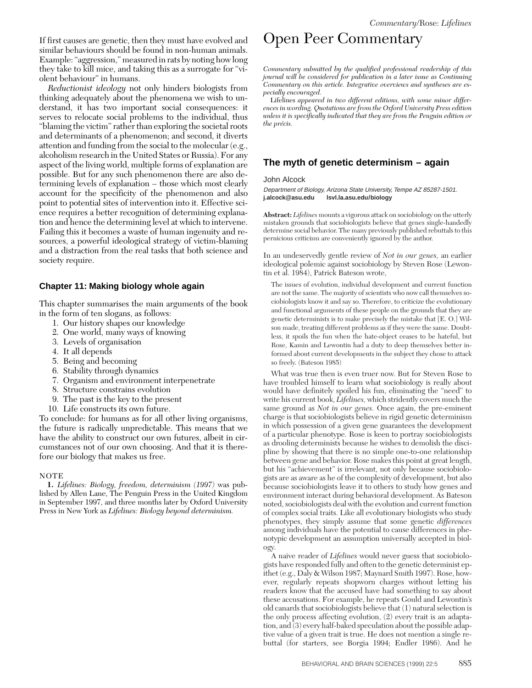If first causes are genetic, then they must have evolved and similar behaviours should be found in non-human animals. Example: "aggression," measured in rats by noting how long they take to kill mice, and taking this as a surrogate for "violent behaviour" in humans.

*Reductionist ideology* not only hinders biologists from thinking adequately about the phenomena we wish to understand, it has two important social consequences: it serves to relocate social problems to the individual, thus "blaming the victim" rather than exploring the societal roots and determinants of a phenomenon; and second, it diverts attention and funding from the social to the molecular (e.g., alcoholism research in the United States or Russia). For any aspect of the living world, multiple forms of explanation are possible. But for any such phenomenon there are also determining levels of explanation – those which most clearly account for the specificity of the phenomenon and also point to potential sites of intervention into it. Effective science requires a better recognition of determining explanation and hence the determining level at which to intervene. Failing this it becomes a waste of human ingenuity and resources, a powerful ideological strategy of victim-blaming and a distraction from the real tasks that both science and society require.

## **Chapter 11: Making biology whole again**

This chapter summarises the main arguments of the book in the form of ten slogans, as follows:

- 1. Our history shapes our knowledge
- 2. One world, many ways of knowing
- 3. Levels of organisation
- 4. It all depends
- 5. Being and becoming
- 6. Stability through dynamics
- 7. Organism and environment interpenetrate
- 8. Structure constrains evolution
- 9. The past is the key to the present
- 10. Life constructs its own future.

To conclude: for humans as for all other living organisms, the future is radically unpredictable. This means that we have the ability to construct our own futures, albeit in circumstances not of our own choosing. And that it is therefore our biology that makes us free.

#### NOTE

**1.** *Lifelines: Biology, freedom, determinism (1997)* was published by Allen Lane, The Penguin Press in the United Kingdom in September 1997, and three months later by Oxford University Press in New York as *Lifelines: Biology beyond determinism.*

## Open Peer Commentary

*Commentary submitted by the qualified professional readership of this journal will be considered for publication in a later issue as Continuing Commentary on this article. Integrative overviews and syntheses are especially encouraged.*

Lifelines *appeared in two different editions, with some minor differences in wording. Quotations are from the Oxford University Press edition unless it is specifically indicated that they are from the Penguin edition or the précis.*

## **The myth of genetic determinism – again**

#### John Alcock

Department of Biology, Arizona State University, Tempe AZ 85287-1501. **j.alcock@asu.edu lsvl.la.asu.edu/biology**

**Abstract:** *Lifelines* mounts a vigorous attack on sociobiology on the utterly mistaken grounds that sociobiologists believe that genes single-handedly determine social behavior. The many previously published rebuttals to this pernicious criticism are conveniently ignored by the author.

In an undeservedly gentle review of *Not in our genes,* an earlier ideological polemic against sociobiology by Steven Rose (Lewontin et al. 1984), Patrick Bateson wrote,

The issues of evolution, individual development and current function are not the same. The majority of scientists who now call themselves sociobiologists know it and say so. Therefore, to criticize the evolutionary and functional arguments of these people on the grounds that they are genetic determinists is to make precisely the mistake that [E. O.] Wilson made, treating different problems as if they were the same. Doubtless, it spoils the fun when the hate-object ceases to be hateful, but Rose, Kamin and Lewontin had a duty to deep themselves better informed about current developments in the subject they chose to attack so freely. (Bateson 1985)

What was true then is even truer now. But for Steven Rose to have troubled himself to learn what sociobiology is really about would have definitely spoiled his fun, eliminating the "need" to write his current book, *Lifelines,* which stridently covers much the same ground as *Not in our genes.* Once again, the pre-eminent charge is that sociobiologists believe in rigid genetic determinism in which possession of a given gene guarantees the development of a particular phenotype. Rose is keen to portray sociobiologists as drooling determinists because he wishes to demolish the discipline by showing that there is no simple one-to-one relationship between gene and behavior. Rose makes this point at great length, but his "achievement" is irrelevant, not only because sociobiologists are as aware as he of the complexity of development, but also because sociobiologists leave it to others to study how genes and environment interact during behavioral development. As Bateson noted, sociobiologists deal with the evolution and current function of complex social traits. Like all evolutionary biologists who study phenotypes, they simply assume that some genetic *differences* among individuals have the potential to cause differences in phenotypic development an assumption universally accepted in biology.

A naive reader of *Lifelines* would never guess that sociobiologists have responded fully and often to the genetic determinist epithet (e.g., Daly & Wilson 1987; Maynard Smith 1997). Rose, however, regularly repeats shopworn charges without letting his readers know that the accused have had something to say about these accusations. For example, he repeats Gould and Lewontin's old canards that sociobiologists believe that (1) natural selection is the only process affecting evolution, (2) every trait is an adaptation, and (3) every half-baked speculation about the possible adaptive value of a given trait is true. He does not mention a single rebuttal (for starters, see Borgia 1994; Endler 1986). And he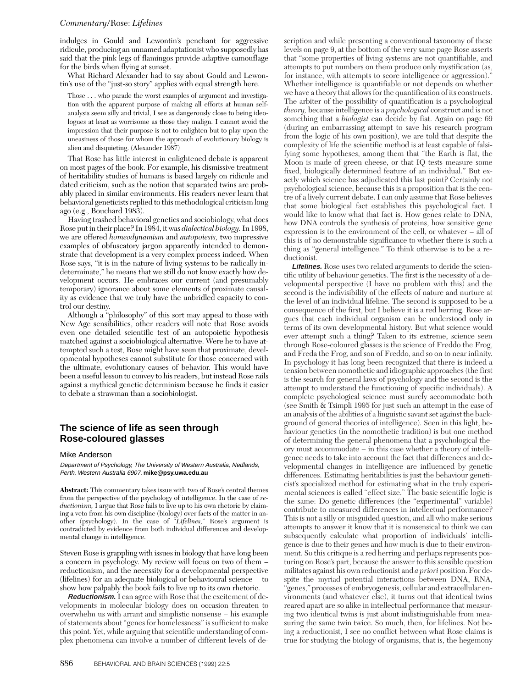indulges in Gould and Lewontin's penchant for aggressive ridicule, producing an unnamed adaptationist who supposedly has said that the pink legs of flamingos provide adaptive camouflage for the birds when flying at sunset.

What Richard Alexander had to say about Gould and Lewontin's use of the "just-so story" applies with equal strength here.

Those . . . who parade the worst examples of argument and investigation with the apparent purpose of making all efforts at human selfanalysis seem silly and trivial, I see as dangerously close to being ideologues at least as worrisome as those they malign. I cannot avoid the impression that their purpose is not to enlighten but to play upon the uneasiness of those for whom the approach of evolutionary biology is alien and disquieting. (Alexander 1987)

That Rose has little interest in enlightened debate is apparent on most pages of the book. For example, his dismissive treatment of heritability studies of humans is based largely on ridicule and dated criticism, such as the notion that separated twins are probably placed in similar environments. His readers never learn that behavioral geneticists replied to this methodological criticism long ago (e.g., Bouchard 1983).

Having trashed behavioral genetics and sociobiology, what does Rose put in their place? In 1984, it was *dialectical biology.*In 1998, we are offered *homeodynamism* and *autopoiesis,* two impressive examples of obfuscatory jargon apparently intended to demonstrate that development is a very complex process indeed. When Rose says, "it is in the nature of living systems to be radically indeterminate," he means that we still do not know exactly how development occurs. He embraces our current (and presumably temporary) ignorance about some elements of proximate causality as evidence that we truly have the unbridled capacity to control our destiny.

Although a "philosophy" of this sort may appeal to those with New Age sensibilities, other readers will note that Rose avoids even one detailed scientific test of an autopoietic hypothesis matched against a sociobiological alternative. Were he to have attempted such a test, Rose might have seen that proximate, developmental hypotheses cannot substitute for those concerned with the ultimate, evolutionary causes of behavior. This would have been a useful lesson to convey to his readers, but instead Rose rails against a mythical genetic determinism because he finds it easier to debate a strawman than a sociobiologist.

## **The science of life as seen through Rose-coloured glasses**

#### Mike Anderson

Department of Psychology, The University of Western Australia, Nedlands, Perth, Western Australia 6907. **mike@psy.uwa.edu.au**

**Abstract:** This commentary takes issue with two of Rose's central themes from the perspective of the psychology of intelligence. In the case of *reductionism,* I argue that Rose fails to live up to his own rhetoric by claiming a veto from his own discipline (biology) over facts of the matter in another (psychology). In the case of "*Lifelines,*" Rose's argument is contradicted by evidence from both individual differences and developmental change in intelligence.

Steven Rose is grappling with issues in biology that have long been a concern in psychology. My review will focus on two of them – reductionism, and the necessity for a developmental perspective (lifelines) for an adequate biological or behavioural science – to show how palpably the book fails to live up to its own rhetoric.

**Reductionism.** I can agree with Rose that the excitement of developments in molecular biology does on occasion threaten to overwhelm us with arrant and simplistic nonsense – his example of statements about "genes for homelessness" is sufficient to make this point. Yet, while arguing that scientific understanding of complex phenomena can involve a number of different levels of delevels on page 9, at the bottom of the very same page Rose asserts that "some properties of living systems are not quantifiable, and attempts to put numbers on them produce only mystification (as, for instance, with attempts to score intelligence or aggression)." Whether intelligence is quantifiable or not depends on whether we have a theory that allows for the quantification of its constructs. The arbiter of the possibility of quantification is a psychological *theory,* because intelligence is a *psychological* construct and is not something that a *biologist* can decide by fiat. Again on page 69 (during an embarrassing attempt to save his research program from the logic of his own position), we are told that despite the complexity of life the scientific method is at least capable of falsifying some hypotheses, among them that "the Earth is flat, the Moon is made of green cheese, or that IQ tests measure some fixed, biologically determined feature of an individual." But exactly which science has adjudicated this last point? Certainly not psychological science, because this is a proposition that is the centre of a lively current debate. I can only assume that Rose believes that some biological fact establishes this psychological fact. I would like to know what that fact is. How genes relate to DNA, how DNA controls the synthesis of proteins, how sensitive gene expression is to the environment of the cell, or whatever – all of this is of no demonstrable significance to whether there is such a thing as "general intelligence." To think otherwise is to be a reductionist.

scription and while presenting a conventional taxonomy of these

**Lifelines.** Rose uses two related arguments to deride the scientific utility of behaviour genetics. The first is the necessity of a developmental perspective (I have no problem with this) and the second is the indivisibility of the effects of nature and nurture at the level of an individual lifeline. The second is supposed to be a consequence of the first, but I believe it is a red herring. Rose argues that each individual organism can be understood only in terms of its own developmental history. But what science would ever attempt such a thing? Taken to its extreme, science seen through Rose-coloured glasses is the science of Freddo the Frog, and Freda the Frog, and son of Freddo, and so on to near infinity. In psychology it has long been recognized that there is indeed a tension between nomothetic and idiographic approaches (the first is the search for general laws of psychology and the second is the attempt to understand the functioning of specific individuals). A complete psychological science must surely accommodate both (see Smith & Tsimpli 1995 for just such an attempt in the case of an analysis of the abilities of a linguistic savant set against the background of general theories of intelligence). Seen in this light, behaviour genetics (in the nomothetic tradition) is but one method of determining the general phenomena that a psychological theory must accommodate – in this case whether a theory of intelligence needs to take into account the fact that differences and developmental changes in intelligence are influenced by genetic differences. Estimating heritabilities is just the behaviour geneticist's specialized method for estimating what in the truly experimental sciences is called "effect size." The basic scientific logic is the same: Do genetic differences (the "experimental" variable) contribute to measured differences in intellectual performance? This is not a silly or misguided question, and all who make serious attempts to answer it know that it is nonsensical to think we can subsequently calculate what proportion of individuals' intelligence is due to their genes and how much is due to their environment. So this critique is a red herring and perhaps represents posturing on Rose's part, because the answer to this sensible question militates against his own reductionist and *a priori* position. For despite the myriad potential interactions between DNA, RNA, "genes," processes of embryogenesis, cellular and extracellular environments (and whatever else), it turns out that identical twins reared apart are so alike in intellectual performance that measuring two identical twins is just about indistinguishable from measuring the same twin twice. So much, then, for lifelines. Not being a reductionist, I see no conflict between what Rose claims is true for studying the biology of organisms, that is, the hegemony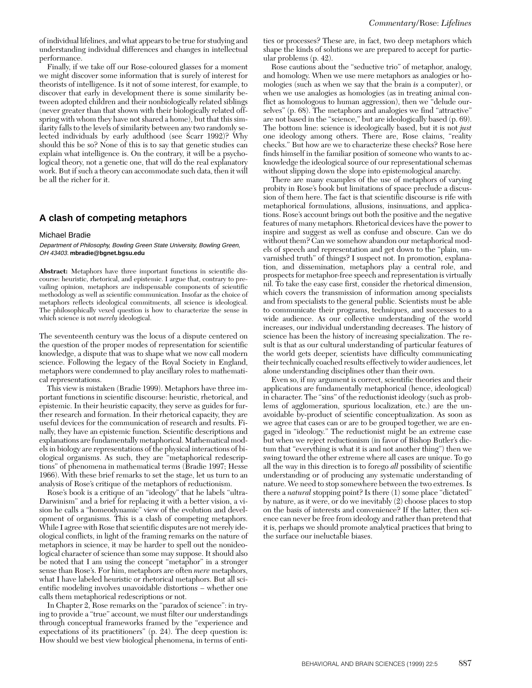of individual lifelines, and what appears to be true for studying and understanding individual differences and changes in intellectual performance.

Finally, if we take off our Rose-coloured glasses for a moment we might discover some information that is surely of interest for theorists of intelligence. Is it not of some interest, for example, to discover that early in development there is some similarity between adopted children and their nonbiologically related siblings (never greater than that shown with their biologically related offspring with whom they have not shared a home), but that this similarity falls to the levels of similarity between any two randomly selected individuals by early adulthood (see Scarr 1992)? Why should this be so? None of this is to say that genetic studies can explain what intelligence is. On the contrary, it will be a psychological theory, not a genetic one, that will do the real explanatory work. But if such a theory can accommodate such data, then it will be all the richer for it.

## **A clash of competing metaphors**

#### Michael Bradie

Department of Philosophy, Bowling Green State University, Bowling Green, OH 43403. **mbradie@bgnet.bgsu.edu**

**Abstract:** Metaphors have three important functions in scientific discourse: heuristic, rhetorical, and epistemic. I argue that, contrary to prevailing opinion, metaphors are indispensable components of scientific methodology as well as scientific communication. Insofar as the choice of metaphors reflects ideological commitments, all science is ideological. The philosophically vexed question is how to characterize the sense in which science is not *merely* ideological.

The seventeenth century was the locus of a dispute centered on the question of the proper modes of representation for scientific knowledge, a dispute that was to shape what we now call modern science. Following the legacy of the Royal Society in England, metaphors were condemned to play ancillary roles to mathematical representations.

This view is mistaken (Bradie 1999). Metaphors have three important functions in scientific discourse: heuristic, rhetorical, and epistemic. In their heuristic capacity, they serve as guides for further research and formation. In their rhetorical capacity, they are useful devices for the communication of research and results. Finally, they have an epistemic function. Scientific descriptions and explanations are fundamentally metaphorical. Mathematical models in biology are representations of the physical interactions of biological organisms. As such, they are "metaphorical redescriptions" of phenomena in mathematical terms (Bradie 1997; Hesse 1966). With these brief remarks to set the stage, let us turn to an analysis of Rose's critique of the metaphors of reductionism.

Rose's book is a critique of an "ideology" that he labels "ultra-Darwinism" and a brief for replacing it with a better vision, a vision he calls a "homeodynamic" view of the evolution and development of organisms. This is a clash of competing metaphors. While I agree with Rose that scientific disputes are not merely ideological conflicts, in light of the framing remarks on the nature of metaphors in science, it may be harder to spell out the nonideological character of science than some may suppose. It should also be noted that I am using the concept "metaphor" in a stronger sense than Rose's. For him, metaphors are often *mere* metaphors, what I have labeled heuristic or rhetorical metaphors. But all scientific modeling involves unavoidable distortions – whether one calls them metaphorical redescriptions or not.

In Chapter 2, Rose remarks on the "paradox of science": in trying to provide a "true" account, we must filter our understandings through conceptual frameworks framed by the "experience and expectations of its practitioners" (p. 24). The deep question is: How should we best view biological phenomena, in terms of enti-

ties or processes? These are, in fact, two deep metaphors which shape the kinds of solutions we are prepared to accept for particular problems (p. 42).

Rose cautions about the "seductive trio" of metaphor, analogy, and homology. When we use mere metaphors as analogies or homologies (such as when we say that the brain *is* a computer), or when we use analogies as homologies (as in treating animal conflict as homologous to human aggression), then we "delude ourselves" (p. 68). The metaphors and analogies we find "attractive" are not based in the "science," but are ideologically based (p. 69). The bottom line: science is ideologically based, but it is not *just* one ideology among others. There are, Rose claims, "reality checks." But how are we to characterize these checks? Rose here finds himself in the familiar position of someone who wants to acknowledge the ideological source of our representational schemas without slipping down the slope into epistemological anarchy.

There are many examples of the use of metaphors of varying probity in Rose's book but limitations of space preclude a discussion of them here. The fact is that scientific discourse is rife with metaphorical formulations, allusions, insinuations, and applications. Rose's account brings out both the positive and the negative features of many metaphors. Rhetorical devices have the power to inspire and suggest as well as confuse and obscure. Can we do without them? Can we somehow abandon our metaphorical models of speech and representation and get down to the "plain, unvarnished truth" of things? I suspect not. In promotion, explanation, and dissemination, metaphors play a central role, and prospects for metaphor-free speech and representation is virtually nil. To take the easy case first, consider the rhetorical dimension, which covers the transmission of information among specialists and from specialists to the general public. Scientists must be able to communicate their programs, techniques, and successes to a wide audience. As our collective understanding of the world increases, our individual understanding decreases. The history of science has been the history of increasing specialization. The result is that as our cultural understanding of particular features of the world gets deeper, scientists have difficulty communicating their technically coached results effectively to wider audiences, let alone understanding disciplines other than their own.

Even so, if my argument is correct, scientific theories and their applications are fundamentally metaphorical (hence, ideological) in character. The "sins" of the reductionist ideology (such as problems of agglomeration, spurious localization, etc.) are the unavoidable by-product of scientific conceptualization. As soon as we agree that cases can or are to be grouped together, we are engaged in "ideology." The reductionist might be an extreme case but when we reject reductionism (in favor of Bishop Butler's dictum that "everything is what it is and not another thing") then we swing toward the other extreme where all cases are unique. To go all the way in this direction is to forego *all* possibility of scientific understanding or of producing any systematic understanding of nature. We need to stop somewhere between the two extremes. Is there a *natural* stopping point? Is there (1) some place "dictated" by nature, as it were, or do we inevitably (2) choose places to stop on the basis of interests and convenience? If the latter, then science can never be free from ideology and rather than pretend that it is, perhaps we should promote analytical practices that bring to the surface our ineluctable biases.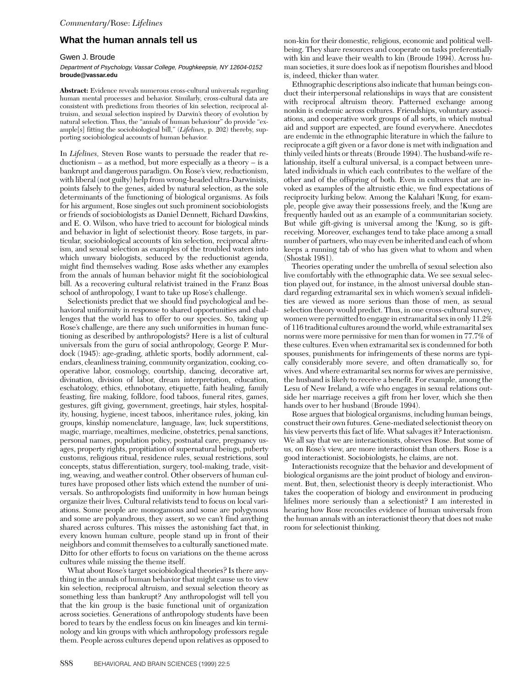## **What the human annals tell us**

#### Gwen J. Broude

Department of Psychology, Vassar College, Poughkeepsie, NY 12604-0152 **broude@vassar.edu**

**Abstract:** Evidence reveals numerous cross-cultural universals regarding human mental processes and behavior. Similarly, cross-cultural data are consistent with predictions from theories of kin selection, reciprocal altruism, and sexual selection inspired by Darwin's theory of evolution by natural selection. Thus, the "annals of human behaviour" do provide "example[s] fitting the sociobiological bill," (*Lifelines,* p. 202) thereby, supporting sociobiological accounts of human behavior.

In *Lifelines,* Steven Rose wants to persuade the reader that reductionism – as a method, but more especially as a theory – is a bankrupt and dangerous paradigm. On Rose's view, reductionism, with liberal (not guilty) help from wrong-headed ultra-Darwinists, points falsely to the genes, aided by natural selection, as the sole determinants of the functioning of biological organisms. As foils for his argument, Rose singles out such prominent sociobiologists or friends of sociobiologists as Daniel Dennett, Richard Dawkins, and E. O. Wilson, who have tried to account for biological minds and behavior in light of selectionist theory. Rose targets, in particular, sociobiological accounts of kin selection, reciprocal altruism, and sexual selection as examples of the troubled waters into which unwary biologists, seduced by the reductionist agenda, might find themselves wading. Rose asks whether any examples from the annals of human behavior might fit the sociobiological bill. As a recovering cultural relativist trained in the Franz Boas school of anthropology, I want to take up Rose's challenge.

Selectionists predict that we should find psychological and behavioral uniformity in response to shared opportunities and challenges that the world has to offer to our species. So, taking up Rose's challenge, are there any such uniformities in human functioning as described by anthropologists? Here is a list of cultural universals from the guru of social anthropology, George P. Murdock (1945): age-grading, athletic sports, bodily adornment, calendars, cleanliness training, community organization, cooking, cooperative labor, cosmology, courtship, dancing, decorative art, divination, division of labor, dream interpretation, education, eschatology, ethics, ethnobotany, etiquette, faith healing, family feasting, fire making, folklore, food taboos, funeral rites, games, gestures, gift giving, government, greetings, hair styles, hospitality, housing, hygiene, incest taboos, inheritance rules, joking, kin groups, kinship nomenclature, language, law, luck superstitions, magic, marriage, mealtimes, medicine, obstetrics, penal sanctions, personal names, population policy, postnatal care, pregnancy usages, property rights, propitiation of supernatural beings, puberty customs, religious ritual, residence rules, sexual restrictions, soul concepts, status differentiation, surgery, tool-making, trade, visiting, weaving, and weather control. Other observers of human cultures have proposed other lists which extend the number of universals. So anthropologists find uniformity in how human beings organize their lives. Cultural relativists tend to focus on local variations. Some people are monogamous and some are polygynous and some are polyandrous, they assert, so we can't find anything shared across cultures. This misses the astonishing fact that, in every known human culture, people stand up in front of their neighbors and commit themselves to a culturally sanctioned mate. Ditto for other efforts to focus on variations on the theme across cultures while missing the theme itself.

What about Rose's target sociobiological theories? Is there anything in the annals of human behavior that might cause us to view kin selection, reciprocal altruism, and sexual selection theory as something less than bankrupt? Any anthropologist will tell you that the kin group is the basic functional unit of organization across societies. Generations of anthropology students have been bored to tears by the endless focus on kin lineages and kin terminology and kin groups with which anthropology professors regale them. People across cultures depend upon relatives as opposed to non-kin for their domestic, religious, economic and political wellbeing. They share resources and cooperate on tasks preferentially with kin and leave their wealth to kin (Broude 1994). Across human societies, it sure does look as if nepotism flourishes and blood is, indeed, thicker than water.

Ethnographic descriptions also indicate that human beings conduct their interpersonal relationships in ways that are consistent with reciprocal altruism theory. Patterned exchange among nonkin is endemic across cultures. Friendships, voluntary associations, and cooperative work groups of all sorts, in which mutual aid and support are expected, are found everywhere. Anecdotes are endemic in the ethnographic literature in which the failure to reciprocate a gift given or a favor done is met with indignation and thinly veiled hints or threats (Broude 1994). The husband-wife relationship, itself a cultural universal, is a compact between unrelated individuals in which each contributes to the welfare of the other and of the offspring of both. Even in cultures that are invoked as examples of the altruistic ethic, we find expectations of reciprocity lurking below. Among the Kalahari !Kung, for example, people give away their possessions freely, and the !Kung are frequently hauled out as an example of a communitarian society. But while gift-giving is universal among the !Kung, so is giftreceiving. Moreover, exchanges tend to take place among a small number of partners, who may even be inherited and each of whom keeps a running tab of who has given what to whom and when (Shostak 1981).

Theories operating under the umbrella of sexual selection also live comfortably with the ethnographic data. We see sexual selection played out, for instance, in the almost universal double standard regarding extramarital sex in which women's sexual infidelities are viewed as more serious than those of men, as sexual selection theory would predict. Thus, in one cross-cultural survey, women were permitted to engage in extramarital sex in only 11.2% of 116 traditional cultures around the world, while extramarital sex norms were more permissive for men than for women in 77.7% of these cultures. Even when extramarital sex is condemned for both spouses, punishments for infringements of these norms are typically considerably more severe, and often dramatically so, for wives. And where extramarital sex norms for wives are permissive, the husband is likely to receive a benefit. For example, among the Lesu of New Ireland, a wife who engages in sexual relations outside her marriage receives a gift from her lover, which she then hands over to her husband (Broude 1994).

Rose argues that biological organisms, including human beings, construct their own futures. Gene-mediated selectionist theory on his view perverts this fact of life. What salvages it? Interactionism. We all say that we are interactionists, observes Rose. But some of us, on Rose's view, are more interactionist than others. Rose is a good interactionist. Sociobiologists, he claims, are not.

Interactionists recognize that the behavior and development of biological organisms are the joint product of biology and environment. But, then, selectionist theory is deeply interactionist. Who takes the cooperation of biology and environment in producing lifelines more seriously than a selectionist? I am interested in hearing how Rose reconciles evidence of human universals from the human annals with an interactionist theory that does not make room for selectionist thinking.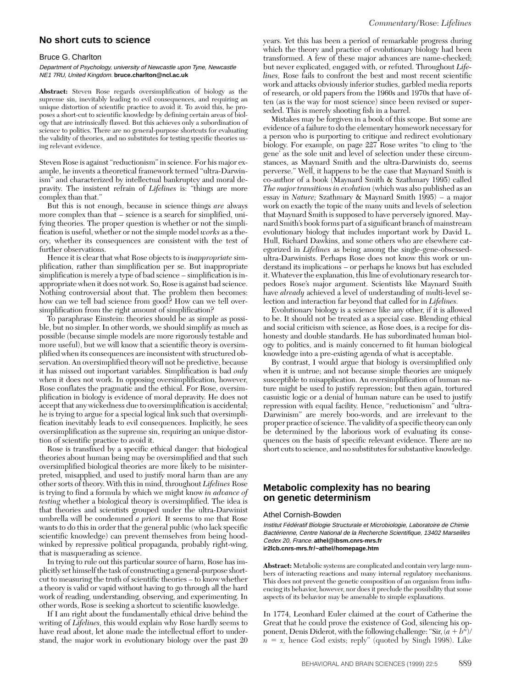## **No short cuts to science**

#### Bruce G. Charlton

Department of Psychology, university of Newcastle upon Tyne, Newcastle NE1 7RU, United Kingdom. **bruce.charlton@ncl.ac.uk**

**Abstract:** Steven Rose regards oversimplification of biology as the supreme sin, inevitably leading to evil consequences, and requiring an unique distortion of scientific practice to avoid it. To avoid this, he proposes a short-cut to scientific knowledge by defining certain areas of biology that are intrinsically flawed. But this achieves only a subordination of science to politics. There are no general-purpose shortcuts for evaluating the validity of theories, and no substitutes for testing specific theories using relevant evidence.

Steven Rose is against "reductionism" in science. For his major example, he invents a theoretical framework termed "ultra-Darwinism" and characterized by intellectual bankruptcy and moral depravity. The insistent refrain of *Lifelines* is: "things are more complex than that."

But this is not enough, because in science things *are* always more complex than that – science is a search for simplified, unifying theories. The proper question is whether or not the simplification is useful, whether or not the simple model *works* as a theory, whether its consequences are consistent with the test of further observations.

Hence it is clear that what Rose objects to is *inappropriate* simplification, rather than simplification per se. But inappropriate simplification is merely a type of bad science – simplification is inappropriate when it does not work. So, Rose is against bad science. Nothing controversial about that. The problem then becomes: how can we tell bad science from good? How can we tell oversimplification from the right amount of simplification?

To paraphrase Einstein: theories should be as simple as possible, but no simpler. In other words, we should simplify as much as possible (because simple models are more rigorously testable and more useful), but we will know that a scientific theory is oversimplified when its consequences are inconsistent with structured observation. An oversimplified theory will not be predictive, because it has missed out important variables. Simplification is bad *only* when it does not work. In opposing oversimplification, however, Rose conflates the pragmatic and the ethical. For Rose, oversimplification in biology is evidence of moral depravity. He does not accept that any wickedness due to oversimplification is accidental; he is trying to argue for a special logical link such that oversimplification inevitably leads to evil consequences. Implicitly, he sees oversimplification as the supreme sin, requiring an unique distortion of scientific practice to avoid it.

Rose is transfixed by a specific ethical danger: that biological theories about human being may be oversimplified and that such oversimplified biological theories are more likely to be misinterpreted, misapplied, and used to justify moral harm than are any other sorts of theory. With this in mind, throughout *Lifelines* Rose is trying to find a formula by which we might know *in advance of testing* whether a biological theory is oversimplified. The idea is that theories and scientists grouped under the ultra-Darwinist umbrella will be condemned *a priori.* It seems to me that Rose wants to do this in order that the general public (who lack specific scientific knowledge) can prevent themselves from being hoodwinked by repressive political propaganda, probably right-wing, that is masquerading as science.

In trying to rule out this particular source of harm, Rose has implicitly set himself the task of constructing a general-purpose shortcut to measuring the truth of scientific theories – to know whether a theory is valid or vapid without having to go through all the hard work of reading, understanding, observing, and experimenting. In other words, Rose is seeking a shortcut to scientific knowledge.

If I am right about the fundamentally ethical drive behind the writing of *Lifelines,* this would explain why Rose hardly seems to have read about, let alone made the intellectual effort to understand, the major work in evolutionary biology over the past 20 years. Yet this has been a period of remarkable progress during which the theory and practice of evolutionary biology had been transformed. A few of these major advances are name-checked; but never explicated, engaged with, or refuted. Throughout *Lifelines,* Rose fails to confront the best and most recent scientific work and attacks obviously inferior studies, garbled media reports of research, or old papers from the 1960s and 1970s that have often (as is the way for most science) since been revised or superseded. This is merely shooting fish in a barrel.

Mistakes may be forgiven in a book of this scope. But some are evidence of a failure to do the elementary homework necessary for a person who is purporting to critique and redirect evolutionary biology. For example, on page 227 Rose writes "to cling to 'the gene' as the sole unit and level of selection under these circumstances, as Maynard Smith and the ultra-Darwinists do, seems perverse." Well, it happens to be the case that Maynard Smith is co-author of a book (Maynard Smith & Szathmary 1995) called *The major transitions in evolution* (which was also published as an essay in *Nature;* Szathmary & Maynard Smith 1995) – a major work on exactly the topic of the many units and levels of selection that Maynard Smith is supposed to have perversely ignored. Maynard Smith's book forms part of a significant branch of mainstream evolutionary biology that includes important work by David L. Hull, Richard Dawkins, and some others who are elsewhere categorized in *Lifelines* as being among the single-gene-obsessedultra-Darwinists. Perhaps Rose does not know this work or understand its implications – or perhaps he knows but has excluded it. Whatever the explanation, this line of evolutionary research torpedoes Rose's major argument. Scientists like Maynard Smith have *already* achieved a level of understanding of multi-level selection and interaction far beyond that called for in *Lifelines.*

Evolutionary biology is a science like any other, if it is allowed to be. It should not be treated as a special case. Blending ethical and social criticism with science, as Rose does, is a recipe for dishonesty and double standards. He has subordinated human biology to politics, and is mainly concerned to fit human biological knowledge into a pre-existing agenda of what is acceptable.

By contrast, I would argue that biology is oversimplified only when it is untrue; and not because simple theories are uniquely susceptible to misapplication. An oversimplification of human nature might be used to justify repression; but then again, tortured casuistic logic or a denial of human nature can be used to justify repression with equal facility. Hence, "reductionism" and "ultra-Darwinism" are merely boo-words, and are irrelevant to the proper practice of science. The validity of a specific theory can only be determined by the laborious work of evaluating its consequences on the basis of specific relevant evidence. There are no short cuts to science, and no substitutes for substantive knowledge.

## **Metabolic complexity has no bearing on genetic determinism**

#### Athel Cornish-Bowden

Institut Fédératif Biologie Structurale et Microbiologie, Laboratoire de Chimie Bactérienne, Centre National de la Recherche Scientifique, 13402 Marseilles Cedex 20, France. **athel@ibsm.cnrs-mrs.fr ir2lcb.cnrs-mrs.fr/~athel/homepage.htm**

**Abstract:** Metabolic systems are complicated and contain very large numbers of interacting reactions and many internal regulatory mechanisms. This does not prevent the genetic composition of an organism from influencing its behavior, however, nor does it preclude the possibility that some aspects of its behavior may be amenable to simple explanations.

In 1774, Leonhard Euler claimed at the court of Catherine the Great that he could prove the existence of God, silencing his opponent, Denis Diderot, with the following challenge: "Sir,  $\ddot{a} + b^{n}$ )/  $\bar{n} = x$ , hence God exists; reply" (quoted by Singh 1998). Like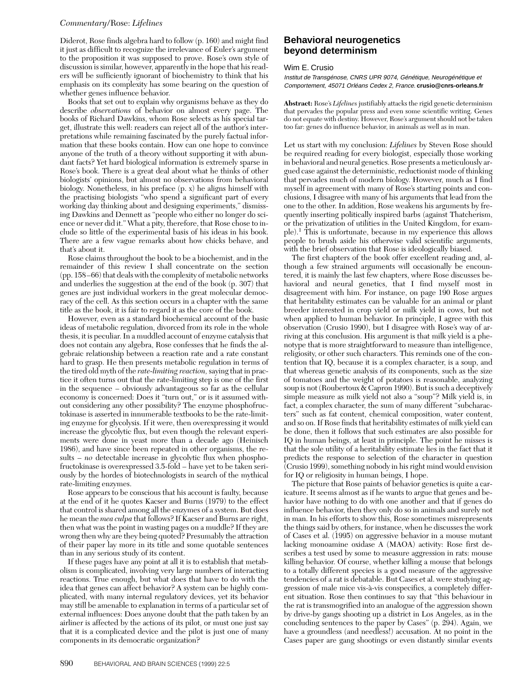Diderot, Rose finds algebra hard to follow (p. 160) and might find it just as difficult to recognize the irrelevance of Euler's argument to the proposition it was supposed to prove. Rose's own style of discussion is similar, however, apparently in the hope that his readers will be sufficiently ignorant of biochemistry to think that his emphasis on its complexity has some bearing on the question of whether genes influence behavior.

Books that set out to explain why organisms behave as they do describe *observations* of behavior on almost every page. The books of Richard Dawkins, whom Rose selects as his special target, illustrate this well: readers can reject all of the author's interpretations while remaining fascinated by the purely factual information that these books contain. How can one hope to convince anyone of the truth of a theory without supporting it with abundant facts? Yet hard biological information is extremely sparse in Rose's book. There is a great deal about what he thinks of other biologists' opinions, but almost no observations from behavioral biology. Nonetheless, in his preface (p. x) he aligns himself with the practising biologists "who spend a significant part of every working day thinking about and designing experiments," dismissing Dawkins and Dennett as "people who either no longer do science or never did it." What a pity, therefore, that Rose chose to include so little of the experimental basis of his ideas in his book. There are a few vague remarks about how chicks behave, and that's about it.

Rose claims throughout the book to be a biochemist, and in the remainder of this review I shall concentrate on the section (pp. 158–66) that deals with the complexity of metabolic networks and underlies the suggestion at the end of the book (p. 307) that genes are just individual workers in the great molecular democracy of the cell. As this section occurs in a chapter with the same title as the book, it is fair to regard it as the core of the book.

However, even as a standard biochemical account of the basic ideas of metabolic regulation, divorced from its role in the whole thesis, it is peculiar. In a muddled account of enzyme catalysis that does not contain any algebra, Rose confesses that he finds the algebraic relationship between a reaction rate and a rate constant hard to grasp. He then presents metabolic regulation in terms of the tired old myth of the *rate-limiting reaction,*saying that in practice it often turns out that the rate-limiting step is one of the first in the sequence – obviously advantageous so far as the cellular economy is concerned: Does it "turn out," or is it assumed without considering any other possibility? The enzyme phosphofructokinase is asserted in innumerable textbooks to be the rate-limiting enzyme for glycolysis. If it were, then overexpressing it would increase the glycolytic flux, but even though the relevant experiments were done in yeast more than a decade ago (Heinisch 1986), and have since been repeated in other organisms, the results – *no* detectable increase in glycolytic flux when phosphofructokinase is overexpressed 3.5-fold – have yet to be taken seriously by the hordes of biotechnologists in search of the mythical rate-limiting enzymes.

Rose appears to be conscious that his account is faulty, because at the end of it he quotes Kacser and Burns (1979) to the effect that control is shared among all the enzymes of a system. But does he mean the *mea culpa* that follows? If Kacser and Burns are right, then what was the point in wasting pages on a muddle? If they are wrong then why are they being quoted? Presumably the attraction of their paper lay more in its title and some quotable sentences than in any serious study of its content.

If these pages have any point at all it is to establish that metabolism is complicated, involving very large numbers of interacting reactions. True enough, but what does that have to do with the idea that genes can affect behavior? A system can be highly complicated, with many internal regulatory devices, yet its behavior may still be amenable to explanation in terms of a particular set of external influences: Does anyone doubt that the path taken by an airliner is affected by the actions of its pilot, or must one just say that it is a complicated device and the pilot is just one of many components in its democratic organization?

## **Behavioral neurogenetics beyond determinism**

#### Wim E. Crusio

Institut de Transgénose, CNRS UPR 9074, Génétique, Neurogénétique et Comportement, 45071 Orléans Cedex 2, France. **crusio@cnrs-orleans.fr**

**Abstract:** Rose's *Lifelines* justifiably attacks the rigid genetic determinism that pervades the popular press and even some scientific writing. Genes do not equate with destiny. However, Rose's argument should not be taken too far: genes do influence behavior, in animals as well as in man.

Let us start with my conclusion: *Lifelines* by Steven Rose should be required reading for every biologist, especially those working in behavioral and neural genetics. Rose presents a meticulously argued case against the deterministic, reductionist mode of thinking that pervades much of modern biology. However, much as I find myself in agreement with many of Rose's starting points and conclusions, I disagree with many of his arguments that lead from the one to the other. In addition, Rose weakens his arguments by frequently inserting politically inspired barbs (against Thatcherism, or the privatization of utilities in the United Kingdom, for example).1 This is unfortunate, because in my experience this allows people to brush aside his otherwise valid scientific arguments, with the brief observation that Rose is ideologically biased.

The first chapters of the book offer excellent reading and, although a few strained arguments will occasionally be encountered, it is mainly the last few chapters, where Rose discusses behavioral and neural genetics, that I find myself most in disagreement with him. For instance, on page 190 Rose argues that heritability estimates can be valuable for an animal or plant breeder interested in crop yield or milk yield in cows, but not when applied to human behavior. In principle, I agree with this observation (Crusio 1990), but I disagree with Rose's way of arriving at this conclusion. His argument is that milk yield is a phenotype that is more straightforward to measure than intelligence, religiosity, or other such characters. This reminds one of the contention that IQ, because it is a complex character, is a soup, and that whereas genetic analysis of its components, such as the size of tomatoes and the weight of potatoes is reasonable, analyzing soup is not (Roubertoux  $\&$  Capron 1990). But is such a deceptively simple measure as milk yield not also a "soup"? Milk yield is, in fact, a complex character, the sum of many different "subcharacters" such as fat content, chemical composition, water content, and so on. If Rose finds that heritability estimates of milk yield can be done, then it follows that such estimates are also possible for IQ in human beings, at least in principle. The point he misses is that the sole utility of a heritability estimate lies in the fact that it predicts the response to selection of the character in question (Crusio 1999), something nobody in his right mind would envision for IQ or religiosity in human beings, I hope.

The picture that Rose paints of behavior genetics is quite a caricature. It seems almost as if he wants to argue that genes and behavior have nothing to do with one another and that if genes do influence behavior, then they only do so in animals and surely not in man. In his efforts to show this, Rose sometimes misrepresents the things said by others, for instance, when he discusses the work of Cases et al. (1995) on aggressive behavior in a mouse mutant lacking monoamine oxidase A (MAOA) activity: Rose first describes a test used by some to measure aggression in rats: mouse killing behavior. Of course, whether killing a mouse that belongs to a totally different species is a good measure of the aggressive tendencies of a rat is debatable. But Cases et al. were studying aggression of male mice vis-à-vis conspecifics, a completely different situation. Rose then continues to say that "this behaviour in the rat is transmogrified into an analogue of the aggression shown by drive-by gangs shooting up a district in Los Angeles, as in the concluding sentences to the paper by Cases" (p. 294). Again, we have a groundless (and needless!) accusation. At no point in the Cases paper are gang shootings or even distantly similar events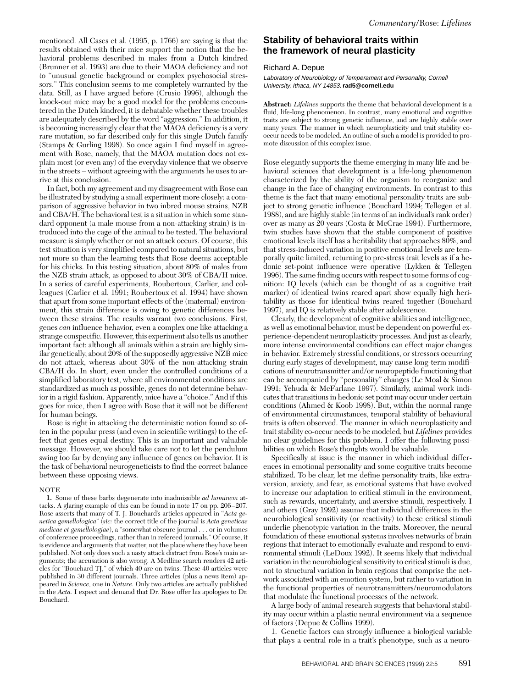mentioned. All Cases et al. (1995, p. 1766) are saying is that the results obtained with their mice support the notion that the behavioral problems described in males from a Dutch kindred (Brunner et al. 1993) are due to their MAOA deficiency and not to "unusual genetic background or complex psychosocial stressors." This conclusion seems to me completely warranted by the data. Still, as I have argued before (Crusio 1996), although the knock-out mice may be a good model for the problems encountered in the Dutch kindred, it is debatable whether these troubles are adequately described by the word "aggression." In addition, it is becoming increasingly clear that the MAOA deficiency is a very rare mutation, so far described only for this single Dutch family (Stamps & Gurling 1998). So once again I find myself in agreement with Rose, namely, that the MAOA mutation does not explain most (or even any) of the everyday violence that we observe in the streets – without agreeing with the arguments he uses to arrive at this conclusion.

In fact, both my agreement and my disagreement with Rose can be illustrated by studying a small experiment more closely: a comparison of aggressive behavior in two inbred mouse strains, NZB and CBA/H. The behavioral test is a situation in which some standard opponent (a male mouse from a non-attacking strain) is introduced into the cage of the animal to be tested. The behavioral measure is simply whether or not an attack occurs. Of course, this test situation is very simplified compared to natural situations, but not more so than the learning tests that Rose deems acceptable for his chicks. In this testing situation, about 80% of males from the NZB strain attack, as opposed to about 30% of CBA/H mice. In a series of careful experiments, Roubertoux, Carlier, and colleagues (Carlier et al. 1991; Roubertoux et al. 1994) have shown that apart from some important effects of the (maternal) environment, this strain difference is owing to genetic differences between these strains. The results warrant two conclusions. First, genes *can* influence behavior, even a complex one like attacking a strange conspecific. However, this experiment also tells us another important fact: although all animals within a strain are highly similar genetically, about 20% of the supposedly aggressive NZB mice do not attack, whereas about 30% of the non-attacking strain CBA/H do. In short, even under the controlled conditions of a simplified laboratory test, where all environmental conditions are standardized as much as possible, genes do not determine behavior in a rigid fashion. Apparently, mice have a "choice." And if this goes for mice, then I agree with Rose that it will not be different for human beings.

Rose is right in attacking the deterministic notion found so often in the popular press (and even in scientific writings) to the effect that genes equal destiny. This is an important and valuable message. However, we should take care not to let the pendulum swing too far by denying any influence of genes on behavior. It is the task of behavioral neurogeneticists to find the correct balance between these opposing views.

#### NOTE

**1.** Some of these barbs degenerate into inadmissible *ad hominem* attacks. A glaring example of this can be found in note 17 on pp. 206–207. Rose asserts that many of T. J. Bouchard's articles appeared in "*Acta genetica gemellologica*" (*sic:* the correct title of the journal is *Acta geneticae medicae et gemellologiae*), a "somewhat obscure journal . . . or in volumes of conference proceedings, rather than in refereed journals." Of course, it is evidence and arguments that matter, not the place where they have been published. Not only does such a nasty attack distract from Rose's main arguments; the accusation is also wrong. A Medline search renders 42 articles for "Bouchard TJ," of which 40 are on twins. These 40 articles were published in 30 different journals. Three articles (plus a news item) appeared in *Science,* one in *Nature.* Only two articles are actually published in the *Acta.* I expect and demand that Dr. Rose offer his apologies to Dr. Bouchard.

## **Stability of behavioral traits within the framework of neural plasticity**

#### Richard A. Depue

Laboratory of Neurobiology of Temperament and Personality, Cornell University, Ithaca, NY 14853. **rad5@cornell.edu**

**Abstract:** *Lifelines* supports the theme that behavioral development is a fluid, life-long phenomenon. In contrast, many emotional and cognitive traits are subject to strong genetic influence, and are highly stable over many years. The manner in which neuroplasticity and trait stability cooccur needs to be modeled. An outline of such a model is provided to promote discussion of this complex issue.

Rose elegantly supports the theme emerging in many life and behavioral sciences that development is a life-long phenomenon characterized by the ability of the organism to reorganize and change in the face of changing environments. In contrast to this theme is the fact that many emotional personality traits are subject to strong genetic influence (Bouchard 1994; Tellegen et al. 1988), and are highly stable (in terms of an individual's rank order) over as many as 20 years (Costa & McCrae 1994). Furthermore, twin studies have shown that the stable component of positive emotional levels itself has a heritability that approaches 80%, and that stress-induced variation in positive emotional levels are temporally quite limited, returning to pre-stress trait levels as if a hedonic set-point influence were operative (Lykken & Tellegen 1996). The same finding occurs with respect to some forms of cognition: IQ levels (which can be thought of as a cognitive trait marker) of identical twins reared apart show equally high heritability as those for identical twins reared together (Bouchard 1997), and IQ is relatively stable after adolescence.

Clearly, the development of cognitive abilities and intelligence, as well as emotional behavior, must be dependent on powerful experience-dependent neuroplasticity processes. And just as clearly, more intense environmental conditions can effect major changes in behavior. Extremely stressful conditions, or stressors occurring during early stages of development, may cause long-term modifications of neurotransmitter and/or neuropeptide functioning that can be accompanied by "personality" changes (Le Moal & Simon 1991; Yehuda & McFarlane 1997). Similarly, animal work indicates that transitions in hedonic set point may occur under certain conditions (Ahmed & Koob 1998). But, within the normal range of environmental circumstances, temporal stability of behavioral traits is often observed. The manner in which neuroplasticity and trait stability co-occur needs to be modeled, but *Lifelines* provides no clear guidelines for this problem. I offer the following possibilities on which Rose's thoughts would be valuable.

Specifically at issue is the manner in which individual differences in emotional personality and some cognitive traits become stabilized. To be clear, let me define personality traits, like extraversion, anxiety, and fear, as emotional systems that have evolved to increase our adaptation to critical stimuli in the environment, such as rewards, uncertainty, and aversive stimuli, respectively. I and others (Gray 1992) assume that individual differences in the neurobiological sensitivity (or reactivity) to these critical stimuli underlie phenotypic variation in the traits. Moreover, the neural foundation of these emotional systems involves networks of brain regions that interact to emotionally evaluate and respond to environmental stimuli (LeDoux 1992). It seems likely that individual variation in the neurobiological sensitivity to critical stimuli is due, not to structural variation in brain regions that comprise the network associated with an emotion system, but rather to variation in the functional properties of neurotransmitters/neuromodulators that modulate the functional processes of the network.

A large body of animal research suggests that behavioral stability may occur within a plastic neural environment via a sequence of factors (Depue & Collins 1999).

1. Genetic factors can strongly influence a biological variable that plays a central role in a trait's phenotype, such as a neuro-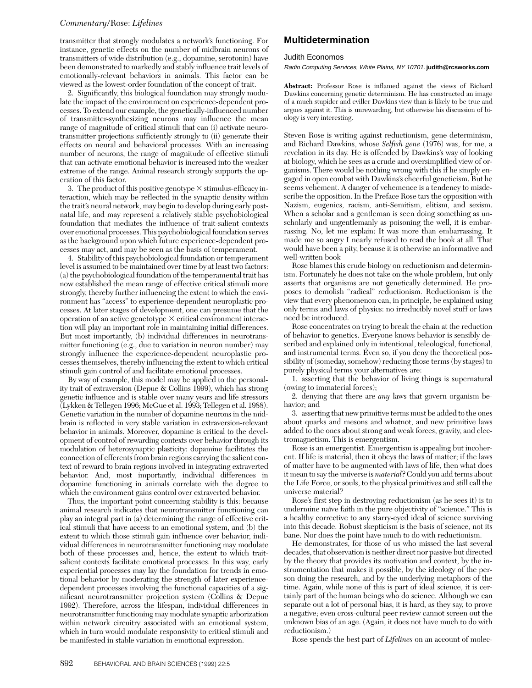transmitter that strongly modulates a network's functioning. For instance, genetic effects on the number of midbrain neurons of transmitters of wide distribution (e.g., dopamine, serotonin) have been demonstrated to markedly and stably influence trait levels of emotionally-relevant behaviors in animals. This factor can be viewed as the lowest-order foundation of the concept of trait.

2. Significantly, this biological foundation may strongly modulate the impact of the environment on experience-dependent processes. To extend our example, the genetically-influenced number of transmitter-synthesizing neurons may influence the mean range of magnitude of critical stimuli that can (i) activate neurotransmitter projections sufficiently strongly to (ii) generate their effects on neural and behavioral processes. With an increasing number of neurons, the range of magnitude of effective stimuli that can activate emotional behavior is increased into the weaker extreme of the range. Animal research strongly supports the operation of this factor.

3. The product of this positive genotype  $\times$  stimulus-efficacy interaction, which may be reflected in the synaptic density within the trait's neural network, may begin to develop during early postnatal life, and may represent a relatively stable psychobiological foundation that mediates the influence of trait-salient contexts over emotional processes. This psychobiological foundation serves as the background upon which future experience-dependent processes may act, and may be seen as the basis of temperament.

4. Stability of this psychobiological foundation or temperament level is assumed to be maintained over time by at least two factors: (a) the psychobiological foundation of the temperamental trait has now established the mean range of effective critical stimuli more strongly, thereby further influencing the extent to which the environment has "access" to experience-dependent neuroplastic processes. At later stages of development, one can presume that the operation of an active genetotype  $\times$  critical environment interaction will play an important role in maintaining initial differences. But most importantly, (b) individual differences in neurotransmitter functioning (e.g., due to variation in neuron number) may strongly influence the experience-dependent neuroplastic processes themselves, thereby influencing the extent to which critical stimuli gain control of and facilitate emotional processes.

By way of example, this model may be applied to the personality trait of extraversion (Depue & Collins 1999), which has strong genetic influence and is stable over many years and life stressors (Lykken & Tellegen 1996; McGue et al. 1993; Tellegen et al. 1988). Genetic variation in the number of dopamine neurons in the midbrain is reflected in very stable variation in extraversion-relevant behavior in animals. Moreover, dopamine is critical to the development of control of rewarding contexts over behavior through its modulation of heterosynaptic plasticity: dopamine facilitates the connection of efferents from brain regions carrying the salient context of reward to brain regions involved in integrating extraverted behavior. And, most importantly, individual differences in dopamine functioning in animals correlate with the degree to which the environment gains control over extraverted behavior.

Thus, the important point concerning stability is this: because animal research indicates that neurotransmitter functioning can play an integral part in (a) determining the range of effective critical stimuli that have access to an emotional system, and (b) the extent to which those stimuli gain influence over behavior, individual differences in neurotransmitter functioning may modulate both of these processes and, hence, the extent to which traitsalient contexts facilitate emotional processes. In this way, early experiential processes may lay the foundation for trends in emotional behavior by moderating the strength of later experiencedependent processes involving the functional capacities of a significant neurotransmitter projection system (Collins & Depue 1992). Therefore, across the lifespan, individual differences in neurotransmitter functioning may modulate synaptic arborization within network circuitry associated with an emotional system, which in turn would modulate responsivity to critical stimuli and be manifested in stable variation in emotional expression.

## **Multidetermination**

#### Judith Economos

Radio Computing Services, White Plains, NY 10701. **judith@rcsworks.com**

**Abstract:** Professor Rose is inflamed against the views of Richard Dawkins concerning genetic determinism. He has constructed an image of a much stupider and eviller Dawkins view than is likely to be true and argues against it. This is unrewarding, but otherwise his discussion of biology is very interesting.

Steven Rose is writing against reductionism, gene determinism, and Richard Dawkins, whose *Selfish gene* (1976) was, for me, a revelation in its day. He is offended by Dawkins's way of looking at biology, which he sees as a crude and oversimplified view of organisms. There would be nothing wrong with this if he simply engaged in open combat with Dawkins's cheerful geneticism. But he seems vehement. A danger of vehemence is a tendency to misdescribe the opposition. In the Preface Rose tars the opposition with Nazism, eugenics, racism, anti-Semitism, elitism, and sexism. When a scholar and a gentleman is seen doing something as unscholarly and ungentlemanly as poisoning the well, it is embarrassing. No, let me explain: It was more than embarrassing. It made me so angry I nearly refused to read the book at all. That would have been a pity, because it is otherwise an informative and well-written book

Rose blames this crude biology on reductionism and determinism. Fortunately he does not take on the whole problem, but only asserts that organisms are not genetically determined. He proposes to demolish "radical" reductionism. Reductionism is the view that every phenomenon can, in principle, be explained using only terms and laws of physics: no irreducibly novel stuff or laws need be introduced.

Rose concentrates on trying to break the chain at the reduction of behavior to genetics. Everyone knows behavior is sensibly described and explained only in intentional, teleological, functional, and instrumental terms. Even so, if you deny the theoretical possibility of (someday, somehow) reducing those terms (by stages) to purely physical terms your alternatives are:

1. asserting that the behavior of living things is supernatural (owing to immaterial forces);

2. denying that there are *any* laws that govern organism behavior; and

3. asserting that new primitive terms must be added to the ones about quarks and mesons and whatnot, and new primitive laws added to the ones about strong and weak forces, gravity, and electromagnetism. This is emergentism.

Rose is an emergentist. Emergentism is appealing but incoherent. If life is material, then it obeys the laws of matter; if the laws of matter have to be augmented with laws of life, then what does it mean to say the universe is *material*? Could you add terms about the Life Force, or souls, to the physical primitives and still call the universe material?

Rose's first step in destroying reductionism (as he sees it) is to undermine naïve faith in the pure objectivity of "science." This is a healthy corrective to any starry-eyed ideal of science surviving into this decade. Robust skepticism is the basis of science, not its bane. Nor does the point have much to do with reductionism.

He demonstrates, for those of us who missed the last several decades, that observation is neither direct nor passive but directed by the theory that provides its motivation and context, by the instrumentation that makes it possible, by the ideology of the person doing the research, and by the underlying metaphors of the time. Again, while none of this is part of ideal science, it is certainly part of the human beings who do science. Although we can separate out a lot of personal bias, it is hard, as they say, to prove a negative; even cross-cultural peer review cannot screen out the unknown bias of an age. (Again, it does not have much to do with reductionism.)

Rose spends the best part of *Lifelines* on an account of molec-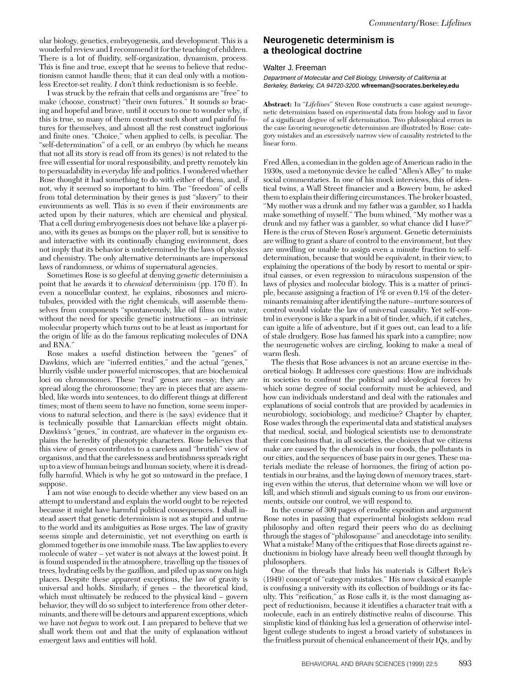ular biology, genetics, embryogenesis, and development. This is a wonderful review and I recommend it for the teaching of children. There is a lot of fluidity, self-organization, dynamism, process. This is fine and true, except that he seems to believe that reductionism cannot handle them; that it can deal only with a motionless Erector-set reality. *I* don't think reductionism is so feeble.

I was struck by the refrain that cells and organisms are "free" to make (choose, construct) "their own futures." It sounds *so* bracing and hopeful and brave, until it occurs to one to wonder why, if this is true, so many of them construct such short and painful futures for themselves, and almost all the rest construct inglorious and finite ones. "Choice," when applied to cells, is peculiar. The "self-determination" of a cell, or an embryo (by which he means that not all its story is read off from its genes) is not related to the free will essential for moral responsibility, and pretty remotely kin to persuadability in everyday life and politics. I wondered whether Rose thought it had something to do with either of them, and, if not, why it seemed so important to him. The "freedom" of cells from total determination by their genes is just "slavery" to their environments as well. This is so even if their environments are acted upon by their natures, which are chemical and physical. That a cell during embryogenesis does not behave like a player piano, with its genes as bumps on the player roll, but is sensitive to and interactive with its continually changing environment, does not imply that its behavior is undetermined by the laws of physics and chemistry. The only alternative determinants are impersonal laws of randomness, or whims of supernatural agencies.

Sometimes Rose is so gleeful at denying *genetic* determinism a point that he awards it to *chemical* determinism (pp. 170 ff). In even a noncellular context, he explains, ribosomes and microtubules, provided with the right chemicals, will assemble themselves from components "spontaneously, like oil films on water, without the need for specific genetic instructions – an intrinsic molecular property which turns out to be at least as important for the origin of life as do the famous replicating molecules of DNA and RNA."

Rose makes a useful distinction between the "genes" of Dawkins, which are "inferred entities," and the actual "genes," blurrily visible under powerful microscopes, that are biochemical loci on chromosomes. These "real" genes are messy; they are spread along the chromosome; they are in pieces that are assembled, like words into sentences, to do different things at different times; most of them seem to have no function, some seem impervious to natural selection, and there is (he says) evidence that it is technically possible that Lamarckian effects might obtain. Dawkins's "genes," in contrast, are whatever in the organism explains the heredity of phenotypic characters. Rose believes that this view of genes contributes to a careless and "brutish" view of organisms, and that the carelessness and brutishness spreads right up to a view of human beings and human society, where it is dreadfully harmful. Which is why he got so untoward in the preface, I suppose.

I am not wise enough to decide whether any view based on an attempt to understand and explain the world ought to be rejected because it might have harmful political consequences. I shall instead assert that genetic determinism is not as stupid and untrue to the world and its ambiguities as Rose urges. The law of gravity seems simple and deterministic, yet not everything on earth is glommed together in one immobile mass. The law applies to every molecule of water – yet water is not always at the lowest point. It is found suspended in the atmosphere, travelling up the tissues of trees, hydrating cells by the gazillion, and piled up as snow on high places. Despite these apparent exceptions, the law of gravity is universal and holds. Similarly, if genes – the theoretical kind, which must ultimately be reduced to the physical kind – govern behavior, they will do so subject to interference from other determinants, and there will be detours and apparent exceptions, which we have not *begun* to work out. I am prepared to believe that we shall work them out and that the unity of explanation without emergent laws and entities will hold.

## **Neurogenetic determinism is a theological doctrine**

#### Walter J. Freeman

Department of Molecular and Cell Biology, University of California at Berkeley, Berkeley, CA 94720-3200. **wfreeman@socrates.berkeley.edu**

**Abstract:** In "*Lifelines*" Steven Rose constructs a case against neurogenetic determinism based on experimental data from biology and in favor of a significant degree of self determination. Two philosophical errors in the case favoring neurogenetic determinism are illustrated by Rose: category mistakes and an excessively narrow view of causality restricted to the linear form.

Fred Allen, a comedian in the golden age of American radio in the 1930s, used a metonymic device he called "Allen's Alley" to make social commentaries. In one of his mock interviews, this of identical twins, a Wall Street financier and a Bowery bum, he asked them to explain their differing circumstances. The broker boasted, "My mother was a drunk and my father was a gambler, so I hadda make something of myself." The bum whined, "My mother was a drunk and my father was a gambler, so what chance did I have?" Here is the crux of Steven Rose's argument. Genetic determinists are willing to grant a share of control to the environment, but they are unwilling or unable to assign even a minute fraction to selfdetermination, because that would be equivalent, in their view, to explaining the operations of the body by resort to mental or spiritual causes, or even regression to miraculous suspension of the laws of physics and molecular biology. This is a matter of principle, because assigning a fraction of 1% or even 0.1% of the determinants remaining after identifying the nature–nurture sources of control would violate the law of universal causality. Yet self-control in everyone is like a spark in a bit of tinder, which, if it catches, can ignite a life of adventure, but if it goes out, can lead to a life of stale drudgery. Rose has fanned his spark into a campfire; now the neurogenetic wolves are circling, looking to make a meal of warm flesh.

The thesis that Rose advances is not an arcane exercise in theoretical biology. It addresses core questions: How are individuals in societies to confront the political and ideological forces by which some degree of social conformity must be achieved, and how can individuals understand and deal with the rationales and explanations of social controls that are provided by academics in neurobiology, sociobiology, and medicine? Chapter by chapter, Rose wades through the experimental data and statistical analyses that medical, social, and biological scientists use to demonstrate their conclusions that, in all societies, the choices that we citizens make are caused by the chemicals in our foods, the pollutants in our cities, and the sequences of base pairs in our genes. These materials mediate the release of hormones, the firing of action potentials in our brains, and the laying down of memory traces, starting even within the uterus, that determine whom we will love or kill, and which stimuli and signals coming to us from our environments, outside our control, we will respond to.

In the course of 309 pages of erudite exposition and argument Rose notes in passing that experimental biologists seldom read philosophy and often regard their peers who do as declining through the stages of "philosopause" and anecdotage into senility. What a mistake! Many of the critiques that Rose directs against reductionism in biology have already been well thought through by philosophers.

One of the threads that links his materials is Gilbert Ryle's (1949) concept of "category mistakes." His now classical example is confusing a university with its collection of buildings or its faculty. This "reification," as Rose calls it, is the most damaging aspect of reductionism, because it identifies a character trait with a molecule, each in an entirely distinctive realm of discourse. This simplistic kind of thinking has led a generation of otherwise intelligent college students to ingest a broad variety of substances in the fruitless pursuit of chemical enhancement of their IQs, and by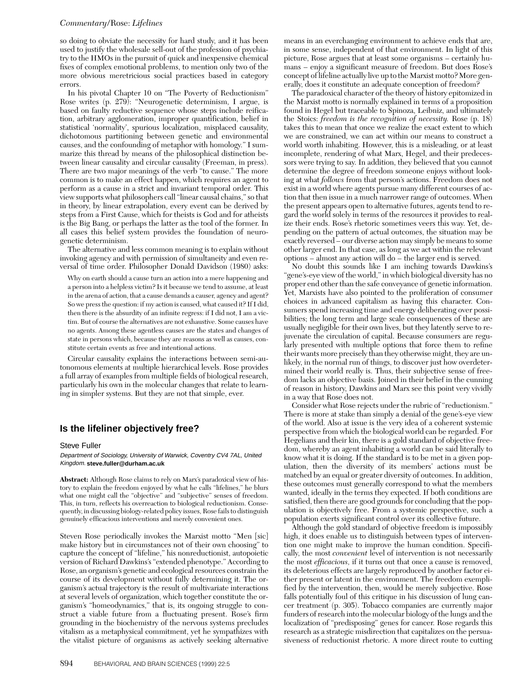so doing to obviate the necessity for hard study, and it has been used to justify the wholesale sell-out of the profession of psychiatry to the HMOs in the pursuit of quick and inexpensive chemical fixes of complex emotional problems, to mention only two of the more obvious meretricious social practices based in category errors.

In his pivotal Chapter 10 on "The Poverty of Reductionism" Rose writes (p. 279): "Neurogenetic determinism, I argue, is based on faulty reductive sequence whose steps include reification, arbitrary agglomeration, improper quantification, belief in statistical 'normality', spurious localization, misplaced causality, dichotomous partitioning between genetic and environmental causes, and the confounding of metaphor with homology." I summarize this thread by means of the philosophical distinction between linear causality and circular causality (Freeman, in press). There are two major meanings of the verb "to cause." The more common is to make an effect happen, which requires an agent to perform as a cause in a strict and invariant temporal order. This view supports what philosophers call "linear causal chains," so that in theory, by linear extrapolation, every event can be derived by steps from a First Cause, which for theists is God and for atheists is the Big Bang, or perhaps the latter as the tool of the former. In all cases this belief system provides the foundation of neurogenetic determinism.

The alternative and less common meaning is to explain without invoking agency and with permission of simultaneity and even reversal of time order. Philosopher Donald Davidson (1980) asks:

Why on earth should a cause turn an action into a mere happening and a person into a helpless victim? Is it because we tend to assume, at least in the arena of action, that a cause demands a causer, agency and agent? So we press the question: if my action is caused, what caused it? If I did, then there is the absurdity of an infinite regress: if I did not, I am a victim. But of course the alternatives are not exhaustive. Some causes have no agents. Among these agentless causes are the states and changes of state in persons which, because they are reasons as well as causes, constitute certain events as free and intentional actions.

Circular causality explains the interactions between semi-autonomous elements at multiple hierarchical levels. Rose provides a full array of examples from multiple fields of biological research, particularly his own in the molecular changes that relate to learning in simpler systems. But they are not that simple, ever.

## **Is the lifeliner objectively free?**

#### Steve Fuller

Department of Sociology, University of Warwick, Coventry CV4 7AL, United Kingdom. **steve.fuller@durham.ac.uk**

**Abstract:** Although Rose claims to rely on Marx's paradoxical view of history to explain the freedom enjoyed by what he calls "lifelines," he blurs what one might call the "objective" and "subjective" senses of freedom. This, in turn, reflects his overreaction to biological reductionism. Consequently, in discussing biology-related policy issues, Rose fails to distinguish genuinely efficacious interventions and merely convenient ones.

Steven Rose periodically invokes the Marxist motto "Men [sic] make history but in circumstances not of their own choosing" to capture the concept of "lifeline," his nonreductionist, autopoietic version of Richard Dawkins's "extended phenotype." According to Rose, an organism's genetic and ecological resources constrain the course of its development without fully determining it. The organism's actual trajectory is the result of multivariate interactions at several levels of organization, which together constitute the organism's "homeodynamics," that is, its ongoing struggle to construct a viable future from a fluctuating present. Rose's firm grounding in the biochemistry of the nervous systems precludes vitalism as a metaphysical commitment, yet he sympathizes with the vitalist picture of organisms as actively seeking alternative

means in an everchanging environment to achieve ends that are, in some sense, independent of that environment. In light of this picture, Rose argues that at least some organisms – certainly humans – enjoy a significant measure of freedom. But does Rose's concept of lifeline actually live up to the Marxist motto? More generally, does it constitute an adequate conception of freedom?

The paradoxical character of the theory of history epitomized in the Marxist motto is normally explained in terms of a proposition found in Hegel but traceable to Spinoza, Leibniz, and ultimately the Stoics: *freedom is the recognition of necessity.* Rose (p. 18) takes this to mean that once we realize the exact extent to which we are constrained, we can act within our means to construct a world worth inhabiting. However, this is a misleading, or at least incomplete, rendering of what Marx, Hegel, and their predecessors were trying to say. In addition, they believed that you cannot determine the degree of freedom someone enjoys without looking at what *follows* from that person's actions. Freedom does not exist in a world where agents pursue many different courses of action that then issue in a much narrower range of outcomes. When the present appears open to alternative futures, agents tend to regard the world solely in terms of the resources it provides to realize their ends. Rose's rhetoric sometimes veers this way. Yet, depending on the pattern of actual outcomes, the situation may be exactly reversed – our diverse action may simply be means to some other larger end. In that case, as long as we act within the relevant options – almost any action will do – the larger end is served.

No doubt this sounds like I am inching towards Dawkins's "gene's-eye view of the world," in which biological diversity has no proper end other than the safe conveyance of genetic information. Yet, Marxists have also pointed to the proliferation of consumer choices in advanced capitalism as having this character. Consumers spend increasing time and energy deliberating over possibilities; the long term and large scale consequences of these are usually negligible for their own lives, but they latently serve to rejuvenate the circulation of capital. Because consumers are regularly presented with multiple options that force them to refine their wants more precisely than they otherwise might, they are unlikely, in the normal run of things, to discover just how overdetermined their world really is. Thus, their subjective sense of freedom lacks an objective basis. Joined in their belief in the cunning of reason in history, Dawkins and Marx see this point very vividly in a way that Rose does not.

Consider what Rose rejects under the rubric of "reductionism." There is more at stake than simply a denial of the gene's-eye view of the world. Also at issue is the very idea of a coherent systemic perspective from which the biological world can be regarded. For Hegelians and their kin, there is a gold standard of objective freedom, whereby an agent inhabiting a world can be said literally to know what it is doing. If the standard is to be met in a given population, then the diversity of its members' actions must be matched by an equal or greater diversity of outcomes. In addition, these outcomes must generally correspond to what the members wanted, ideally in the terms they expected. If both conditions are satisfied, then there are good grounds for concluding that the population is objectively free. From a systemic perspective, such a population exerts significant control over its collective future.

Although the gold standard of objective freedom is impossibly high, it does enable us to distinguish between types of intervention one might make to improve the human condition. Specifically, the most *convenient* level of intervention is not necessarily the most *efficacious,* if it turns out that once a cause is removed, its deleterious effects are largely reproduced by another factor either present or latent in the environment. The freedom exemplified by the intervention, then, would be merely subjective. Rose falls potentially foul of this critique in his discussion of lung cancer treatment (p. 305). Tobacco companies are currently major funders of research into the molecular biology of the lungs and the localization of "predisposing" genes for cancer. Rose regards this research as a strategic misdirection that capitalizes on the persuasiveness of reductionist rhetoric. A more direct route to cutting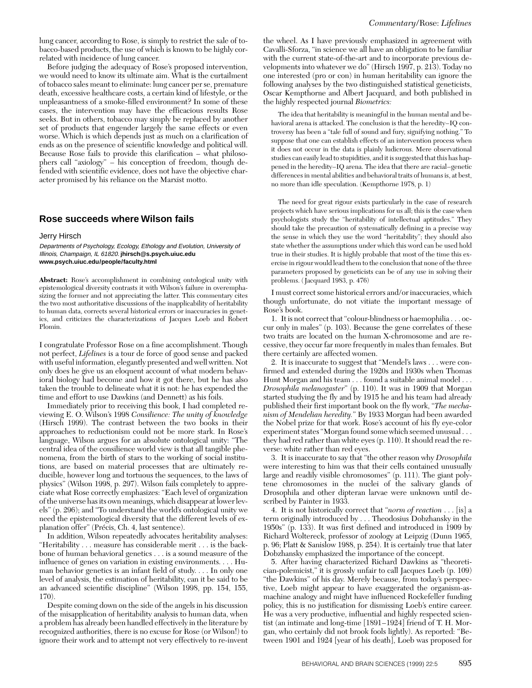lung cancer, according to Rose, is simply to restrict the sale of tobacco-based products, the use of which is known to be highly correlated with incidence of lung cancer.

Before judging the adequacy of Rose's proposed intervention, we would need to know its ultimate aim. What is the curtailment of tobacco sales meant to eliminate: lung cancer per se, premature death, excessive healthcare costs, a certain kind of lifestyle, or the unpleasantness of a smoke-filled environment? In some of these cases, the intervention may have the efficacious results Rose seeks. But in others, tobacco may simply be replaced by another set of products that engender largely the same effects or even worse. Which is which depends just as much on a clarification of ends as on the presence of scientific knowledge and political will. Because Rose fails to provide this clarification – what philosophers call "axiology" – his conception of freedom, though defended with scientific evidence, does not have the objective character promised by his reliance on the Marxist motto.

## **Rose succeeds where Wilson fails**

#### Jerry Hirsch

Departments of Psychology, Ecology, Ethology and Evolution, University of Illinois, Champaign, IL 61820. **jhirsch@s.psych.uiuc.edu www.psych.uiuc.edu/people/faculty.html**

**Abstract:** Rose's accomplishment in combining ontological unity with epistemological diversity contrasts it with Wilson's failure in overemphasizing the former and not appreciating the latter. This commentary cites the two most authoritative discussions of the inapplicability of heritability to human data, corrects several historical errors or inaccuracies in genetics, and criticizes the characterizations of Jacques Loeb and Robert Plomin.

I congratulate Professor Rose on a fine accomplishment. Though not perfect, *Lifelines* is a tour de force of good sense and packed with useful information, elegantly presented and well written. Not only does he give us an eloquent account of what modern behavioral biology had become and how it got there, but he has also taken the trouble to delineate what it is not: he has expended the time and effort to use Dawkins (and Dennett) as his foils.

Immediately prior to receiving this book, I had completed reviewing E. O. Wilson's 1998 *Consilience: The unity of knowledge* (Hirsch 1999). The contrast between the two books in their approaches to reductionism could not be more stark. In Rose's language, Wilson argues for an absolute ontological unity: "The central idea of the consilience world view is that all tangible phenomena, from the birth of stars to the working of social institutions, are based on material processes that are ultimately reducible, however long and tortuous the sequences, to the laws of physics" (Wilson 1998, p. 297). Wilson fails completely to appreciate what Rose correctly emphasizes: "Each level of organization of the universe has its own meanings, which disappear at lower levels" (p. 296); and "To understand the world's ontological unity we need the epistemological diversity that the different levels of explanation offer" (Précis, Ch. 4, last sentence).

In addition, Wilson repeatedly advocates heritability analyses: "Heritability . . . measure has considerable merit . . . is the backbone of human behavioral genetics . . . is a sound measure of the influence of genes on variation in existing environments. . . . Human behavior genetics is an infant field of study. . . . In only one level of analysis, the estimation of heritability, can it be said to be an advanced scientific discipline" (Wilson 1998, pp. 154, 155, 170).

Despite coming down on the side of the angels in his discussion of the misapplication of heritability analysis to human data, when a problem has already been handled effectively in the literature by recognized authorities, there is no excuse for Rose (or Wilson!) to ignore their work and to attempt not very effectively to re-invent

the wheel. As I have previously emphasized in agreement with Cavalli-Sforza, "in science we all have an obligation to be familiar with the current state-of-the-art and to incorporate previous developments into whatever we do" (Hirsch 1997, p. 213). Today no one interested (pro or con) in human heritability can ignore the following analyses by the two distinguished statistical geneticists, Oscar Kempthorne and Albert Jacquard, and both published in the highly respected journal *Biometrics:*

The idea that heritability is meaningful in the human mental and behavioral arena is attacked. The conclusion is that the heredity–IQ controversy has been a "tale full of sound and fury, signifying nothing." To suppose that one can establish effects of an intervention process when it does not occur in the data is plainly ludicrous. Mere observational studies can easily lead to stupidities, and it is suggested that this has happened in the heredity–IQ arena. The idea that there are racial–genetic differences in mental abilities and behavioral traits of humans is, at best, no more than idle speculation. (Kempthorne 1978, p. 1)

The need for great rigour exists particularly in the case of research projects which have serious implications for us all; this is the case when psychologists study the "heritability of intellectual aptitudes." They should take the precaution of systematically defining in a precise way the sense in which they use the word "heritability"; they should also state whether the assumptions under which this word can be used hold true in their studies. It is highly probable that most of the time this exercise in rigour would lead them to the conclusion that none of the three parameters proposed by geneticists can be of any use in solving their problems. (Jacquard 1983, p. 476)

I must correct some historical errors and/or inaccuracies, which though unfortunate, do not vitiate the important message of Rose's book.

1. It is not correct that "colour-blindness or haemophilia . . . occur only in males" (p. 103). Because the gene correlates of these two traits are located on the human X-chromosome and are recessive, they occur far more frequently in males than females. But there certainly are affected women.

2. It is inaccurate to suggest that "Mendel's laws . . . were confirmed and extended during the 1920s and 1930s when Thomas Hunt Morgan and his team . . . found a suitable animal model . . . *Drosophila melanogaster*" (p. 110). It was in 1909 that Morgan started studying the fly and by 1915 he and his team had already published their first important book on the fly work, "*The mechanism of Mendelian heredity.*" By 1933 Morgan had been awarded the Nobel prize for that work. Rose's account of his fly eye-color experiment states "Morgan found some which seemed unusual . . . they had red rather than white eyes (p. 110). It should read the reverse: white rather than red eyes.

3. It is inaccurate to say that "the other reason why *Drosophila* were interesting to him was that their cells contained unusually large and readily visible chromosomes" (p. 111). The giant polytene chromosomes in the nuclei of the salivary glands of Drosophila and other dipteran larvae were unknown until described by Painter in 1933.

4. It is not historically correct that "*norm of reaction* . . . [is] a term originally introduced by . . . Theodosius Dobzhansky in the 1950s" (p. 133). It was first defined and introduced in 1909 by Richard Woltereck, professor of zoology at Leipzig (Dunn 1965, p. 96; Platt & Sanislow 1988, p. 254). It is certainly true that later Dobzhansky emphasized the importance of the concept.

5. After having characterized Richard Dawkins as "theoretician-polemicist," it is grossly unfair to call Jacques Loeb (p. 109) "the Dawkins" of his day. Merely because, from today's perspective, Loeb might appear to have exaggerated the organism-asmachine analogy and might have influenced Rockefeller funding policy, this is no justification for dismissing Loeb's entire career. He was a very productive, influential and highly respected scientist (an intimate and long-time [1891–1924] friend of T. H. Morgan, who certainly did not brook fools lightly). As reported: "Between 1901 and 1924 [year of his death], Loeb was proposed for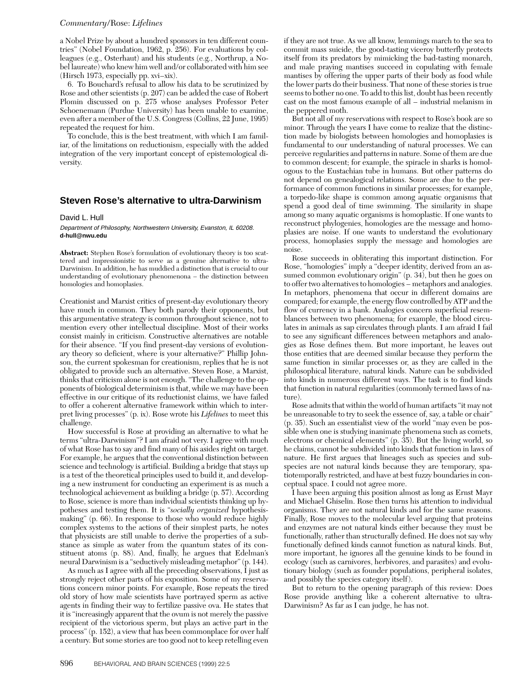a Nobel Prize by about a hundred sponsors in ten different countries" (Nobel Foundation, 1962, p. 256). For evaluations by colleagues (e.g., Osterhaut) and his students (e.g., Northrup, a Nobel laureate) who knew him well and/or collaborated with him see (Hirsch 1973, especially pp. xvi–xix).

6. To Bouchard's refusal to allow his data to be scrutinized by Rose and other scientists (p. 207) can be added the case of Robert Plomin discussed on p. 275 whose analyses Professor Peter Schoenemann (Purdue University) has been unable to examine, even after a member of the U.S. Congress (Collins, 22 June, 1995) repeated the request for him.

To conclude, this is the best treatment, with which I am familiar, of the limitations on reductionism, especially with the added integration of the very important concept of epistemological diversity.

## **Steven Rose's alternative to ultra-Darwinism**

#### David L. Hull

Department of Philosophy, Northwestern University, Evanston, IL 60208. **d-hull@nwu.edu**

**Abstract:** Stephen Rose's formulation of evolutionary theory is too scattered and impressionistic to serve as a genuine alternative to ultra-Darwinism. In addition, he has muddied a distinction that is crucial to our understanding of evolutionary phenomenona – the distinction between homologies and homoplasies.

Creationist and Marxist critics of present-day evolutionary theory have much in common. They both parody their opponents, but this argumentative strategy is common throughout science, not to mention every other intellectual discipline. Most of their works consist mainly in criticism. Constructive alternatives are notable for their absence. "If you find present-day versions of evolutionary theory so deficient, where is your alternative?" Phillip Johnson, the current spokesman for creationism, replies that he is not obligated to provide such an alternative. Steven Rose, a Marxist, thinks that criticism alone is not enough. "The challenge to the opponents of biological determinism is that, while we may have been effective in our critique of its reductionist claims, we have failed to offer a coherent alternative framework within which to interpret living processes" (p. ix). Rose wrote his *Lifelines* to meet this challenge.

How successful is Rose at providing an alternative to what he terms "ultra-Darwinism"? I am afraid not very. I agree with much of what Rose has to say and find many of his asides right on target. For example, he argues that the conventional distinction between science and technology is artificial. Building a bridge that stays up is a test of the theoretical principles used to build it, and developing a new instrument for conducting an experiment is as much a technological achievement as building a bridge (p. 57). According to Rose, science is more than individual scientists thinking up hypotheses and testing them. It is "*socially organized* hypothesismaking" (p. 66). In response to those who would reduce highly complex systems to the actions of their simplest parts, he notes that physicists are still unable to derive the properties of a substance as simple as water from the quantum states of its constituent atoms (p. 88). And, finally, he argues that Edelman's neural Darwinism is a "seductively misleading metaphor" (p. 144).

As much as I agree with all the preceding observations, I just as strongly reject other parts of his exposition. Some of my reservations concern minor points. For example, Rose repeats the tired old story of how male scientists have portrayed sperm as active agents in finding their way to fertilize passive ova. He states that it is "increasingly apparent that the ovum is not merely the passive recipient of the victorious sperm, but plays an active part in the process" (p. 152), a view that has been commonplace for over half a century. But some stories are too good not to keep retelling even

if they are not true. As we all know, lemmings march to the sea to commit mass suicide, the good-tasting viceroy butterfly protects itself from its predators by mimicking the bad-tasting monarch, and male praying mantises succeed in copulating with female mantises by offering the upper parts of their body as food while the lower parts do their business. That none of these stories is true seems to bother no one. To add to this list, doubt has been recently cast on the most famous example of all – industrial melanism in the peppered moth.

But not all of my reservations with respect to Rose's book are so minor. Through the years I have come to realize that the distinction made by biologists between homologies and homoplasies is fundamental to our understanding of natural processes. We can perceive regularities and patterns in nature. Some of them are due to common descent; for example, the spiracle in sharks is homologous to the Eustachian tube in humans. But other patterns do not depend on genealogical relations. Some are due to the performance of common functions in similar processes; for example, a torpedo-like shape is common among aquatic organisms that spend a good deal of time swimming. The similarity in shape among so many aquatic organisms is homoplastic. If one wants to reconstruct phylogenies, homologies are the message and homoplasies are noise. If one wants to understand the evolutionary process, homoplasies supply the message and homologies are noise.

Rose succeeds in obliterating this important distinction. For Rose, "homologies" imply a "deeper identity, derived from an assumed common evolutionary origin" (p. 34), but then he goes on to offer two alternatives to homologies – metaphors and analogies. In metaphors, phenomena that occur in different domains are compared; for example, the energy flow controlled by ATP and the flow of currency in a bank. Analogies concern superficial resemblances between two phenomena; for example, the blood circulates in animals as sap circulates through plants. I am afraid I fail to see any significant differences between metaphors and analogies as Rose defines them. But more important, he leaves out those entities that are deemed similar because they perform the same function in similar processes or, as they are called in the philosophical literature, natural kinds. Nature can be subdivided into kinds in numerous different ways. The task is to find kinds that function in natural regularities (commonly termed laws of nature).

Rose admits that within the world of human artifacts "it may not be unreasonable to try to seek the essence of, say, a table or chair" (p. 35). Such an essentialist view of the world "may even be possible when one is studying inanimate phenomena such as comets, electrons or chemical elements" (p. 35). But the living world, so he claims, cannot be subdivided into kinds that function in laws of nature. He first argues that lineages such as species and subspecies are not natural kinds because they are temporary, spatiotemporally restricted, and have at best fuzzy boundaries in conceptual space. I could not agree more.

I have been arguing this position almost as long as Ernst Mayr and Michael Ghiselin. Rose then turns his attention to individual organisms. They are not natural kinds and for the same reasons. Finally, Rose moves to the molecular level arguing that proteins and enzymes are not natural kinds either because they must be functionally, rather than structurally defined. He does not say why functionally defined kinds cannot function as natural kinds. But, more important, he ignores all the genuine kinds to be found in ecology (such as carnivores, herbivores, and parasites) and evolutionary biology (such as founder populations, peripheral isolates, and possibly the species category itself).

But to return to the opening paragraph of this review: Does Rose provide anything like a coherent alternative to ultra-Darwinism? As far as I can judge, he has not.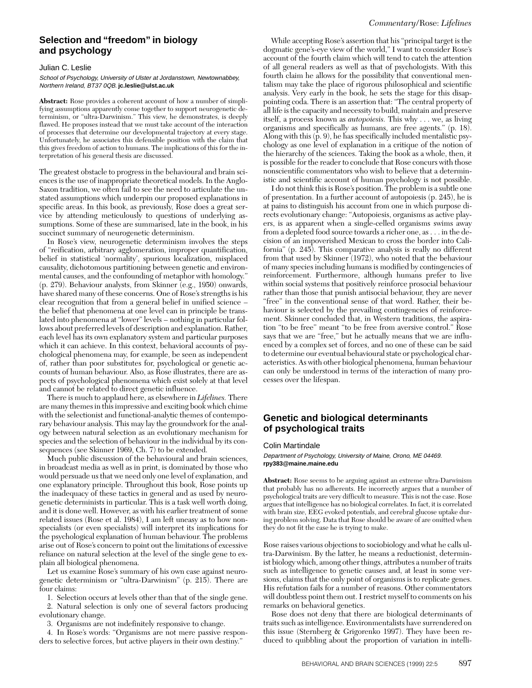## **Selection and "freedom" in biology and psychology**

#### Julian C. Leslie

School of Psychology, University of Ulster at Jordanstown, Newtownabbey, Northern Ireland, BT37 0QB. **jc.leslie@ulst.ac.uk**

**Abstract:** Rose provides a coherent account of how a number of simplifying assumptions apparently come together to support neurogenetic determinism, or "ultra-Darwinism." This view, he demonstrates, is deeply flawed. He proposes instead that we must take account of the interaction of processes that determine our developmental trajectory at every stage. Unfortunately, he associates this defensible position with the claim that this gives freedom of action to humans. The implications of this for the interpretation of his general thesis are discussed.

The greatest obstacle to progress in the behavioural and brain sciences is the use of inappropriate theoretical models. In the Anglo-Saxon tradition, we often fail to see the need to articulate the unstated assumptions which underpin our proposed explanations in specific areas. In this book, as previously, Rose does a great service by attending meticulously to questions of underlying assumptions. Some of these are summarised, late in the book, in his succinct summary of neurogenetic determinism.

In Rose's view, neurogenetic determinism involves the steps of "reification, arbitrary agglomeration, improper quantification, belief in statistical 'normality', spurious localization, misplaced causality, dichotomous partitioning between genetic and environmental causes, and the confounding of metaphor with homology." (p. 279). Behaviour analysts, from Skinner (e.g., 1950) onwards, have shared many of these concerns. One of Rose's strengths is his clear recognition that from a general belief in unified science – the belief that phenomena at one level can in principle be translated into phenomena at "lower" levels – nothing in particular follows about preferred levels of description and explanation. Rather, each level has its own explanatory system and particular purposes which it can achieve. In this context, behavioral accounts of psychological phenomena may, for example, be seen as independent of, rather than poor substitutes for, psychological or genetic accounts of human behaviour. Also, as Rose illustrates, there are aspects of psychological phenomena which exist solely at that level and cannot be related to direct genetic influence.

There is much to applaud here, as elsewhere in *Lifelines.* There are many themes in this impressive and exciting book which chime with the selectionist and functional-analytic themes of contemporary behaviour analysis. This may lay the groundwork for the analogy between natural selection as an evolutionary mechanism for species and the selection of behaviour in the individual by its consequences (see Skinner 1969, Ch. 7) to be extended.

Much public discussion of the behavioural and brain sciences, in broadcast media as well as in print, is dominated by those who would persuade us that we need only one level of explanation, and one explanatory principle. Throughout this book, Rose points up the inadequacy of these tactics in general and as used by neurogenetic determinists in particular. This is a task well worth doing, and it is done well. However, as with his earlier treatment of some related issues (Rose et al. 1984), I am left uneasy as to how nonspecialists (or even specialists) will interpret its implications for the psychological explanation of human behaviour. The problems arise out of Rose's concern to point out the limitations of excessive reliance on natural selection at the level of the single gene to explain all biological phenomena.

Let us examine Rose's summary of his own case against neurogenetic determinism or "ultra-Darwinism" (p. 215). There are four claims:

1. Selection occurs at levels other than that of the single gene. 2. Natural selection is only one of several factors producing evolutionary change.

3. Organisms are not indefinitely responsive to change.

4. In Rose's words: "Organisms are not mere passive responders to selective forces, but active players in their own destiny."

While accepting Rose's assertion that his "principal target is the dogmatic gene's-eye view of the world," I want to consider Rose's account of the fourth claim which will tend to catch the attention of all general readers as well as that of psychologists. With this fourth claim he allows for the possibility that conventional mentalism may take the place of rigorous philosophical and scientific analysis. Very early in the book, he sets the stage for this disappointing coda. There is an assertion that: "The central property of all life is the capacity and necessity to build, maintain and preserve itself, a process known as *autopoiesis.* This why . . . we, as living organisms and specifically as humans, are free agents." (p. 18). Along with this (p. 9), he has specifically included mentalistic psychology as one level of explanation in a critique of the notion of the hierarchy of the sciences. Taking the book as a whole, then, it is possible for the reader to conclude that Rose concurs with those nonscientific commentators who wish to believe that a deterministic and scientific account of human psychology is not possible.

I do not think this is Rose's position. The problem is a subtle one of presentation. In a further account of autopoiesis (p. 245), he is at pains to distinguish his account from one in which purpose directs evolutionary change: "Autopoiesis, organisms as active players, is as apparent when a single-celled organisms swims away from a depleted food source towards a richer one, as . . . in the decision of an impoverished Mexican to cross the border into California" (p. 245). This comparative analysis is really no different from that used by Skinner (1972), who noted that the behaviour of many species including humans is modified by contingencies of reinforcement. Furthermore, although humans prefer to live within social systems that positively reinforce prosocial behaviour rather than those that punish antisocial behaviour, they are never "free" in the conventional sense of that word. Rather, their behaviour is selected by the prevailing contingencies of reinforcement. Skinner concluded that, in Western traditions, the aspiration "to be free" meant "to be free from aversive control." Rose says that we are "free," but he actually means that we are influenced by a complex set of forces, and no one of these can be said to determine our eventual behavioural state or psychological characteristics. As with other biological phenomena, human behaviour can only be understood in terms of the interaction of many processes over the lifespan.

## **Genetic and biological determinants of psychological traits**

#### Colin Martindale

Department of Psychology, University of Maine, Orono, ME 04469. **rpy383@maine.maine.edu**

**Abstract:** Rose seems to be arguing against an extreme ultra-Darwinism that probably has no adherents. He incorrectly argues that a number of psychological traits are very difficult to measure. This is not the case. Rose argues that intelligence has no biological correlates. In fact, it is correlated with brain size, EEG evoked potentials, and cerebral glucose uptake during problem solving. Data that Rose should be aware of are omitted when they do not fit the case he is trying to make.

Rose raises various objections to sociobiology and what he calls ultra-Darwinism. By the latter, he means a reductionist, determinist biology which, among other things, attributes a number of traits such as intelligence to genetic causes and, at least in some versions, claims that the only point of organisms is to replicate genes. His refutation fails for a number of reasons. Other commentators will doubtless point them out. I restrict myself to comments on his remarks on behavioral genetics.

Rose does not deny that there are biological determinants of traits such as intelligence. Environmentalists have surrendered on this issue (Sternberg & Grigorenko 1997). They have been reduced to quibbling about the proportion of variation in intelli-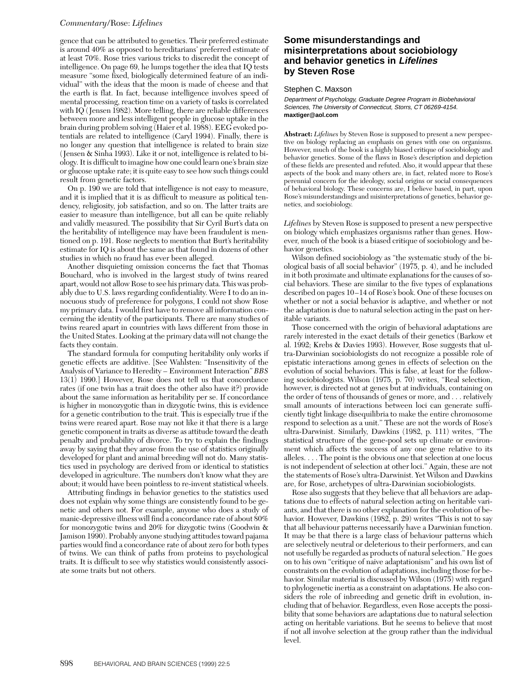gence that can be attributed to genetics. Their preferred estimate is around 40% as opposed to hereditarians' preferred estimate of at least 70%. Rose tries various tricks to discredit the concept of intelligence. On page 69, he lumps together the idea that IQ tests measure "some fixed, biologically determined feature of an individual" with the ideas that the moon is made of cheese and that the earth is flat. In fact, because intelligence involves speed of mental processing, reaction time on a variety of tasks is correlated with IQ (Jensen 1982). More telling, there are reliable differences between more and less intelligent people in glucose uptake in the brain during problem solving (Haier et al. 1988). EEG evoked potentials are related to intelligence (Caryl 1994). Finally, there is no longer any question that intelligence is related to brain size (Jensen & Sinha 1993). Like it or not, intelligence is related to biology. It is difficult to imagine how one could learn one's brain size or glucose uptake rate; it is quite easy to see how such things could result from genetic factors.

On p.  $190$  we are told that intelligence is not easy to measure, and it is implied that it is as difficult to measure as political tendency, religiosity, job satisfaction, and so on. The latter traits are easier to measure than intelligence, but all can be quite reliably and validly measured. The possibility that Sir Cyril Burt's data on the heritability of intelligence may have been fraudulent is mentioned on p. 191. Rose neglects to mention that Burt's heritability estimate for IQ is about the same as that found in dozens of other studies in which no fraud has ever been alleged.

Another disquieting omission concerns the fact that Thomas Bouchard, who is involved in the largest study of twins reared apart, would not allow Rose to see his primary data. This was probably due to U.S. laws regarding confidentiality. Were I to do an innocuous study of preference for polygons, I could not show Rose my primary data. I would first have to remove all information concerning the identity of the participants. There are many studies of twins reared apart in countries with laws different from those in the United States. Looking at the primary data will not change the facts they contain.

The standard formula for computing heritability only works if genetic effects are additive. [See Wahlsten: "Insensitivity of the Analysis of Variance to Heredity – Environment Interaction" *BBS* 13(1) 1990.] However, Rose does not tell us that concordance rates (if one twin has a trait does the other also have it?) provide about the same information as heritability per se. If concordance is higher in monozygotic than in dizygotic twins, this is evidence for a genetic contribution to the trait. This is especially true if the twins were reared apart. Rose may not like it that there is a large genetic component in traits as diverse as attitude toward the death penalty and probability of divorce. To try to explain the findings away by saying that they arose from the use of statistics originally developed for plant and animal breeding will not do. Many statistics used in psychology are derived from or identical to statistics developed in agriculture. The numbers don't know what they are about; it would have been pointless to re-invent statistical wheels.

Attributing findings in behavior genetics to the statistics used does not explain why some things are consistently found to be genetic and others not. For example, anyone who does a study of manic-depressive illness will find a concordance rate of about 80% for monozygotic twins and 20% for dizygotic twins (Goodwin & Jamison 1990). Probably anyone studying attitudes toward pajama parties would find a concordance rate of about zero for both types of twins. We can think of paths from proteins to psychological traits. It is difficult to see why statistics would consistently associate some traits but not others.

## **Some misunderstandings and misinterpretations about sociobiology and behavior genetics in Lifelines by Steven Rose**

#### Stephen C. Maxson

Department of Psychology, Graduate Degree Program in Biobehavioral Sciences, The University of Connecticut, Storrs, CT 06269-4154. **maxtiger@aol.com**

**Abstract:** *Lifelines* by Steven Rose is supposed to present a new perspective on biology replacing an emphasis on genes with one on organisms. However, much of the book is a highly biased critique of sociobiology and behavior genetics. Some of the flaws in Rose's description and depiction of these fields are presented and refuted. Also, it would appear that these aspects of the book and many others are, in fact, related more to Rose's perennial concern for the ideology, social origins or social consequences of behavioral biology. These concerns are, I believe based, in part, upon Rose's misunderstandings and misinterpretations of genetics, behavior genetics, and sociobiology.

*Lifelines* by Steven Rose is supposed to present a new perspective on biology which emphasizes organisms rather than genes. However, much of the book is a biased critique of sociobiology and behavior genetics.

Wilson defined sociobiology as "the systematic study of the biological basis of all social behavior" (1975, p. 4), and he included in it both proximate and ultimate explanations for the causes of social behaviors. These are similar to the five types of explanations described on pages 10–14 of Rose's book. One of these focuses on whether or not a social behavior is adaptive, and whether or not the adaptation is due to natural selection acting in the past on heritable variants.

Those concerned with the origin of behavioral adaptations are rarely interested in the exact details of their genetics (Barkow et al. 1992; Krebs & Davies 1993). However, Rose suggests that ultra-Darwinian sociobiologists do not recognize a possible role of epistatic interactions among genes in effects of selection on the evolution of social behaviors. This is false, at least for the following sociobiologists. Wilson (1975, p. 70) writes, "Real selection, however, is directed not at genes but at individuals, containing on the order of tens of thousands of genes or more, and . . . relatively small amounts of interactions between loci can generate sufficiently tight linkage disequilibria to make the entire chromosome respond to selection as a unit." These are not the words of Rose's ultra-Darwinist. Similarly, Dawkins (1982, p. 111) writes, "The statistical structure of the gene-pool sets up climate or environment which affects the success of any one gene relative to its alleles. . . . The point is the obvious one that selection at one locus is not independent of selection at other loci." Again, these are not the statements of Rose's ultra-Darwinist. Yet Wilson and Dawkins are, for Rose, archetypes of ultra-Darwinian sociobiologists.

Rose also suggests that they believe that all behaviors are adaptations due to effects of natural selection acting on heritable variants, and that there is no other explanation for the evolution of behavior. However, Dawkins (1982, p. 29) writes "This is not to say that all behaviour patterns necessarily have a Darwinian function. It may be that there is a large class of behaviour patterns which are selectively neutral or deleterious to their performers, and can not usefully be regarded as products of natural selection." He goes on to his own "critique of naive adaptationism" and his own list of constraints on the evolution of adaptations, including those for behavior. Similar material is discussed by Wilson (1975) with regard to phylogenetic inertia as a constraint on adaptations. He also considers the role of inbreeding and genetic drift in evolution, including that of behavior. Regardless, even Rose accepts the possibility that some behaviors are adaptations due to natural selection acting on heritable variations. But he seems to believe that most if not all involve selection at the group rather than the individual level.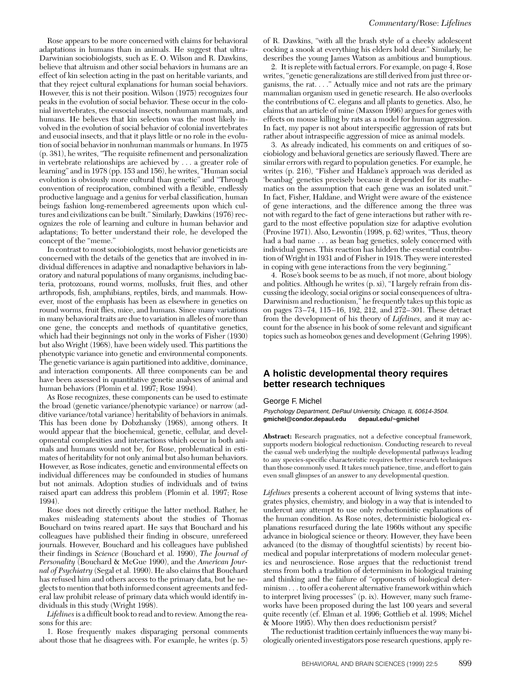Rose appears to be more concerned with claims for behavioral adaptations in humans than in animals. He suggest that ultra-Darwinian sociobiologists, such as E. O. Wilson and R. Dawkins, believe that altruism and other social behaviors in humans are an effect of kin selection acting in the past on heritable variants, and that they reject cultural explanations for human social behaviors. However, this is not their position. Wilson (1975) recognizes four peaks in the evolution of social behavior. These occur in the colonial invertebrates, the eusocial insects, nonhuman mammals, and humans. He believes that kin selection was the most likely involved in the evolution of social behavior of colonial invertebrates and eusocial insects, and that it plays little or no role in the evolution of social behavior in nonhuman mammals or humans. In 1975 (p. 381), he writes, "The requisite refinement and personalization in vertebrate relationships are achieved by . . . a greater role of learning" and in 1978 (pp. 153 and 156), he writes, "Human social evolution is obviously more cultural than genetic" and "Through convention of reciprocation, combined with a flexible, endlessly productive language and a genius for verbal classification, human beings fashion long-remembered agreements upon which cultures and civilizations can be built." Similarly, Dawkins (1976) recognizes the role of learning and culture in human behavior and adaptations; To better understand their role, he developed the concept of the "meme."

In contrast to most sociobiologists, most behavior geneticists are concerned with the details of the genetics that are involved in individual differences in adaptive and nonadaptive behaviors in laboratory and natural populations of many organisms, including bacteria, protozoans, round worms, mollusks, fruit flies, and other arthropods, fish, amphibians, reptiles, birds, and mammals. However, most of the emphasis has been as elsewhere in genetics on round worms, fruit flies, mice, and humans. Since many variations in many behavioral traits are due to variation in alleles of more than one gene, the concepts and methods of quantitative genetics, which had their beginnings not only in the works of Fisher (1930) but also Wright (1968), have been widely used. This partitions the phenotypic variance into genetic and environmental components. The genetic variance is again partitioned into additive, dominance, and interaction components. All three components can be and have been assessed in quantitative genetic analyses of animal and human behaviors (Plomin et al. 1997; Rose 1994).

As Rose recognizes, these components can be used to estimate the broad (genetic variance/phenotypic variance) or narrow (additive variance/total variance) heritability of behaviors in animals. This has been done by Dobzhansky (1968), among others. It would appear that the biochemical, genetic, cellular, and developmental complexities and interactions which occur in both animals and humans would not be, for Rose, problematical in estimates of heritability for not only animal but also human behaviors. However, as Rose indicates, genetic and environmental effects on individual differences may be confounded in studies of humans but not animals. Adoption studies of individuals and of twins raised apart can address this problem (Plomin et al. 1997; Rose 1994).

Rose does not directly critique the latter method. Rather, he makes misleading statements about the studies of Thomas Bouchard on twins reared apart. He says that Bouchard and his colleagues have published their finding in obscure, unrefereed journals. However, Bouchard and his colleagues have published their findings in *Science* (Bouchard et al. 1990), *The Journal of Personality* (Bouchard & McGue 1990), and the *American Journal of Psychiatry* (Segal et al. 1990). He also claims that Bouchard has refused him and others access to the primary data, but he neglects to mention that both informed consent agreements and federal law prohibit release of primary data which would identify individuals in this study (Wright 1998).

*Lifelines*is a difficult book to read and to review. Among the reasons for this are:

1. Rose frequently makes disparaging personal comments about those that he disagrees with. For example, he writes (p. 5) of R. Dawkins, "with all the brash style of a cheeky adolescent cocking a snook at everything his elders hold dear." Similarly, he describes the young James Watson as ambitious and bumptious.

2. It is replete with factual errors. For example, on page 4, Rose writes, "genetic generalizations are still derived from just three organisms, the rat. . . ." Actually mice and not rats are the primary mammalian organism used in genetic research. He also overlooks the contributions of C. elegans and all plants to genetics. Also, he claims that an article of mine (Maxson 1996) argues for genes with effects on mouse killing by rats as a model for human aggression. In fact, my paper is not about interspecific aggression of rats but rather about intraspecific aggression of mice as animal models.

3. As already indicated, his comments on and critiques of sociobiology and behavioral genetics are seriously flawed. There are similar errors with regard to population genetics. For example, he writes (p. 216), "Fisher and Haldane's approach was derided as 'beanbag' genetics precisely because it depended for its mathematics on the assumption that each gene was an isolated unit." In fact, Fisher, Haldane, and Wright were aware of the existence of gene interactions, and the difference among the three was not with regard to the fact of gene interactions but rather with regard to the most effective population size for adaptive evolution (Provine 1971). Also, Lewontin (1998, p. 62) writes, "Thus, theory had a bad name . . . as bean bag genetics, solely concerned with individual genes. This reaction has hidden the essential contribution of Wright in 1931 and of Fisher in 1918. They were interested in coping with gene interactions from the very beginning."

4. Rose's book seems to be as much, if not more, about biology and politics. Although he writes (p. xi), "I largely refrain from discussing the ideology, social origins or social consequences of ultra-Darwinism and reductionism," he frequently takes up this topic as on pages 73–74, 115–16, 192, 212, and 272–301. These detract from the development of his theory of *Lifelines,* and it may account for the absence in his book of some relevant and significant topics such as homeobox genes and development (Gehring 1998).

## **A holistic developmental theory requires better research techniques**

#### George F. Michel

Psychology Department, DePaul University, Chicago, IL 60614-3504. **gmichel@condor.depaul.edu depaul.edu/~gmichel**

**Abstract:** Research pragmatics, not a defective conceptual framework, supports modern biological reductionism. Conducting research to reveal the casual web underlying the multiple developmental pathways leading to any species-specific characteristic requires better research techniques than those commonly used. It takes much patience, time, and effort to gain even small glimpses of an answer to any developmental question.

*Lifelines* presents a coherent account of living systems that integrates physics, chemistry, and biology in a way that is intended to undercut any attempt to use only reductionistic explanations of the human condition. As Rose notes, deterministic biological explanations resurfaced during the late 1960s without any specific advance in biological science or theory. However, they have been advanced (to the dismay of thoughtful scientists) by recent biomedical and popular interpretations of modern molecular genetics and neuroscience. Rose argues that the reductionist trend stems from both a tradition of determinism in biological training and thinking and the failure of "opponents of biological determinism . . . to offer a coherent alternative framework within which to interpret living processes" (p. ix). However, many such frameworks have been proposed during the last 100 years and several quite recently (cf. Elman et al. 1996; Gottlieb et al. 1998; Michel & Moore 1995). Why then does reductionism persist?

The reductionist tradition certainly influences the way many biologically oriented investigators pose research questions, apply re-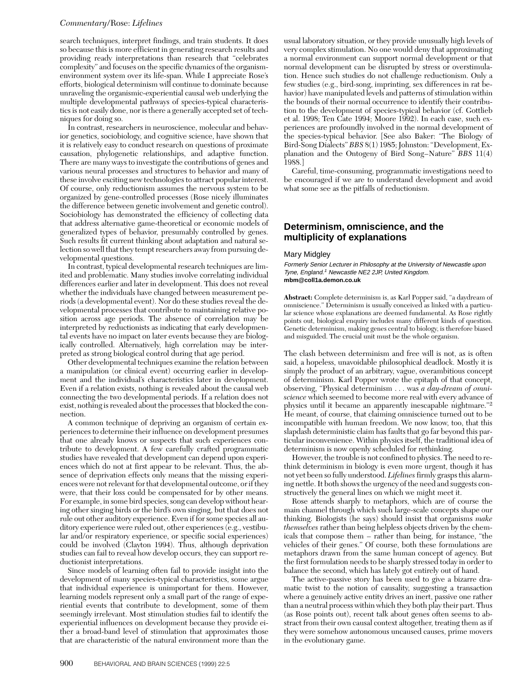search techniques, interpret findings, and train students. It does so because this is more efficient in generating research results and providing ready interpretations than research that "celebrates complexity" and focuses on the specific dynamics of the organismenvironment system over its life-span. While I appreciate Rose's efforts, biological determinism will continue to dominate because unraveling the organismic-experiential causal web underlying the multiple developmental pathways of species-typical characteristics is not easily done, nor is there a generally accepted set of techniques for doing so.

In contrast, researchers in neuroscience, molecular and behavior genetics, sociobiology, and cognitive science, have shown that it is relatively easy to conduct research on questions of proximate causation, phylogenetic relationships, and adaptive function. There are many ways to investigate the contributions of genes and various neural processes and structures to behavior and many of these involve exciting new technologies to attract popular interest. Of course, only reductionism assumes the nervous system to be organized by gene-controlled processes (Rose nicely illuminates the difference between genetic involvement and genetic control). Sociobiology has demonstrated the efficiency of collecting data that address alternative game-theoretical or economic models of generalized types of behavior, presumably controlled by genes. Such results fit current thinking about adaptation and natural selection so well that they tempt researchers away from pursuing developmental questions.

In contrast, typical developmental research techniques are limited and problematic. Many studies involve correlating individual differences earlier and later in development. This does not reveal whether the individuals have changed between measurement periods (a developmental event). Nor do these studies reveal the developmental processes that contribute to maintaining relative position across age periods. The absence of correlation may be interpreted by reductionists as indicating that early developmental events have no impact on later events because they are biologically controlled. Alternatively, high correlation may be interpreted as strong biological control during that age period.

Other developmental techniques examine the relation between a manipulation (or clinical event) occurring earlier in development and the individual's characteristics later in development. Even if a relation exists, nothing is revealed about the causal web connecting the two developmental periods. If a relation does not exist, nothing is revealed about the processes that blocked the connection.

A common technique of depriving an organism of certain experiences to determine their influence on development presumes that one already knows or suspects that such experiences contribute to development. A few carefully crafted programmatic studies have revealed that development can depend upon experiences which do not at first appear to be relevant. Thus, the absence of deprivation effects only means that the missing experiences were not relevant for that developmental outcome, or if they were, that their loss could be compensated for by other means. For example, in some bird species, song can develop without hearing other singing birds or the bird's own singing, but that does not rule out other auditory experience. Even if for some species all auditory experience were ruled out, other experiences (e.g., vestibular and/or respiratory experience, or specific social experiences) could be involved (Clayton 1994). Thus, although deprivation studies can fail to reveal how develop occurs, they can support reductionist interpretations.

Since models of learning often fail to provide insight into the development of many species-typical characteristics, some argue that individual experience is unimportant for them. However, learning models represent only a small part of the range of experiential events that contribute to development, some of them seemingly irrelevant. Most stimulation studies fail to identify the experiential influences on development because they provide either a broad-band level of stimulation that approximates those that are characteristic of the natural environment more than the

usual laboratory situation, or they provide unusually high levels of very complex stimulation. No one would deny that approximating a normal environment can support normal development or that normal development can be disrupted by stress or overstimulation. Hence such studies do not challenge reductionism. Only a few studies (e.g., bird-song, imprinting, sex differences in rat behavior) have manipulated levels and patterns of stimulation within the bounds of their normal occurrence to identify their contribution to the development of species-typical behavior (cf. Gottlieb et al. 1998; Ten Cate 1994; Moore 1992). In each case, such experiences are profoundly involved in the normal development of the species-typical behavior. [See also Baker: "The Biology of Bird-Song Dialects" *BBS* 8(1) 1985; Johnston: "Development, Explanation and the Ontogeny of Bird Song–Nature" *BBS* 11(4) 1988.]

Careful, time-consuming, programmatic investigations need to be encouraged if we are to understand development and avoid what some see as the pitfalls of reductionism.

## **Determinism, omniscience, and the multiplicity of explanations**

#### Mary Midgley

Formerly Senior Lecturer in Philosophy at the University of Newcastle upon Tyne, England.<sup>1</sup> Newcastle NE2 2JP, United Kingdom. **mbm@coll1a.demon.co.uk**

**Abstract:** Complete determinism is, as Karl Popper said, "a daydream of omniscience." Determinism is usually conceived as linked with a particular science whose explanations are deemed fundamental. As Rose rightly points out, biological enquiry includes many different kinds of question. Genetic determinism, making genes central to biology, is therefore biased and misguided. The crucial unit must be the whole organism.

The clash between determinism and free will is not, as is often said, a hopeless, unavoidable philosophical deadlock. Mostly it is simply the product of an arbitrary, vague, overambitious concept of determinism. Karl Popper wrote the epitaph of that concept, observing, "Physical determinism . . . was *a day-dream of omniscience* which seemed to become more real with every advance of physics until it became an apparently inescapable nightmare."2 He meant, of course, that claiming omniscience turned out to be incompatible with human freedom. We now know, too, that this slapdash deterministic claim has faults that go far beyond this particular inconvenience. Within physics itself, the traditional idea of determinism is now openly scheduled for rethinking.

However, the trouble is not confined to physics. The need to rethink determinism in biology is even more urgent, though it has not yet been so fully understood. *Lifelines* firmly grasps this alarming nettle. It both shows the urgency of the need and suggests constructively the general lines on which we might meet it.

Rose attends sharply to metaphors, which are of course the main channel through which such large-scale concepts shape our thinking. Biologists (he says) should insist that organisms *make themselves* rather than being helpless objects driven by the chemicals that compose them – rather than being, for instance, "the vehicles of their genes." Of course, both these formulations are metaphors drawn from the same human concept of agency. But the first formulation needs to be sharply stressed today in order to balance the second, which has lately got entirely out of hand.

The active-passive story has been used to give a bizarre dramatic twist to the notion of causality, suggesting a transaction where a genuinely active entity drives an inert, passive one rather than a neutral process within which they both play their part. Thus (as Rose points out), recent talk about genes often seems to abstract from their own causal context altogether, treating them as if they were somehow autonomous uncaused causes, prime movers in the evolutionary game.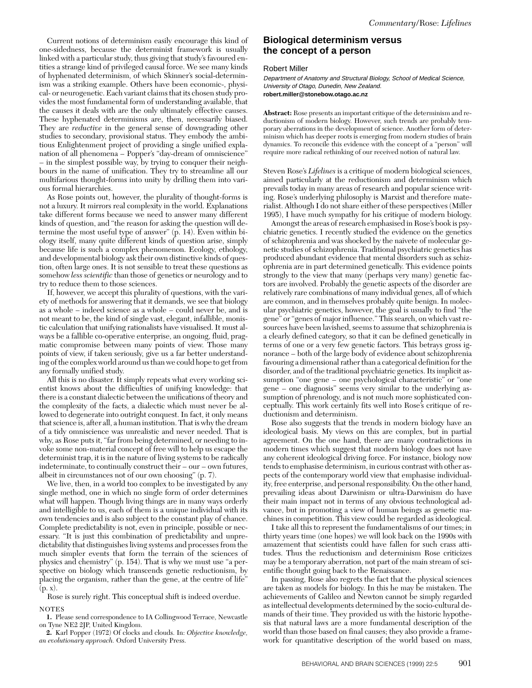Current notions of determinism easily encourage this kind of one-sidedness, because the determinist framework is usually linked with a particular study, thus giving that study's favoured entities a strange kind of privileged causal force. We see many kinds of hyphenated determinism, of which Skinner's social-determinism was a striking example. Others have been economic-, physical- or neurogenetic. Each variant claims that its chosen study provides the most fundamental form of understanding available, that the causes it deals with are the only ultimately effective causes. These hyphenated determinisms are, then, necessarily biased. They are *reductive* in the general sense of downgrading other studies to secondary, provisional status. They embody the ambitious Enlightenment project of providing a single unified explanation of all phenomena – Popper's "day-dream of omniscience" – in the simplest possible way, by trying to conquer their neighbours in the name of unification. They try to streamline all our multifarious thought-forms into unity by drilling them into various formal hierarchies.

As Rose points out, however, the plurality of thought-forms is not a luxury. It mirrors real complexity in the world. Explanations take different forms because we need to answer many different kinds of question, and "the reason for asking the question will determine the most useful type of answer" (p. 14). Even within biology itself, many quite different kinds of question arise, simply because life is such a complex phenomenon. Ecology, ethology, and developmental biology ask their own distinctive kinds of question, often large ones. It is not sensible to treat these questions as somehow *less scientific* than those of genetics or neurology and to try to reduce them to those sciences.

If, however, we accept this plurality of questions, with the variety of methods for answering that it demands, we see that biology as a whole – indeed science as a whole – could never be, and is not meant to be, the kind of single vast, elegant, infallible, monistic calculation that unifying rationalists have visualised. It must always be a fallible co-operative enterprise, an ongoing, fluid, pragmatic compromise between many points of view. Those many points of view, if taken seriously, give us a far better understanding of the complex world around us than we could hope to get from any formally unified study.

All this is no disaster. It simply repeats what every working scientist knows about the difficulties of unifying knowledge: that there is a constant dialectic between the unifications of theory and the complexity of the facts, a dialectic which must never be allowed to degenerate into outright conquest. In fact, it only means that science is, after all, a human institution. That is why the dream of a tidy omniscience was unrealistic and never needed. That is why, as Rose puts it, "far from being determined, or needing to invoke some non-material concept of free will to help us escape the determinist trap, it is in the nature of living systems to be radically indeterminate, to continually construct their – our – own futures, albeit in circumstances not of our own choosing" (p. 7).

We live, then, in a world too complex to be investigated by any single method, one in which no single form of order determines what will happen. Though living things are in many ways orderly and intelligible to us, each of them is a unique individual with its own tendencies and is also subject to the constant play of chance. Complete predictability is not, even in principle, possible or necessary. "It is just this combination of predictability and unpredictability that distinguishes living systems and processes from the much simpler events that form the terrain of the sciences of physics and chemistry" (p. 154). That is why we must use "a perspective on biology which transcends genetic reductionism, by placing the organism, rather than the gene, at the centre of life" (p. x).

Rose is surely right. This conceptual shift is indeed overdue. **NOTES** 

**1.** Please send correspondence to IA Collingwood Terrace, Newcastle on Tyne NE2 2JP, United Kingdom.

**2.** Karl Popper (1972) Of clocks and clouds. In: *Objective knowledge, an evolutionary approach.* Oxford University Press.

## **Biological determinism versus the concept of a person**

#### Robert Miller

Department of Anatomy and Structural Biology, School of Medical Science, University of Otago, Dunedin, New Zealand. **robert.miller@stonebow.otago.ac.nz**

**Abstract:** Rose presents an important critique of the determinism and reductionism of modern biology. However, such trends are probably temporary aberrations in the development of science. Another form of determinism which has deeper roots is emerging from modern studies of brain dynamics. To reconcile this evidence with the concept of a "person" will require more radical rethinking of our received notion of natural law.

Steven Rose's *Lifelines* is a critique of modern biological sciences, aimed particularly at the reductionism and determinism which prevails today in many areas of research and popular science writing. Rose's underlying philosophy is Marxist and therefore materialist. Although I do not share either of these perspectives (Miller 1995), I have much sympathy for his critique of modern biology.

Amongst the areas of research emphasised in Rose's book is psychiatric genetics. I recently studied the evidence on the genetics of schizophrenia and was shocked by the naivete of molecular genetic studies of schizophrenia. Traditional psychiatric genetics has produced abundant evidence that mental disorders such as schizophrenia are in part determined genetically. This evidence points strongly to the view that many (perhaps very many) genetic factors are involved. Probably the genetic aspects of the disorder are relatively rare combinations of many individual genes, all of which are common, and in themselves probably quite benign. In molecular psychiatric genetics, however, the goal is usually to find "the gene" or "genes of major influence." This search, on which vast resources have been lavished, seems to assume that schizophrenia is a clearly defined category, so that it can be defined genetically in terms of one or a very few genetic factors. This betrays gross ignorance – both of the large body of evidence about schizophrenia favouring a dimensional rather than a categorical definition for the disorder, and of the traditional psychiatric genetics. Its implicit assumption "one gene – one psychological characteristic" or "one gene – one diagnosis" seems very similar to the underlying assumption of phrenology, and is not much more sophisticated conceptually. This work certainly fits well into Rose's critique of reductionism and determinism.

Rose also suggests that the trends in modern biology have an ideological basis. My views on this are complex, but in partial agreement. On the one hand, there are many contradictions in modern times which suggest that modern biology does not have any coherent ideological driving force. For instance, biology now tends to emphasise determinism, in curious contrast with other aspects of the contemporary world view that emphasise individuality, free enterprise, and personal responsibility. On the other hand, prevailing ideas about Darwinism or ultra-Darwinism do have their main impact not in terms of any obvious technological advance, but in promoting a view of human beings as genetic machines in competition. This view could be regarded as ideological.

I take all this to represent the fundamentalisms of our times; in thirty years time (one hopes) we will look back on the 1990s with amazement that scientists could have fallen for such crass attitudes. Thus the reductionism and determinism Rose criticizes may be a temporary aberration, not part of the main stream of scientific thought going back to the Renaissance.

In passing, Rose also regrets the fact that the physical sciences are taken as models for biology. In this he may be mistaken. The achievements of Galileo and Newton cannot be simply regarded as intellectual developments determined by the socio-cultural demands of their time. They provided us with the historic hypothesis that natural laws are a more fundamental description of the world than those based on final causes; they also provide a framework for quantitative description of the world based on mass,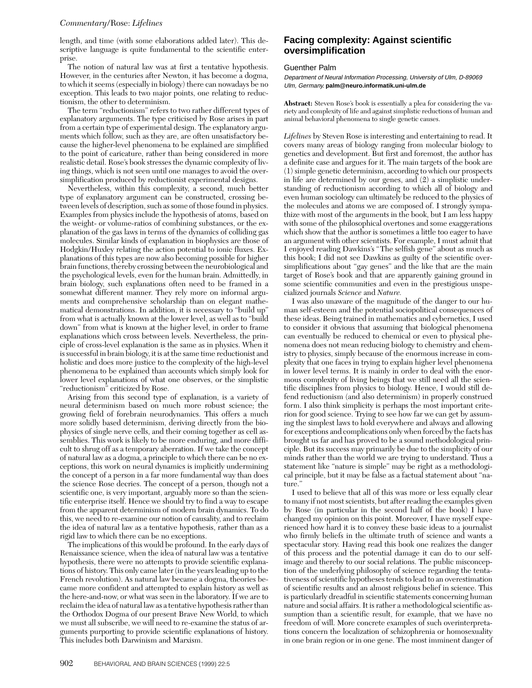length, and time (with some elaborations added later). This descriptive language is quite fundamental to the scientific enterprise.

The notion of natural law was at first a tentative hypothesis. However, in the centuries after Newton, it has become a dogma, to which it seems (especially in biology) there can nowadays be no exception. This leads to two major points, one relating to reductionism, the other to determinism.

The term "reductionism" refers to two rather different types of explanatory arguments. The type criticised by Rose arises in part from a certain type of experimental design. The explanatory arguments which follow, such as they are, are often unsatisfactory because the higher-level phenomena to be explained are simplified to the point of caricature, rather than being considered in more realistic detail. Rose's book stresses the dynamic complexity of living things, which is not seen until one manages to avoid the oversimplification produced by reductionist experimental designs.

Nevertheless, within this complexity, a second, much better type of explanatory argument can be constructed, crossing between levels of description, such as some of those found in physics. Examples from physics include the hypothesis of atoms, based on the weight- or volume-ratios of combining substances, or the explanation of the gas laws in terms of the dynamics of colliding gas molecules. Similar kinds of explanation in biophysics are those of Hodgkin/Huxley relating the action potential to ionic fluxes. Explanations of this types are now also becoming possible for higher brain functions, thereby crossing between the neurobiological and the psychological levels, even for the human brain. Admittedly, in brain biology, such explanations often need to be framed in a somewhat different manner. They rely more on informal arguments and comprehensive scholarship than on elegant mathematical demonstrations. In addition, it is necessary to "build up" from what is actually known at the lower level, as well as to "build down" from what is known at the higher level, in order to frame explanations which cross between levels. Nevertheless, the principle of cross-level explanation is the same as in physics. When it is successful in brain biology, it is at the same time reductionist and holistic and does more justice to the complexity of the high-level phenomena to be explained than accounts which simply look for lower level explanations of what one observes, or the simplistic "reductionism" criticized by Rose.

Arising from this second type of explanation, is a variety of neural determinism based on much more robust science; the growing field of forebrain neurodynamics. This offers a much more solidly based determinism, deriving directly from the biophysics of single nerve cells, and their coming together as cell assemblies. This work is likely to be more enduring, and more difficult to shrug off as a temporary aberration. If we take the concept of natural law as a dogma, a principle to which there can be no exceptions, this work on neural dynamics is implicitly undermining the concept of a person in a far more fundamental way than does the science Rose decries. The concept of a person, though not a scientific one, is very important, arguably more so than the scientific enterprise itself. Hence we should try to find a way to escape from the apparent determinism of modern brain dynamics. To do this, we need to re-examine our notion of causality, and to reclaim the idea of natural law as a tentative hypothesis, rather than as a rigid law to which there can be no exceptions.

The implications of this would be profound. In the early days of Renaissance science, when the idea of natural law was a tentative hypothesis, there were no attempts to provide scientific explanations of history. This only came later (in the years leading up to the French revolution). As natural law became a dogma, theories became more confident and attempted to explain history as well as the here-and-now, or what was seen in the laboratory. If we are to reclaim the idea of natural law as a tentative hypothesis rather than the Orthodox Dogma of our present Brave New World, to which we must all subscribe, we will need to re-examine the status of arguments purporting to provide scientific explanations of history. This includes both Darwinism and Marxism.

## **Facing complexity: Against scientific oversimplification**

#### Guenther Palm

Department of Neural Information Processing, University of Ulm, D-89069 Ulm, Germany. **palm@neuro.informatik.uni-ulm.de**

**Abstract:** Steven Rose's book is essentially a plea for considering the variety and complexity of life and against simplistic reductions of human and animal behavioral phenomena to single genetic causes.

*Lifelines* by Steven Rose is interesting and entertaining to read. It covers many areas of biology ranging from molecular biology to genetics and development. But first and foremost, the author has a definite case and argues for it. The main targets of the book are (1) simple genetic determinism, according to which our prospects in life are determined by our genes, and (2) a simplistic understanding of reductionism according to which all of biology and even human sociology can ultimately be reduced to the physics of the molecules and atoms we are composed of. I strongly sympathize with most of the arguments in the book, but I am less happy with some of the philosophical overtones and some exaggerations which show that the author is sometimes a little too eager to have an argument with other scientists. For example, I must admit that I enjoyed reading Dawkins's "The selfish gene" about as much as this book; I did not see Dawkins as guilty of the scientific oversimplifications about "gay genes" and the like that are the main target of Rose's book and that are apparently gaining ground in some scientific communities and even in the prestigious unspecialized journals *Science* and *Nature.*

I was also unaware of the magnitude of the danger to our human self-esteem and the potential sociopolitical consequences of these ideas. Being trained in mathematics and cybernetics, I used to consider it obvious that assuming that biological phenomena can eventually be reduced to chemical or even to physical phenomena does not mean reducing biology to chemistry and chemistry to physics, simply because of the enormous increase in complexity that one faces in trying to explain higher level phenomena in lower level terms. It is mainly in order to deal with the enormous complexity of living beings that we still need all the scientific disciplines from physics to biology. Hence, I would still defend reductionism (and also determinism) in properly construed form. I also think simplicity is perhaps the most important criterion for good science. Trying to see how far we can get by assuming the simplest laws to hold everywhere and always and allowing for exceptions and complications only when forced by the facts has brought us far and has proved to be a sound methodological principle. But its success may primarily be due to the simplicity of our minds rather than the world we are trying to understand. Thus a statement like "nature is simple" may be right as a methodological principle, but it may be false as a factual statement about "nature.'

I used to believe that all of this was more or less equally clear to many if not most scientists, but after reading the examples given by Rose (in particular in the second half of the book) I have changed my opinion on this point. Moreover, I have myself experienced how hard it is to convey these basic ideas to a journalist who firmly beliefs in the ultimate truth of science and wants a spectacular story. Having read this book one realizes the danger of this process and the potential damage it can do to our selfimage and thereby to our social relations. The public misconception of the underlying philosophy of science regarding the tentativeness of scientific hypotheses tends to lead to an overestimation of scientific results and an almost religious belief in science. This is particularly dreadful in scientific statements concerning human nature and social affairs. It is rather a methodological scientific assumption than a scientific result, for example, that we have no freedom of will. More concrete examples of such overinterpretations concern the localization of schizophrenia or homosexuality in one brain region or in one gene. The most imminent danger of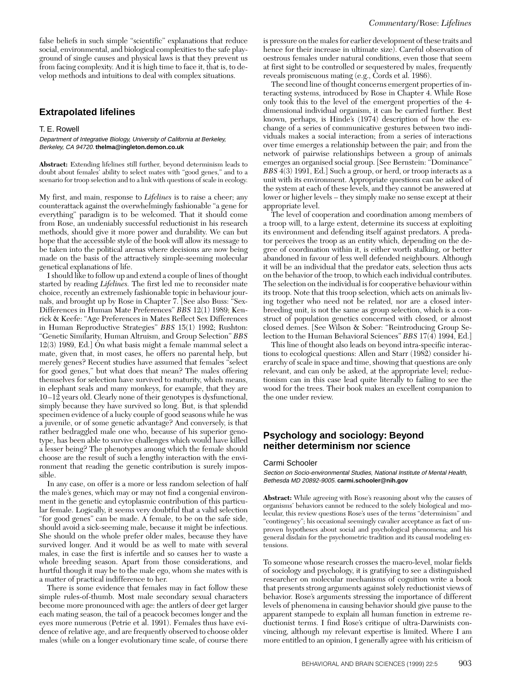false beliefs in such simple "scientific" explanations that reduce social, environmental, and biological complexities to the safe playground of single causes and physical laws is that they prevent us from facing complexity. And it is high time to face it, that is, to develop methods and intuitions to deal with complex situations.

## **Extrapolated lifelines**

#### T. E. Rowell

Department of Integrative Biology, University of California at Berkeley, Berkeley, CA 94720. **thelma@ingleton.demon.co.uk**

**Abstract:** Extending lifelines still further, beyond determinism leads to doubt about females' ability to select mates with "good genes," and to a scenario for troop selection and to a link with questions of scale in ecology.

My first, and main, response to *Lifelines* is to raise a cheer; any counterattack against the overwhelmingly fashionable "a gene for everything" paradigm is to be welcomed. That it should come from Rose, an undeniably successful reductionist in his research methods, should give it more power and durability. We can but hope that the accessible style of the book will allow its message to be taken into the political arenas where decisions are now being made on the basis of the attractively simple-seeming molecular genetical explanations of life.

I should like to follow up and extend a couple of lines of thought started by reading *Lifelines.* The first led me to reconsider mate choice, recently an extremely fashionable topic in behaviour journals, and brought up by Rose in Chapter 7. [See also Buss: "Sex-Differences in Human Mate Preferences" *BBS* 12(1) 1989; Kenrick & Keefe: "Age Preferences in Mates Reflect Sex Differences in Human Reproductive Strategies" *BBS* 15(1) 1992; Rushton: "Genetic Similarity, Human Altruism, and Group Selection" *BBS* 12(3) 1989, Ed.] On what basis might a female mammal select a mate, given that, in most cases, he offers no parental help, but merely genes? Recent studies have assumed that females "select for good genes," but what does that mean? The males offering themselves for selection have survived to maturity, which means, in elephant seals and many monkeys, for example, that they are 10–12 years old. Clearly none of their genotypes is dysfunctional, simply because they have survived so long. But, is that splendid specimen evidence of a lucky couple of good seasons while he was a juvenile, or of some genetic advantage? And conversely, is that rather bedraggled male one who, because of his superior genotype, has been able to survive challenges which would have killed a lesser being? The phenotypes among which the female should choose are the result of such a lengthy interaction with the environment that reading the genetic contribution is surely impossible.

In any case, on offer is a more or less random selection of half the male's genes, which may or may not find a congenial environment in the genetic and cytoplasmic contribution of this particular female. Logically, it seems very doubtful that a valid selection "for good genes" can be made. A female, to be on the safe side, should avoid a sick-seeming male, because it might be infectious. She should on the whole prefer older males, because they have survived longer. And it would be as well to mate with several males, in case the first is infertile and so causes her to waste a whole breeding season. Apart from those considerations, and hurtful though it may be to the male ego, whom she mates with is a matter of practical indifference to her.

There is some evidence that females may in fact follow these simple rules-of-thumb. Most male secondary sexual characters become more pronounced with age: the antlers of deer get larger each mating season, the tail of a peacock becomes longer and the eyes more numerous (Petrie et al. 1991). Females thus have evidence of relative age, and are frequently observed to choose older males (while on a longer evolutionary time scale, of course there

is pressure on the males for earlier development of these traits and hence for their increase in ultimate size). Careful observation of oestrous females under natural conditions, even those that seem at first sight to be controlled or sequestered by males, frequently reveals promiscuous mating (e.g., Cords et al. 1986).

The second line of thought concerns emergent properties of interacting systems, introduced by Rose in Chapter 4. While Rose only took this to the level of the emergent properties of the 4 dimensional individual organism, it can be carried further. Best known, perhaps, is Hinde's (1974) description of how the exchange of a series of communicative gestures between two individuals makes a social interaction; from a series of interactions over time emerges a relationship between the pair; and from the network of pairwise relationships between a group of animals emerges an organised social group. [See Bernstein: "Dominance" *BBS* 4(3) 1991, Ed.] Such a group, or herd, or troop interacts as a unit with its environment. Appropriate questions can be asked of the system at each of these levels, and they cannot be answered at lower or higher levels – they simply make no sense except at their appropriate level.

The level of cooperation and coordination among members of a troop will, to a large extent, determine its success at exploiting its environment and defending itself against predators. A predator perceives the troop as an entity which, depending on the degree of coordination within it, is either worth stalking, or better abandoned in favour of less well defended neighbours. Although it will be an individual that the predator eats, selection thus acts on the behavior of the troop, to which each individual contributes. The selection on the individual is for cooperative behaviour within its troop. Note that this troop selection, which acts on animals living together who need not be related, nor are a closed interbreeding unit, is not the same as group selection, which is a construct of population genetics concerned with closed, or almost closed demes. [See Wilson & Sober: "Reintroducing Group Selection to the Human Behavioral Sciences" *BBS* 17(4) 1994, Ed.]

This line of thought also leads on beyond intra-specific interactions to ecological questions: Allen and Starr (1982) consider hierarchy of scale in space and time, showing that questions are only relevant, and can only be asked, at the appropriate level; reductionism can in this case lead quite literally to failing to see the wood for the trees. Their book makes an excellent companion to the one under review.

## **Psychology and sociology: Beyond neither determinism nor science**

#### Carmi Schooler

Section on Socio-environmental Studies, National Institute of Mental Health, Bethesda MD 20892-9005. **carmi.schooler@nih.gov**

**Abstract:** While agreeing with Rose's reasoning about why the causes of organisms' behaviors cannot be reduced to the solely biological and molecular, this review questions Rose's uses of the terms "determinism" and "contingency"; his occasional seemingly cavalier acceptance as fact of unproven hypotheses about social and psychological phenomena; and his general disdain for the psychometric tradition and its causal modeling extensions.

To someone whose research crosses the macro-level, molar fields of sociology and psychology, it is gratifying to see a distinguished researcher on molecular mechanisms of cognition write a book that presents strong arguments against solely reductionist views of behavior. Rose's arguments stressing the importance of different levels of phenomena in causing behavior should give pause to the apparent stampede to explain all human function in extreme reductionist terms. I find Rose's critique of ultra-Darwinists convincing, although my relevant expertise is limited. Where I am more entitled to an opinion, I generally agree with his criticism of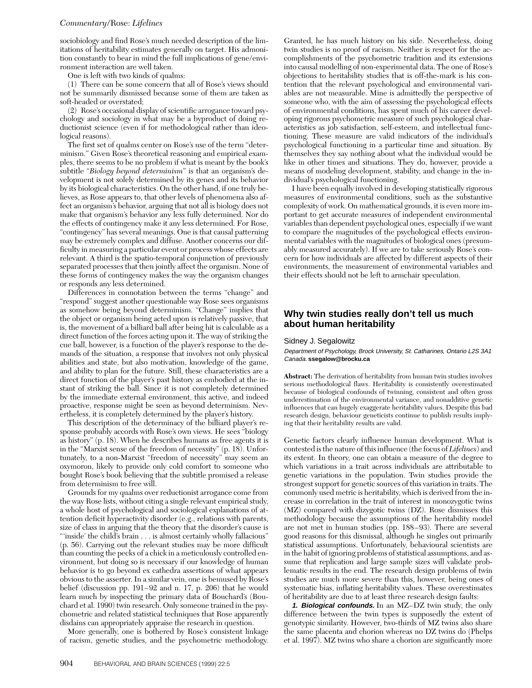sociobiology and find Rose's much needed description of the limitations of heritability estimates generally on target. His admonition constantly to bear in mind the full implications of gene/environment interaction are well taken.

One is left with two kinds of qualms:

(1) There can be some concern that all of Rose's views should not be summarily dismissed because some of them are taken as soft-headed or overstated;

(2) Rose's occasional display of scientific arrogance toward psychology and sociology in what may be a byproduct of doing reductionist science (even if for methodological rather than ideological reasons).

The first set of qualms center on Rose's use of the term "determinism." Given Rose's theoretical reasoning and empirical examples, there seems to be no problem if what is meant by the book's subtitle "*Biology beyond determinism*" is that an organism's development is not solely determined by its genes and its behavior by its biological characteristics. On the other hand, if one truly believes, as Rose appears to, that other levels of phenomena also affect an organism's behavior, arguing that not all is biology does not make that organism's behavior any less fully determined. Nor do the effects of contingency make it any less determined. For Rose, "contingency" has several meanings. One is that causal patterning may be extremely complex and diffuse. Another concerns our difficulty in measuring a particular event or process whose effects are relevant. A third is the spatio-temporal conjunction of previously separated processes that then jointly affect the organism. None of these forms of contingency makes the way the organism changes or responds any less determined.

Differences in connotation between the terms "change" and "respond" suggest another questionable way Rose sees organisms as somehow being beyond determinism. "Change" implies that the object or organism being acted upon is relatively passive, that is, the movement of a billiard ball after being hit is calculable as a direct function of the forces acting upon it. The way of striking the cue ball, however, is a function of the player's response to the demands of the situation, a response that involves not only physical abilities and state, but also motivation, knowledge of the game, and ability to plan for the future. Still, these characteristics are a direct function of the player's past history as embodied at the instant of striking the ball. Since it is not completely determined by the immediate external environment, this active, and indeed proactive, response might be seen as beyond determinism. Nevertheless, it is completely determined by the player's history.

This description of the determinacy of the billiard player's response probably accords with Rose's own views. He sees "biology as history" (p. 18). When he describes humans as free agents it is in the "Marxist sense of the freedom of necessity" (p. 18). Unfortunately, to a non-Marxist "freedom of necessity" may seem an oxymoron, likely to provide only cold comfort to someone who bought Rose's book believing that the subtitle promised a release from determinism to free will.

Grounds for my qualms over reductionist arrogance come from the way Rose lists, without citing a single relevant empirical study, a whole host of psychological and sociological explanations of attention deficit hyperactivity disorder (e.g., relations with parents, size of class in arguing that the theory that the disorder's cause is "'inside' the child's brain . . . is almost certainly wholly fallacious" (p. 56). Carrying out the relevant studies may be more difficult than counting the pecks of a chick in a meticulously controlled environment, but doing so is necessary if our knowledge of human behavior is to go beyond ex cathedra assertions of what appears obvious to the asserter. In a similar vein, one is bemused by Rose's belief (discussion pp. 191–92 and n. 17, p. 206) that he would learn much by inspecting the primary data of Bouchard's (Bouchard et al. 1990) twin research. Only someone trained in the psychometric and related statistical techniques that Rose apparently disdains can appropriately appraise the research in question.

More generally, one is bothered by Rose's consistent linkage of racism, genetic studies, and the psychometric methodology. Granted, he has much history on his side. Nevertheless, doing twin studies is no proof of racism. Neither is respect for the accomplishments of the psychometric tradition and its extensions into causal modelling of non-experimental data. The one of Rose's objections to heritability studies that is off-the-mark is his contention that the relevant psychological and environmental variables are not measurable. Mine is admittedly the perspective of someone who, with the aim of assessing the psychological effects of environmental conditions, has spent much of his career developing rigorous psychometric measure of such psychological characteristics as job satisfaction, self-esteem, and intellectual functioning. These measure are valid indicators of the individual's psychological functioning in a particular time and situation. By themselves they say nothing about what the individual would be like in other times and situations. They do, however, provide a means of modeling development, stability, and change in the individual's psychological functioning.

I have been equally involved in developing statistically rigorous measures of environmental conditions, such as the substantive complexity of work. On mathematical grounds, it is even more important to get accurate measures of independent environmental variables than dependent psychological ones, especially if we want to compare the magnitudes of the psychological effects environmental variables with the magnitudes of biological ones (presumably measured accurately). If we are to take seriously Rose's concern for how individuals are affected by different aspects of their environments, the measurement of environmental variables and their effects should not be left to armchair speculation.

## **Why twin studies really don't tell us much about human heritability**

#### Sidney J. Segalowitz

Department of Psychology, Brock University, St. Catharines, Ontario L2S 3A1 Canada. **ssegalow@brocku.ca**

**Abstract:** The derivation of heritability from human twin studies involves serious methodological flaws. Heritability is consistently overestimated because of biological confounds of twinning, consistent and often gross underestimation of the environmental variance, and nonadditive genetic influences that can hugely exaggerate heritability values. Despite this bad research design, behaviour geneticists continue to publish results implying that their heritability results are valid.

Genetic factors clearly influence human development. What is contested is the nature of this influence (the focus of *Lifelines*) and its extent. In theory, one can obtain a measure of the degree to which variations in a trait across individuals are attributable to genetic variations in the population. Twin studies provide the strongest support for genetic sources of this variation in traits. The commonly used metric is heritability, which is derived from the increase in correlation in the trait of interest in monozygotic twins (MZ) compared with dizygotic twins (DZ). Rose dismisses this methodology because the assumptions of the heritability model are not met in human studies (pp. 188–93). There are several good reasons for this dismissal, although he singles out primarily statistical assumptions. Unfortunately, behavioural scientists are in the habit of ignoring problems of statistical assumptions, and assume that replication and large sample sizes will validate problematic results in the end. The research design problems of twin studies are much more severe than this, however, being ones of systematic bias, inflating heritability values. These overestimates of heritability are due to at least three research design faults:

**1. Biological confounds.** In an MZ–DZ twin study, the only difference between the twin types is supposedly the extent of genotypic similarity. However, two-thirds of MZ twins also share the same placenta and chorion whereas no DZ twins do (Phelps et al. 1997). MZ twins who share a chorion are significantly more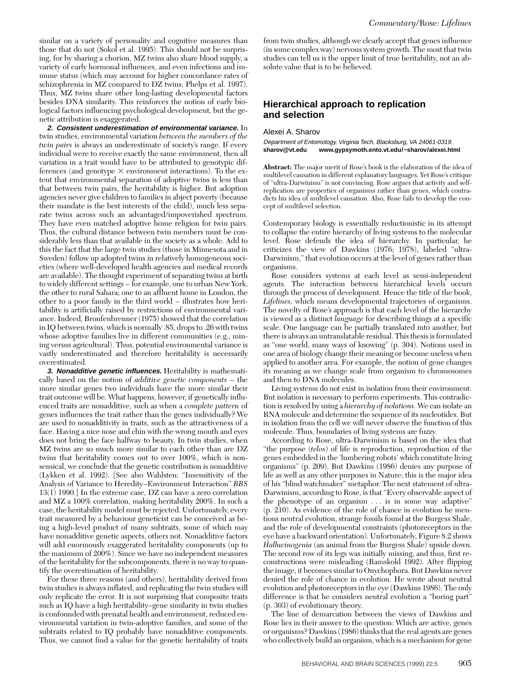similar on a variety of personality and cognitive measures than those that do not (Sokol et al. 1995). This should not be surprising, for by sharing a chorion, MZ twins also share blood supply, a variety of early hormonal influences, and even infections and immune status (which may account for higher concordance rates of schizophrenia in MZ compared to DZ twins; Phelps et al. 1997). Thus, MZ twins share other long-lasting developmental factors besides DNA similarity. This reinforces the notion of early biological factors influencing psychological development, but the genetic attribution is exaggerated.

**2. Consistent underestimation of environmental variance.** In twin studies, environmental variation *between the members of the twin pairs* is always an underestimate of society's range. If every individual were to receive exactly the same environment, then all variation in a trait would have to be attributed to genotypic differences (and genotype  $\times$  environment interactions). To the extent that environmental separation of adoptive twins is less than that between twin pairs, the heritability is higher. But adoption agencies never give children to families in abject poverty (because their mandate is the best interests of the child), much less separate twins across such an advantaged/impoverished spectrum. They have even matched adoptive home religion for twin pairs. Thus, the cultural distance between twin members must be considerably less than that available in the society as a whole. Add to this the fact that the large twin studies (those in Minnesota and in Sweden) follow up adopted twins in relatively homogeneous societies (where well-developed health agencies and medical records are available). The thought experiment of separating twins at birth to widely different settings – for example, one to urban New York, the other to rural Sahara; one to an affluent home in London, the other to a poor family in the third world – illustrates how heritability is artificially raised by restrictions of environmental variance. Indeed, Bronfenbrenner (1975) showed that the correlation in IQ between twins, which is normally .85, drops to .26 with twins whose adoptive families live in different communities (e.g., mining versus agricultural). Thus, potential environmental variance is vastly underestimated and therefore heritability is necessarily overestimated.

**3. Nonadditive genetic influences.** Heritability is mathematically based on the notion of *additive genetic components* – the more similar genes two individuals have the more similar their trait outcome will be. What happens, however, if genetically influenced traits are nonadditive, such as when a *complete pattern* of genes influences the trait rather than the genes individually? We are used to nonadditivity in traits, such as the attractiveness of a face. Having a nice nose and chin with the wrong mouth and eyes does not bring the face halfway to beauty. In twin studies, when MZ twins are so much more similar to each other than are DZ twins that heritability comes out to over 100%, which is nonsensical, we conclude that the genetic contribution is nonadditive (Lykken et al. 1992). [See also Wahlsten: "Insensitivity of the Analysis of Variance to Heredity–Environment Interaction" *BBS* 13(1) 1990.] In the extreme case, DZ can have a zero correlation and MZ a 100% correlation, making heritability 200%. In such a case, the heritability model must be rejected. Unfortunately, every trait measured by a behaviour geneticist can be conceived as being a high-level product of many subtraits, some of which may have nonadditive genetic aspects, others not. Nonadditive factors will add enormously exaggerated heritability components (up to the maximum of 200%). Since we have no independent measures of the heritability for the subcomponents, there is no way to quantify the overestimation of heritability.

For these three reasons (and others), heritability derived from twin studies is always inflated, and replicating the twin studies will only replicate the error. It is not surprising that composite traits such as IQ have a high heritability–gene similarity in twin studies is confounded with prenatal health and environment, reduced environmental variation in twin-adoptive families, and some of the subtraits related to IQ probably have nonadditive components. Thus, we cannot find a value for the genetic heritability of traits from twin studies, although we clearly accept that genes influence (in some complex way) nervous system growth. The most that twin studies can tell us is the upper limit of true heritability, not an absolute value that is to be believed.

## **Hierarchical approach to replication and selection**

#### Alexei A. Sharov

Department of Entomology, Virginia Tech, Blacksburg, VA 24061-0319. **sharov@vt.edu www.gypsymoth.ento.vt.edu/~sharov/alexei.html**

**Abstract:** The major merit of Rose's book is the elaboration of the idea of multilevel causation in different explanatory languages. Yet Rose's critique of "ultra-Darwinism" is not convincing. Rose argues that activity and selfreplication are properties of organisms rather than genes, which contradicts his idea of multilevel causation. Also, Rose fails to develop the concept of multilevel selection.

Contemporary biology is essentially reductionistic in its attempt to collapse the entire hierarchy of living systems to the molecular level. Rose defends the idea of hierarchy. In particular, he criticizes the view of Dawkins (1976; 1978), labeled "ultra-Darwinism," that evolution occurs at the level of genes rather than organisms.

Rose considers systems at each level as semi-independent agents. The interaction between hierarchical levels occurs through the process of development. Hence the title of the book, *Lifelines,* which means developmental trajectories of organisms. The novelty of Rose's approach is that each level of the hierarchy is viewed as a distinct *language* for describing things at a specific scale. One language can be partially translated into another, but there is always an untranslatable residual. This thesis is formulated as "one world, many ways of knowing" (p. 304). Notions used in one area of biology change their meaning or become useless when applied to another area. For example, the notion of gene changes its meaning as we change scale from organism to chromosomes and then to DNA molecules.

Living systems do not exist in isolation from their environment. But isolation is necessary to perform experiments. This contradiction is resolved by using a *hierarchy of isolations.* We can isolate an RNA molecule and determine the sequence of its nucleotides. But in isolation from the cell we will never observe the function of this molecule. Thus, boundaries of living systems are fuzzy.

According to Rose, ultra-Darwinism is based on the idea that "the purpose (*telos*) of life is reproduction, reproduction of the genes embedded in the 'lumbering robots' which constitute living organisms" (p. 209). But Dawkins (1986) denies any purpose of life as well as any other purposes in Nature; this is the major idea of his "blind watchmaker" metaphor. The next statement of ultra-Darwinism, according to Rose, is that "Every observable aspect of the phenotype of an organism . . . is in some way adaptive" (p. 210). As evidence of the role of chance in evolution he mentions neutral evolution, strange fossils found at the Burgess Shale, and the role of developmental constraints (photoreceptors in the eye have a backward orientation). Unfortunately, Figure 8.2 shows *Hallucinogenia* (an animal from the Burgess Shale) upside down. The second row of its legs was initially missing, and thus, first reconstructions were misleading (Ramskold 1992). After flipping the image, it becomes similar to Onychophora. But Dawkins never denied the role of chance in evolution. He wrote about neutral evolution and photoreceptors in the eye (Dawkins 1986). The only difference is that he considers neutral evolution a "boring part" (p. 303) of evolutionary theory.

The line of demarcation between the views of Dawkins and Rose lies in their answer to the question: Which are active, genes or organisms? Dawkins (1986) thinks that the real agents are genes who collectively build an organism, which is a mechanism for gene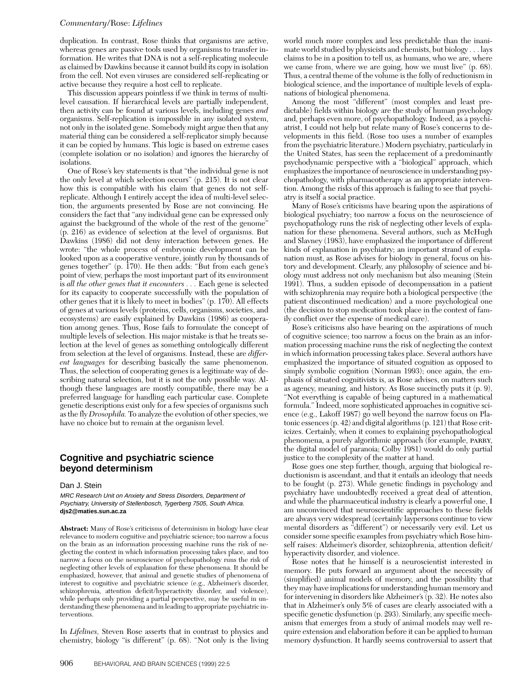duplication. In contrast, Rose thinks that organisms are active, whereas genes are passive tools used by organisms to transfer information. He writes that DNA is not a self-replicating molecule as claimed by Dawkins because it cannot build its copy in isolation from the cell. Not even viruses are considered self-replicating or active because they require a host cell to replicate.

This discussion appears pointless if we think in terms of multilevel causation. If hierarchical levels are partially independent, then activity can be found at various levels, including genes *and* organisms. Self-replication is impossible in any isolated system, not only in the isolated gene. Somebody might argue then that any material thing can be considered a self-replicator simply because it can be copied by humans. This logic is based on extreme cases (complete isolation or no isolation) and ignores the hierarchy of isolations.

One of Rose's key statements is that "the individual gene is not the only level at which selection occurs" (p. 215). It is not clear how this is compatible with his claim that genes do not selfreplicate. Although I entirely accept the idea of multi-level selection, the arguments presented by Rose are not convincing. He considers the fact that "any individual gene can be expressed only against the background of the whole of the rest of the genome" (p. 216) as evidence of selection at the level of organisms. But Dawkins (1986) did not deny interaction between genes. He wrote: "the whole process of embryonic development can be looked upon as a cooperative venture, jointly run by thousands of genes together" (p. 170). He then adds: "But from each gene's point of view, perhaps the most important part of its environment is *all the other genes that it encounters . . .* Each gene is selected for its capacity to cooperate successfully with the population of other genes that it is likely to meet in bodies" (p. 170). All effects of genes at various levels (proteins, cells, organisms, societies, and ecosystems) are easily explained by Dawkins (1986) as cooperation among genes. Thus, Rose fails to formulate the concept of multiple levels of selection. His major mistake is that he treats selection at the level of genes as something ontologically different from selection at the level of organisms. Instead, these are *different languages* for describing basically the same phenomenon. Thus, the selection of cooperating genes is a legitimate way of describing natural selection, but it is not the only possible way. Although these languages are mostly compatible, there may be a preferred language for handling each particular case. Complete genetic descriptions exist only for a few species of organisms such as the fly *Drosophila.* To analyze the evolution of other species, we have no choice but to remain at the organism level.

## **Cognitive and psychiatric science beyond determinism**

#### Dan J. Stein

MRC Research Unit on Anxiety and Stress Disorders, Department of Psychiatry, University of Stellenbosch, Tygerberg 7505, South Africa. **djs2@maties.sun.ac.za**

**Abstract:** Many of Rose's criticisms of determinism in biology have clear relevance to modern cognitive and psychiatric science; too narrow a focus on the brain as an information processing machine runs the risk of neglecting the context in which information processing takes place, and too narrow a focus on the neuroscience of psychopathology runs the risk of neglecting other levels of explanation for these phenomena. It should be emphasized, however, that animal and genetic studies of phenomena of interest to cognitive and psychiatric science (e.g., Alzheimer's disorder, schizophrenia, attention deficit/hyperactivity disorder, and violence), while perhaps only providing a partial perspective, may be useful in understanding these phenomena and in leading to appropriate psychiatric interventions.

In *Lifelines,* Steven Rose asserts that in contrast to physics and chemistry, biology "is different" (p. 68). "Not only is the living world much more complex and less predictable than the inanimate world studied by physicists and chemists, but biology . . . lays claims to be in a position to tell us, as humans, who we are, where we came from, where we are going, how we must live" (p. 68). Thus, a central theme of the volume is the folly of reductionism in biological science, and the importance of multiple levels of explanations of biological phenomena.

Among the most "different" (most complex and least predictable) fields within biology are the study of human psychology and, perhaps even more, of psychopathology. Indeed, as a psychiatrist, I could not help but relate many of Rose's concerns to developments in this field. (Rose too uses a number of examples from the psychiatric literature.) Modern psychiatry, particularly in the United States, has seen the replacement of a predominantly psychodynamic perspective with a "biological" approach, which emphasizes the importance of neuroscience in understanding psychopathology, with pharmacotherapy as an appropriate intervention. Among the risks of this approach is failing to see that psychiatry is itself a social practice.

Many of Rose's criticisms have bearing upon the aspirations of biological psychiatry; too narrow a focus on the neuroscience of psychopathology runs the risk of neglecting other levels of explanation for these phenomena. Several authors, such as McHugh and Slavney (1983), have emphasized the importance of different kinds of explanation in psychiatry; an important strand of explanation must, as Rose advises for biology in general, focus on history and development. Clearly, any philosophy of science and biology must address not only mechanism but also meaning (Stein 1991). Thus, a sudden episode of decompensation in a patient with schizophrenia may require both a biological perspective (the patient discontinued medication) and a more psychological one (the decision to stop medication took place in the context of family conflict over the expense of medical care).

Rose's criticisms also have bearing on the aspirations of much of cognitive science; too narrow a focus on the brain as an information processing machine runs the risk of neglecting the context in which information processing takes place. Several authors have emphasized the importance of situated cognition as opposed to simply symbolic cognition (Norman 1993); once again, the emphasis of situated cognitivists is, as Rose advises, on matters such as agency, meaning, and history. As Rose succinctly puts it (p. 9), "Not everything is capable of being captured in a mathematical formula." Indeed, more sophisticated approaches in cognitive science (e.g., Lakoff 1987) go well beyond the narrow focus on Platonic essences (p. 42) and digital algorithms (p. 121) that Rose criticizes. Certainly, when it comes to explaining psychopathological phenomena, a purely algorithmic approach (for example, parry, the digital model of paranoia; Colby 1981) would do only partial justice to the complexity of the matter at hand.

Rose goes one step further, though, arguing that biological reductionism is ascendant, and that it entails an ideology that needs to be fought (p. 273). While genetic findings in psychology and psychiatry have undoubtedly received a great deal of attention, and while the pharmaceutical industry is clearly a powerful one, I am unconvinced that neuroscientific approaches to these fields are always very widespread (certainly laypersons continue to view mental disorders as "different") or necessarily very evil. Let us consider some specific examples from psychiatry which Rose himself raises: Alzheimer's disorder, schizophrenia, attention deficit/ hyperactivity disorder, and violence.

Rose notes that he himself is a neuroscientist interested in memory. He puts forward an argument about the necessity of (simplified) animal models of memory, and the possibility that they may have implications for understanding human memory and for intervening in disorders like Alzheimer's (p. 32). He notes also that in Alzheimer's only 5% of cases are clearly associated with a specific genetic dysfunction (p. 293). Similarly, any specific mechanism that emerges from a study of animal models may well require extension and elaboration before it can be applied to human memory dysfunction. It hardly seems controversial to assert that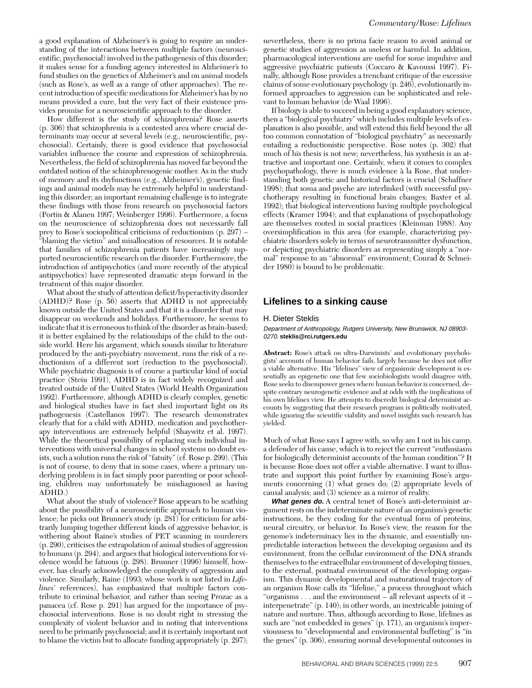a good explanation of Alzheimer's is going to require an understanding of the interactions between multiple factors (neuroscientific, psychosocial) involved in the pathogenesis of this disorder; it makes sense for a funding agency interested in Alzheimer's to fund studies on the genetics of Alzheimer's and on animal models (such as Rose's, as well as a range of other approaches). The recent introduction of specific medications for Alzheimer's has by no means provided a cure, but the very fact of their existence provides promise for a neuroscientific approach to the disorder.

How different is the study of schizophrenia? Rose asserts (p. 306) that schizophrenia is a contested area where crucial determinants may occur at several levels (e.g., neuroscientific, psychosocial). Certainly, there is good evidence that psychosocial variables influence the course and expression of schizophrenia. Nevertheless, the field of schizophrenia has moved far beyond the outdated notion of the schizophrenogenic mother. As in the study of memory and its dsyfunctions (e.g., Alzheimer's), genetic findings and animal models may be extremely helpful in understanding this disorder; an important remaining challenge is to integrate these findings with those from research on psychosocial factors (Portin & Alanen 1997; Weinberger 1996). Furthermore, a focus on the neuroscience of schizophrenia does not necessarily fall prey to Rose's sociopolitical criticisms of reductionism (p. 297) – "blaming the victim" and misallocation of resources. It is notable that families of schizophrenia patients have increasingly supported neuroscientific research on the disorder. Furthermore, the introduction of antipsychotics (and more recently of the atypical antipsychotics) have represented dramatic steps forward in the treatment of this major disorder.

What about the study of attention deficit/hyperactivity disorder (ADHD)? Rose (p. 56) asserts that ADHD is not appreciably known outside the United States and that it is a disorder that may disappear on weekends and holidays. Furthermore, he seems to indicate that it is erroneous to think of the disorder as brain-based; it is better explained by the relationships of the child to the outside world. Here his argument, which sounds similar to literature produced by the anti-psychiatry movement, runs the risk of a reductionism of a different sort (reduction to the psychosocial). While psychiatric diagnosis is of course a particular kind of social practice (Stein 1991), ADHD is in fact widely recognized and treated outside of the United States (World Health Organization 1992). Furthermore, although ADHD is clearly complex, genetic and biological studies have in fact shed important light on its pathogenesis (Castellanos 1997). The research demonstrates clearly that for a child with ADHD, medication and psychotherapy interventions are extremely helpful (Shaywitz et al. 1997). While the theoretical possibility of replacing such individual interventions with universal changes in school systems no doubt exists, such a solution runs the risk of "fatuity" (cf. Rose p. 299). (This is not of course, to deny that in some cases, where a primary underlying problem is in fact simply poor parenting or poor schooling, children may unfortunately be misdiagnosed as having ADHD.)

What about the study of violence? Rose appears to be scathing about the possibility of a neuroscientific approach to human violence; he picks out Brunner's study (p. 281) for criticism for arbitrarily lumping together different kinds of aggressive behavior, is withering about Raine's studies of PET scanning in murderers (p. 290), criticises the extrapolation of animal studies of aggression to humans (p. 294), and argues that biological interventions for violence would be fatuous (p. 298). Brunner (1996) himself, however, has clearly acknowledged the complexity of aggression and violence. Similarly, Raine (1993; whose work is not listed in *Lifelines*' references), has emphasized that multiple factors contribute to criminal behavior, and rather than seeing Prozac as a panacea (cf. Rose p. 291) has argued for the importance of psychosocial interventions. Rose is no doubt right in stressing the complexity of violent behavior and in noting that interventions need to be primarily psychosocial; and it is certainly important not to blame the victim but to allocate funding appropriately (p. 297);

nevertheless, there is no prima facie reason to avoid animal or genetic studies of aggression as useless or harmful. In addition, pharmacological interventions are useful for some impulsive and aggressive psychiatric patients (Coccaro & Kavoussi 1997). Finally, although Rose provides a trenchant critique of the excessive claims of some evolutionary psychology (p. 246), evolutionarily informed approaches to aggression can be sophisticated and relevant to human behavior (de Waal 1996).

If biology is able to succeed in being a good explanatory science, then a "biological psychiatry" which includes multiple levels of explanation is also possible, and will extend this field beyond the all too common connotation of "biological psychiatry" as necessarily entailing a reductionistic perspective. Rose notes (p. 302) that much of his thesis is not new; nevertheless, his synthesis is an attractive and important one. Certainly, when it comes to complex psychopathology, there is much evidence à la Rose, that understanding both genetic and historical factors is crucial (Schaffner 1998); that soma and psyche are interlinked (with successful psychotherapy resulting in functional brain changes; Baxter et al. 1992); that biological interventions having multiple psychological effects (Kramer 1994); and that explanations of psychopathology are themselves rooted in social practices (Kleinman 1988). Any oversimplification in this area (for example, characterizing psychiatric disorders solely in terms of neurotransmitter dysfunction, or depicting psychiatric disorders as representing simply a "normal" response to an "abnormal" environment; Conrad & Schneider 1980) is bound to be problematic.

## **Lifelines to a sinking cause**

#### H. Dieter Steklis

Department of Anthropology, Rutgers University, New Brunswick, NJ 08903- 0270. **steklis@rci.rutgers.edu**

Abstract: Rose's attack on ultra-Darwinists' and evolutionary psychologists' accounts of human behavior fails, largely because he does not offer a viable alternative. His "lifelines" view of organismic development is essentially an epigenetic one that few sociobiologists would disagree with, Rose seeks to disempower genes where human behavior is concerned, despite contrary neurogenetic evidence and at odds with the implications of his own lifelines view. He attempts to discredit biological determinist accounts by suggesting that their research program is politically motivated, while ignoring the scientific viability and novel insights such research has yielded.

Much of what Rose says I agree with, so why am I not in his camp, a defender of his cause, which is to reject the current "enthusiasm for biologically determinist accounts of the human condition"? It is because Rose does not offer a viable alternative. I want to illustrate and support this point further by examining Rose's arguments concerning (1) what genes do; (2) appropriate levels of causal analysis; and (3) science as a mirror of reality.

**What genes do.** A central tenet of Rose's anti-determinist argument rests on the indeterminate nature of an organism's genetic instructions, be they coding for the eventual form of proteins, neural circuitry, or behavior. In Rose's view, the reason for the genome's indeterminacy lies in the dynamic, and essentially unpredictable interaction between the developing organism and its environment, from the cellular environment of the DNA strands themselves to the extracellular environment of developing tissues, to the external, postnatal environment of the developing organism. This dynamic developmental and maturational trajectory of an organism Rose calls its "lifeline," a process throughout which "organisms . . . and the environment – all relevant aspects of it – interpenetrate" (p. 140); in other words, an inextricable joining of nature and nurture. Thus, although according to Rose, lifelines as such are "not embedded in genes" (p. 171), an organism's imperviousness to "developmental and environmental buffeting" is "in the genes" (p. 306), ensuring normal developmental outcomes in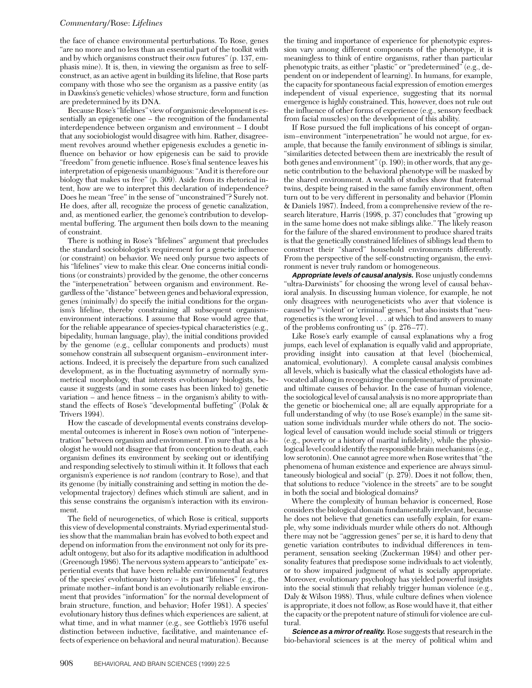the face of chance environmental perturbations. To Rose, genes "are no more and no less than an essential part of the toolkit with and by which organisms construct their *own* futures" (p. 137, emphasis mine). It is, then, in viewing the organism as free to selfconstruct, as an active agent in building its lifeline, that Rose parts company with those who see the organism as a passive entity (as in Dawkins's genetic vehicles) whose structure, form and function are predetermined by its DNA.

Because Rose's "lifelines" view of organismic development is essentially an epigenetic one – the recognition of the fundamental interdependence between organism and environment – I doubt that any sociobiologist would disagree with him. Rather, disagreement revolves around whether epigenesis excludes a genetic influence on behavior or how epigenesis can be said to provide "freedom" from genetic influence. Rose's final sentence leaves his interpretation of epigenesis unambiguous: "And it is therefore our biology that makes us free" (p. 309). Aside from its rhetorical intent, how are we to interpret this declaration of independence? Does he mean "free" in the sense of "unconstrained"? Surely not. He does, after all, recognize the process of genetic canalization, and, as mentioned earlier, the genome's contribution to developmental buffering. The argument then boils down to the meaning of constraint.

There is nothing in Rose's "lifelines" argument that precludes the standard sociobiologist's requirement for a genetic influence (or constraint) on behavior. We need only pursue two aspects of his "lifelines" view to make this clear. One concerns initial conditions (or constraints) provided by the genome, the other concerns the "interpenetration" between organism and environment. Regardless of the "distance" between genes and behavioral expression, genes (minimally) do specify the initial conditions for the organism's lifeline, thereby constraining all subsequent organismenvironment interactions. I assume that Rose would agree that, for the reliable appearance of species-typical characteristics (e.g., bipedality, human language, play), the initial conditions provided by the genome (e.g., cellular components and products) must somehow constrain all subsequent organism–environment interactions. Indeed, it is precisely the departure from such canalized development, as in the fluctuating asymmetry of normally symmetrical morphology, that interests evolutionary biologists, because it suggests (and in some cases has been linked to) genetic variation – and hence fitness – in the organism's ability to withstand the effects of Rose's "developmental buffeting" (Polak & Trivers 1994).

How the cascade of developmental events constrains developmental outcomes is inherent in Rose's own notion of "interpenetration" between organism and environment. I'm sure that as a biologist he would not disagree that from conception to death, each organism defines its environment by seeking out or identifying and responding selectively to stimuli within it. It follows that each organism's experience is *not* random (contrary to Rose), and that its genome (by initially constraining and setting in motion the developmental trajectory) defines which stimuli are salient, and in this sense constrains the organism's interaction with its environment.

The field of neurogenetics, of which Rose is critical, supports this view of developmental constraints. Myriad experimental studies show that the mammalian brain has evolved to both expect and depend on information from the environment not only for its preadult ontogeny, but also for its adaptive modification in adulthood (Greenough 1986). The nervous system appears to "anticipate" experiential events that have been reliable environmental features of the species' evolutionary history – its past "lifelines" (e.g., the primate mother–infant bond is an evolutionarily reliable environment that provides "information" for the normal development of brain structure, function, and behavior; Hofer 1981). A species' evolutionary history thus defines which experiences are salient, at what time, and in what manner (e.g., see Gottlieb's 1976 useful distinction between inductive, facilitative, and maintenance effects of experience on behavioral and neural maturation). Because

the timing and importance of experience for phenotypic expression vary among different components of the phenotype, it is meaningless to think of entire organisms, rather than particular phenotypic traits, as either "plastic" or "predetermined" (e.g., dependent on or independent of learning). In humans, for example, the capacity for spontaneous facial expression of emotion emerges independent of visual experience, suggesting that its normal emergence is highly constrained. This, however, does not rule out the influence of other forms of experience (e.g., sensory feedback from facial muscles) on the development of this ability.

If Rose pursued the full implications of his concept of organism–environment "interpenetration" he would not argue, for example, that because the family environment of siblings is similar, "similarities detected between them are inextricably the result of both genes and environment" (p. 190); in other words, that any genetic contribution to the behavioral phenotype will be masked by the shared environment. A wealth of studies show that fraternal twins, despite being raised in the same family environment, often turn out to be very different in personality and behavior (Plomin & Daniels 1987). Indeed, from a comprehensive review of the research literature, Harris (1998, p. 37) concludes that "growing up in the same home does not make siblings alike." The likely reason for the failure of the shared environment to produce shared traits is that the genetically constrained lifelines of siblings lead them to construct their "shared" household environments differently. From the perspective of the self-constructing organism, the environment is never truly random or homogeneous.

**Appropriate levels of causal analysis.** Rose unjustly condemns "ultra-Darwinists" for choosing the wrong level of causal behavioral analysis. In discussing human violence, for example, he not only disagrees with neurogeneticists who aver that violence is caused by "'violent' or 'criminal' genes," but also insists that "neurogenetics is the wrong level . . . at which to find answers to many of the problems confronting us" (p. 276–77).

Like Rose's early example of causal explanations why a frog jumps, each level of explanation is equally valid and appropriate, providing insight into causation at that level (biochemical, anatomical, evolutionary). A complete causal analysis combines all levels, which is basically what the classical ethologists have advocated all along in recognizing the complementarity of proximate and ultimate causes of behavior. In the case of human violence, the sociological level of causal analysis is no more appropriate than the genetic or biochemical one; all are equally appropriate for a full understanding of why (to use Rose's example) in the same situation some individuals murder while others do not. The sociological level of causation would include social stimuli or triggers (e.g., poverty or a history of marital infidelity), while the physiological level could identify the responsible brain mechanisms (e.g., low serotonin). One cannot agree more when Rose writes that "the phenomena of human existence and experience are always simultaneously biological and social" (p. 279). Does it not follow, then, that solutions to reduce "violence in the streets" are to be sought in both the social and biological domains?

Where the complexity of human behavior is concerned, Rose considers the biological domain fundamentally irrelevant, because he does not believe that genetics can usefully explain, for example, why some individuals murder while others do not. Although there may not be "aggression genes" per se, it is hard to deny that genetic variation contributes to individual differences in temperament, sensation seeking (Zuckerman 1984) and other personality features that predispose some individuals to act violently, or to show impaired judgment of what is socially appropriate. Moreover, evolutionary psychology has yielded powerful insights into the social stimuli that reliably trigger human violence (e.g., Daly & Wilson 1988). Thus, while culture defines when violence is appropriate, it does not follow, as Rose would have it, that either the capacity or the prepotent nature of stimuli for violence are cultural.

**Science as a mirror of reality.** Rose suggests that research in the bio-behavioral sciences is at the mercy of political whim and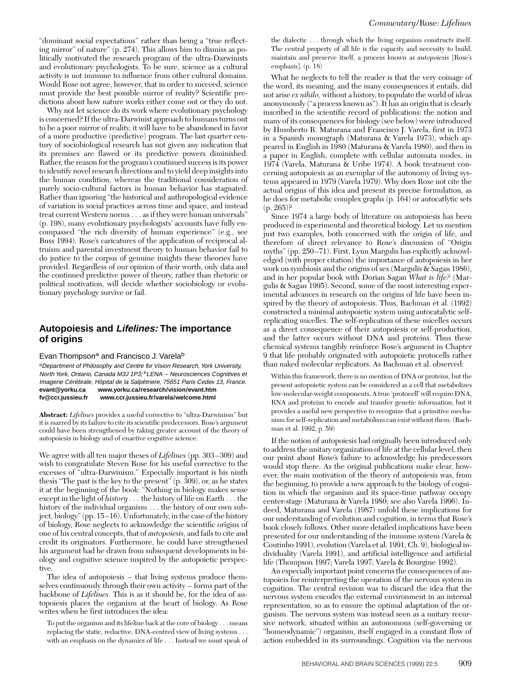"dominant social expectations" rather than being a "true reflecting mirror" of nature" (p. 274). This allows him to dismiss as politically motivated the research program of the ultra-Darwinists and evolutionary psychologists. To be sure, science as a cultural activity is not immune to influence from other cultural domains. Would Rose not agree, however, that in order to succeed, science must provide the best possible mirror of reality? Scientific predictions about how nature works either come out or they do not.

Why not let science do its work where evolutionary psychology is concerned? If the ultra-Darwinist approach to humans turns out to be a poor mirror of reality, it will have to be abandoned in favor of a more productive (predictive) program. The last quarter century of sociobiological research has not given any indication that its premises are flawed or its predictive powers diminished. Rather, the reason for the program's continued success is its power to identify novel research directions and to yield deep insights into the human condition, whereas the traditional consideration of purely socio-cultural factors in human behavior has stagnated. Rather than ignoring "the historical and anthropological evidence of variation in social practices across time and space, and instead treat current Western norms . . . as if they were human universals" (p. 198), many evolutionary psychologists' accounts have fully encompassed "the rich diversity of human experience" (e.g., see Buss 1994). Rose's caricatures of the application of reciprocal altruism and parental investment theory to human behavior fail to do justice to the corpus of genuine insights these theories have provided. Regardless of our opinion of their worth, only data and the continued predictive power of theory, rather than rhetoric or political motivation, will decide whether sociobiology or evolutionary psychology survive or fail.

## **Autopoiesis and Lifelines: The importance of origins**

Evan Thompson<sup>a</sup> and Francisco J. Varela<sup>b</sup>

aDepartment of Philosophy and Centre for Vision Research, York University, North York, Ontario, Canada M3J 1P3; <sup>b</sup>LENA - Neurosciences Cognitives et Imagerie Cérébrale, Hôpital de la Salpètriere, 75651 Paris Cedex 13, France. **evant@yorku.ca www.yorku.ca/research/vision/evant.htm fv@ccr.jussieu.fr www.ccr.jussieu.fr/varela/welcome.html**

**Abstract:** *Lifelines* provides a useful corrective to "ultra-Darwinism" but it is marred by its failure to cite its scientific predecessors. Rose's argument could have been strengthened by taking greater account of the theory of autopoiesis in biology and of enactive cognitive science.

We agree with all ten major theses of *Lifelines* (pp. 303–309) and wish to congratulate Steven Rose for his useful corrective to the excesses of "ultra-Darwinism." Especially important is his ninth thesis "The past is the key to the present" (p. 309), or, as he states it at the beginning of the book: "Nothing in biology makes sense except in the light of *history . . .* the history of life on Earth . . . the history of the individual organism . . . the history of our own subject, biology" (pp. 15–16). Unfortunately, in the case of the history of biology, Rose neglects to acknowledge the scientific origins of one of his central concepts, that of *autopoiesis,* and fails to cite and credit its originators. Furthermore, he could have strengthened his argument had he drawn from subsequent developments in biology and cognitive science inspired by the autopoietic perspective.

The idea of autopoiesis – that living systems produce themselves continuously through their own activity – forms part of the backbone of *Lifelines.* This is as it should be, for the idea of autopoiesis places the organism at the heart of biology. As Rose writes when he first introduces the idea:

To put the organism and its lifeline back at the core of biology . . . means replacing the static, reductive, DNA-centred view of living systems . . . with an emphasis on the dynamics of life . . . Instead we must speak of

the dialectic . . . through which the living organism constructs itself. The central property of all life is the capacity and necessity to build, maintain and preserve itself, a process known as *autopoiesis* [Rose's emphasis]. (p. 18)

What he neglects to tell the reader is that the very coinage of the word, its meaning, and the many consequences it entails, did not arise *ex nihilo,* without a history, to populate the world of ideas anonymously ("a process known as"). It has an origin that is clearly inscribed in the scientific record of publications: the notion and many of its consequences for biology (see below) were introduced by Humberto R. Maturana and Francisco J. Varela, first in 1973 in a Spanish monograph (Maturana & Varela 1973), which appeared in English in 1980 (Maturana & Varela 1980), and then in a paper in English, complete with cellular automata modes, in 1974 (Varela, Maturana & Uribe 1974). A book treatment concerning autopoiesis as an exemplar of the autonomy of living systems appeared in 1979 (Varela 1979). Why does Rose not cite the actual origins of this idea and present its precise formulation, as he does for metabolic complex graphs (p. 164) or autocatlytic sets (p. 265)?

Since 1974 a large body of literature on autopoiesis has been produced in experimental and theoretical biology. Let us mention just two examples, both concerned with the origin of life, and therefore of direct relevance to Rose's discussion of "Origin myths" (pp. 250–71). First, Lynn Margulis has explicitly acknowledged (with proper citation) the importance of autopoiesis in her work on symbiosis and the origins of sex (Margulis & Sagan 1986), and in her popular book with Dorian Sagan *What is life?* (Margulis & Sagan 1995). Second, some of the most interesting experimental advances in research on the origins of life have been inspired by the theory of autopoiesis. Thus, Bachman et al. (1992) constructed a minimal autopoietic system using autocatalytic selfreplicating micelles. The self-replication of these micelles occurs as a direct consequence of their autopoiesis or self-production, and the latter occurs without DNA and proteins. Thus these chemical systems tangibly reinforce Rose's argument in Chapter 9 that life probably originated with autopoietic protocells rather than naked molecular replicators. As Bachman et al. observed:

Within this framework, there is no mention of DNA or proteins, but the present autopoietic system can be considered as a cell that metabolizes low-molecular-weight components. A true 'protocell' will require DNA, RNA and proteins to encode and transfer genetic information; but it provides a useful new perspective to recognize that a primitive mechanism for self-replication and metabolism can exist without them. (Bachman et al. 1992, p. 59)

If the notion of autopoiesis had originally been introduced only to address the unitary organization of life at the cellular level, then our point about Rose's failure to acknowledge his predecessors would stop there. As the original publications make clear, however, the main motivation of the theory of autopoiesis was, from the beginning, to provide a new approach to the biology of cognition in which the organism and its space-time pathway occupy center-stage (Maturana & Varela 1980; see also Varela 1996). Indeed, Maturana and Varela (1987) unfold these implications for our understanding of evolution and cognition, in terms that Rose's book closely follows. Other more detailed implications have been presented for our understanding of the immune system (Varela & Coutinho 1991), evolution (Varela et al. 1991, Ch. 9), biological individuality (Varela 1991), and artificial intelligence and artificial life (Thompson 1997; Varela 1997; Varela & Bourgine 1992).

An especially important point concerns the consequences of autopoieis for reinterpreting the operation of the nervous system in cognition. The central revision was to discard the idea that the nervous system encodes the external environment in an internal representation, so as to ensure the optimal adaptation of the organism. The nervous system was instead seen as a unitary recursive network, situated within an autonomous (self-governing or "homeodynamic") organism, itself engaged in a constant flow of action embedded in its surroundings. Cognition via the nervous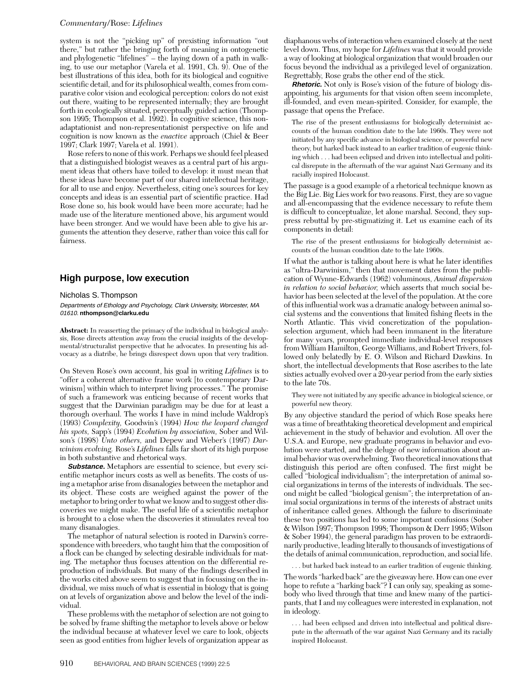system is not the "picking up" of prexisting information "out there," but rather the bringing forth of meaning in ontogenetic and phylogenetic "lifelines" – the laying down of a path in walking, to use our metaphor (Varela et al. 1991, Ch. 9). One of the best illustrations of this idea, both for its biological and cognitive scientific detail, and for its philosophical wealth, comes from comparative color vision and ecological perception: colors do not exist out there, waiting to be represented internally; they are brought forth in ecologically situated, perceptually guided action (Thompson 1995; Thompson et al. 1992). In cognitive science, this nonadaptationist and non-representationist perspective on life and cognition is now known as the *enactive* approach (Chiel & Beer 1997; Clark 1997; Varela et al. 1991).

Rose refers to none of this work. Perhaps we should feel pleased that a distinguished biologist weaves as a central part of his argument ideas that others have toiled to develop: it must mean that these ideas have become part of our shared intellectual heritage, for all to use and enjoy. Nevertheless, citing one's sources for key concepts and ideas is an essential part of scientific practice. Had Rose done so, his book would have been more accurate; had he made use of the literature mentioned above, his argument would have been stronger. And we would have been able to give his arguments the attention they deserve, rather than voice this call for fairness.

## **High purpose, low execution**

#### Nicholas S. Thompson

Departments of Ethology and Psychology, Clark University, Worcester, MA 01610. **nthompson@clarku.edu**

**Abstract:** In reasserting the primacy of the individual in biological analysis, Rose directs attention away from the crucial insights of the developmental/structuralist perspective that he advocates. In presenting his advocacy as a diatribe, he brings disrespect down upon that very tradition.

On Steven Rose's own account, his goal in writing *Lifelines* is to "offer a coherent alternative frame work [to contemporary Darwinism] within which to interpret living processes." The promise of such a framework was enticing because of recent works that suggest that the Darwinian paradigm may be due for at least a thorough overhaul. The works I have in mind include Waldrop's (1993) *Complexity,* Goodwin's (1994) *How the leopard changed his spots,* Sapp's (1994) *Evolution by association,* Sober and Wilson's (1998) *Unto others,* and Depew and Weber's (1997) *Darwinism evolving.* Rose's *Lifelines* falls far short of its high purpose in both substantive and rhetorical ways.

**Substance.** Metaphors are essential to science, but every scientific metaphor incurs costs as well as benefits. The costs of using a metaphor arise from disanalogies between the metaphor and its object. These costs are weighed against the power of the metaphor to bring order to what we know and to suggest other discoveries we might make. The useful life of a scientific metaphor is brought to a close when the discoveries it stimulates reveal too many disanalogies.

The metaphor of natural selection is rooted in Darwin's correspondence with breeders, who taught him that the composition of a flock can be changed by selecting desirable individuals for mating. The metaphor thus focuses attention on the differential reproduction of individuals. But many of the findings described in the works cited above seem to suggest that in focussing on the individual, we miss much of what is essential in biology that is going on at levels of organization above and below the level of the individual.

These problems with the metaphor of selection are not going to be solved by frame shifting the metaphor to levels above or below the individual because at whatever level we care to look, objects seen as good entities from higher levels of organization appear as

diaphanous webs of interaction when examined closely at the next level down. Thus, my hope for *Lifelines* was that it would provide a way of looking at biological organization that would broaden our focus beyond the individual as a privileged level of organization. Regrettably, Rose grabs the other end of the stick.

**Rhetoric.** Not only is Rose's vision of the future of biology disappointing, his arguments for that vision often seem incomplete, ill-founded, and even mean-spirited. Consider, for example, the passage that opens the Preface.

The rise of the present enthusiasms for biologically determinist accounts of the human condition date to the late 1960s. They were not initiated by any specific advance in biological science, or powerful new theory, but harked back instead to an earlier tradition of eugenic thinking which . . . had been eclipsed and driven into intellectual and political disrepute in the aftermath of the war against Nazi Germany and its racially inspired Holocaust.

The passage is a good example of a rhetorical technique known as the Big Lie. Big Lies work for two reasons. First, they are so vague and all-encompassing that the evidence necessary to refute them is difficult to conceptualize, let alone marshal. Second, they suppress rebuttal by pre-stigmatizing it. Let us examine each of its components in detail:

The rise of the present enthusiasms for biologically determinist accounts of the human condition date to the late 1960s.

If what the author is talking about here is what he later identifies as "ultra-Darwinism," then that movement dates from the publication of Wynne-Edwards (1962) voluminous, *Animal dispersion in relation to social behavior,* which asserts that much social behavior has been selected at the level of the population. At the core of this influential work was a dramatic analogy between animal social systems and the conventions that limited fishing fleets in the North Atlantic. This vivid concretization of the populationselection argument, which had been immanent in the literature for many years, prompted immediate individual-level responses from William Hamilton, George Williams, and Robert Trivers, followed only belatedly by E. O. Wilson and Richard Dawkins. In short, the intellectual developments that Rose ascribes to the late sixties actually evolved over a 20-year period from the early sixties to the late 70s.

They were not initiated by any specific advance in biological science, or powerful new theory.

By any objective standard the period of which Rose speaks here was a time of breathtaking theoretical development and empirical achievement in the study of behavior and evolution. All over the U.S.A. and Europe, new graduate programs in behavior and evolution were started, and the deluge of new information about animal behavior was overwhelming. Two theoretical innovations that distinguish this period are often confused. The first might be called "biological individualism"; the interpretation of animal social organizations in terms of the interests of individuals. The second might be called "biological genism"; the interpretation of animal social organizations in terms of the interests of abstract units of inheritance called genes. Although the failure to discriminate these two positions has led to some important confusions (Sober & Wilson 1997; Thompson 1998; Thompson & Derr 1995; Wilson & Sober 1994), the general paradigm has proven to be extraordinarily productive, leading literally to thousands of investigations of the details of animal communication, reproduction, and social life.

. . . but harked back instead to an earlier tradition of eugenic thinking.

The words "harked back" are the giveaway here. How can one ever hope to refute a "harking back"? I can only say, speaking as somebody who lived through that time and knew many of the participants, that I and my colleagues were interested in explanation, not in ideology.

. . . had been eclipsed and driven into intellectual and political disrepute in the aftermath of the war against Nazi Germany and its racially inspired Holocaust.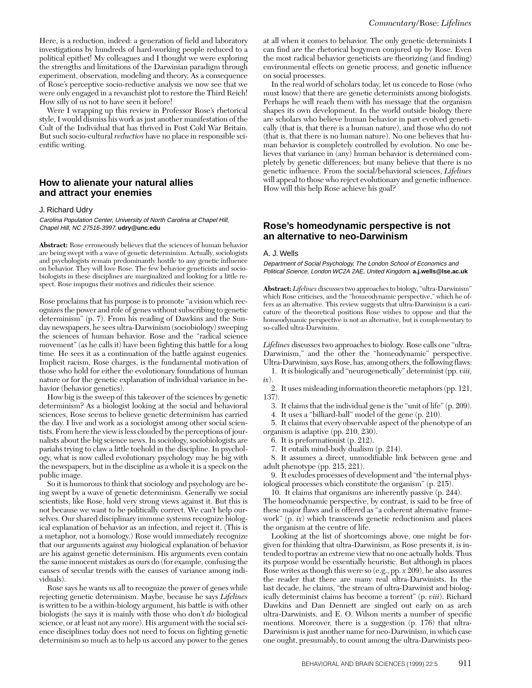Here, is a reduction, indeed: a generation of field and laboratory investigations by hundreds of hard-working people reduced to a political epithet! My colleagues and I thought we were exploring the strengths and limitations of the Darwinian paradigm through experiment, observation, modeling and theory. As a consequence of Rose's perceptive socio-reductive analysis we now see that we were only engaged in a revanchist plot to restore the Third Reich! How silly of us not to have seen it before!

Were I wrapping up this review in Professor Rose's rhetorical style, I would dismiss his work as just another manifestation of the Cult of the Individual that has thrived in Post Cold War Britain. But such socio-cultural *reductios* have no place in responsible scientific writing.

## **How to alienate your natural allies and attract your enemies**

#### J. Richard Udry

Carolina Population Center, University of North Carolina at Chapel Hill, Chapel Hill, NC 27516-3997. **udry@unc.edu**

**Abstract:** Rose erroneously believes that the sciences of human behavior are being swept with a wave of genetic determinism. Actually, sociologists and psychologists remain predominantly hostile to any genetic influence on behavior. They will love Rose. The few behavior geneticists and sociobiologists in these disciplines are marginalized and looking for a little respect. Rose impugns their motives and ridicules their science.

Rose proclaims that his purpose is to promote "a vision which recognizes the power and role of genes without subscribing to genetic determinism" (p. 7). From his reading of Dawkins and the Sunday newspapers, he sees ultra-Darwinism (sociobiology) sweeping the sciences of human behavior. Rose and the "radical science movement" (as he calls it) have been fighting this battle for a long time. He sees it as a continuation of the battle against eugenics. Implicit racism, Rose charges, is the fundamental motivation of those who hold for either the evolutionary foundations of human nature or for the genetic explanation of individual variance in behavior (behavior genetics).

How big is the sweep of this takeover of the sciences by genetic determinism? As a biologist looking at the social and behavioral sciences, Rose seems to believe genetic determinism has carried the day. I live and work as a sociologist among other social scientists. From here the view is less clouded by the perceptions of journalists about the big science news. In sociology, sociobiologists are pariahs trying to claw a little toehold in the discipline. In psychology, what is now called evolutionary psychology may be big with the newspapers, but in the discipline as a whole it is a speck on the public image.

So it is humorous to think that sociology and psychology are being swept by a wave of genetic determinism. Generally we social scientists, like Rose, hold very strong views against it. But this is not because we want to be politically correct. We can't help ourselves. Our shared disciplinary immune systems recognize biological explanation of behavior as an infection, and reject it. (This is a metaphor, not a homology.) Rose would immediately recognize that our arguments against *any* biological explanation of behavior are his against genetic determinism. His arguments even contain the same innocent mistakes as ours do (for example, confusing the causes of secular trends with the causes of variance among individuals).

Rose says he wants us all to recognize the power of genes while rejecting genetic determinism. Maybe, because he says *Lifelines* is written to be a within-biology argument, his battle is with other biologists (he says it is mainly with those who don't *do* biological science, or at least not any more). His argument with the social science disciplines today does not need to focus on fighting genetic determinism so much as to help us accord any power to the genes at all when it comes to behavior. The only genetic determinists I can find are the rhetorical bogymen conjured up by Rose. Even the most radical behavior geneticists are theorizing (and finding) environmental effects on genetic process, and genetic influence on social processes.

In the real world of scholars today, let us concede to Rose (who must know) that there are genetic determinists among biologists. Perhaps he will reach them with his message that the organism shapes its own development. In the world outside biology there are scholars who believe human behavior in part evolved genetically (that is, that there is a human nature), and those who do not (that is, that there is no human nature). No one believes that human behavior is completely controlled by evolution. No one believes that variance in (any) human behavior is determined completely by genetic differences; but many believe that there is no genetic influence. From the social/behavioral sciences, *Lifelines* will appeal to those who reject evolutionary and genetic influence. How will this help Rose achieve his goal?

## **Rose's homeodynamic perspective is not an alternative to neo-Darwinism**

#### A. J. Wells

Department of Social Psychology, The London School of Economics and Political Science, London WC2A 2AE, United Kingdom. **a.j.wells@lse.ac.uk**

**Abstract:** *Lifelines* discusses two approaches to biology, "ultra-Darwinism" which Rose criticises, and the "homeodynamic perspective," which he offers as an alternative. This review suggests that ultra-Darwinism is a caricature of the theoretical positions Rose wishes to oppose and that the homeodynamic perspective is not an alternative, but is complementary to so-called ultra-Darwinism.

*Lifelines* discusses two approaches to biology. Rose calls one "ultra-Darwinism," and the other the "homeodynamic" perspective. Ultra-Darwinism, says Rose, has, among others, the following flaws:

1. It is biologically and "neurogenetically" determinist (pp. *viii, ix*).

2. It uses misleading information theoretic metaphors (pp. 121, 137).

3. It claims that the individual gene is the "unit of life" (p. 209).

4. It uses a "billiard-ball" model of the gene (p. 210).

5. It claims that every observable aspect of the phenotype of an organism is adaptive (pp. 210, 230).

6. It is preformationist (p. 212).

7. It entails mind-body dualism (p. 214).

8. It assumes a direct, unmodifiable link between gene and adult phenotype (pp. 215, 221).

9. It excludes processes of development and "the internal physiological processes which constitute the organism" (p. 215).

10. It claims that organisms are inherently passive (p. 244).

The homeodynamic perspective, by contrast, is said to be free of these major flaws and is offered as "a coherent alternative framework" (p. *ix*) which transcends genetic reductionism and places the organism at the centre of life.

Looking at the list of shortcomings above, one might be forgiven for thinking that ultra-Darwinism, as Rose presents it, is intended to portray an extreme view that no one actually holds. Thus its purpose would be essentially heuristic. But although in places Rose writes as though this were so (e.g., pp. *x* 209), he also assures the reader that there are many real ultra-Darwinists. In the last decade, he claims, "the stream of ultra-Darwinist and biologically determinist claims has become a torrent" (p. *viii*). Richard Dawkins and Dan Dennett are singled out early on as arch ultra-Darwinists, and E. O. Wilson merits a number of specific mentions. Moreover, there is a suggestion (p. 176) that ultra-Darwinism is just another name for neo-Darwinism, in which case one ought, presumably, to count among the ultra-Darwinists peo-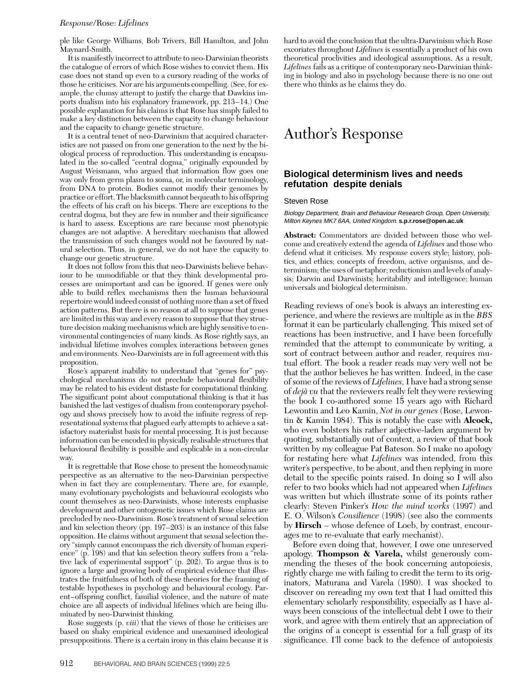#### *Response/*Rose: *Lifelines*

ple like George Williams, Bob Trivers, Bill Hamilton, and John Maynard-Smith.

It is manifestly incorrect to attribute to neo-Darwinian theorists the catalogue of errors of which Rose wishes to convict them. His case does not stand up even to a cursory reading of the works of those he criticises. Nor are his arguments compelling. (See, for example, the clumsy attempt to justify the charge that Dawkins imports dualism into his explanatory framework, pp. 213–14.) One possible explanation for his claims is that Rose has simply failed to make a key distinction between the capacity to change behaviour and the capacity to change genetic structure.

It is a central tenet of neo-Darwinism that acquired characteristics are not passed on from one generation to the next by the biological process of reproduction. This understanding is encapsulated in the so-called "central dogma," originally expounded by August Weismann, who argued that information flow goes one way only from germ plasm to soma, or, in molecular terminology, from DNA to protein. Bodies cannot modify their genomes by practice or effort. The blacksmith cannot bequeath to his offspring the effects of his craft on his biceps. There are exceptions to the central dogma, but they are few in number and their significance is hard to assess. Exceptions are rare because most phenotypic changes are not adaptive. A hereditary mechanism that allowed the transmission of such changes would not be favoured by natural selection. Thus, in general, we do not have the capacity to change our genetic structure.

It does not follow from this that neo-Darwinists believe behaviour to be unmodifiable or that they think developmental processes are unimportant and can be ignored. If genes were only able to build reflex mechanisms then the human behavioural repertoire would indeed consist of nothing more than a set of fixed action patterns. But there is no reason at all to suppose that genes are limited in this way and every reason to suppose that they structure decision making mechanisms which are highly sensitive to environmental contingencies of many kinds. As Rose rightly says, an individual lifetime involves complex interactions between genes and environments. Neo-Darwinists are in full agreement with this proposition.

Rose's apparent inability to understand that "genes for" psychological mechanisms do not preclude behavioural flexibility may be related to his evident distaste for computational thinking. The significant point about computational thinking is that it has banished the last vestiges of dualism from contemporary psychology and shows precisely how to avoid the infinite regress of representational systems that plagued early attempts to achieve a satisfactory materialist basis for mental processing. It is just because information can be encoded in physically realisable structures that behavioural flexibility is possible and explicable in a non-circular way.

It is regrettable that Rose chose to present the homeodynamic perspective as an alternative to the neo-Darwinian perspective when in fact they are complementary. There are, for example, many evolutionary psychologists and behavioural ecologists who count themselves as neo-Darwinists, whose interests emphasise development and other ontogenetic issues which Rose claims are precluded by neo-Darwinism. Rose's treatment of sexual selection and kin selection theory (pp. 197–203) is an instance of this false opposition. He claims without argument that sexual selection theory "simply cannot encompass the rich diversity of human experience" (p. 198) and that kin selection theory suffers from a "relative lack of experimental support" (p. 202). To argue thus is to ignore a large and growing body of empirical evidence that illustrates the fruitfulness of both of these theories for the framing of testable hypotheses in psychology and behavioural ecology. Parent–offspring conflict, familial violence, and the nature of mate choice are all aspects of individual lifelines which are being illuminated by neo-Darwinist thinking.

Rose suggests (p. *viii*) that the views of those he criticises are based on shaky empirical evidence and unexamined ideological presuppositions. There is a certain irony in this claim because it is hard to avoid the conclusion that the ultra-Darwinism which Rose excoriates throughout *Lifelines* is essentially a product of his own theoretical proclivities and ideological assumptions. As a result, *Lifelines* fails as a critique of contemporary neo-Darwinian thinking in biology and also in psychology because there is no one out there who thinks as he claims they do.

## Author's Response

## **Biological determinism lives and needs refutation despite denials**

#### Steven Rose

Biology Department, Brain and Behaviour Research Group, Open University, Milton Keynes MK7 6AA, United Kingdom. **s.p.r.rose@open.ac.uk**

**Abstract:** Commentators are divided between those who welcome and creatively extend the agenda of *Lifelines* and those who defend what it criticises. My response covers style; history, politics, and ethics; concepts of freedom, active organisms, and determinism; the uses of metaphor; reductionism and levels of analysis; Darwin and Darwinists; heritability and intelligence; human universals and biological determinism.

Reading reviews of one's book is always an interesting experience, and where the reviews are multiple as in the *BBS* format it can be particularly challenging. This mixed set of reactions has been instructive, and I have been forcefully reminded that the attempt to communicate by writing, a sort of contract between author and reader, requires mutual effort. The book a reader reads may very well not be that the author believes he has written. Indeed, in the case of some of the reviews of *Lifelines,*I have had a strong sense of *dejà vu* that the reviewers really felt they were reviewing the book I co-authored some 15 years ago with Richard Lewontin and Leo Kamin, *Not in our genes* (Rose, Lewontin & Kamin 1984). This is notably the case with **Alcock,** who even bolsters his rather adjective-laden argument by quoting, substantially out of context, a review of that book written by my colleague Pat Bateson. So I make no apology for restating here what *Lifelines* was intended, from this writer's perspective, to be about, and then replying in more detail to the specific points raised. In doing so I will also refer to two books which had not appeared when *Lifelines* was written but which illustrate some of its points rather clearly: Steven Pinker's *How the mind works* (1997) and E. O. Wilson's *Consilience* (1998) (see also the comments by **Hirsch** – whose defence of Loeb, by contrast, encourages me to re-evaluate that early mechanist).

Before even doing that, however, I owe one unreserved apology. **Thompson & Varela,** whilst generously commending the theses of the book concerning autopoiesis, rightly charge me with failing to credit the term to its originators, Maturana and Varela (1980). I was shocked to discover on rereading my own text that I had omitted this elementary scholarly responsibility, especially as I have always been conscious of the intellectual debt I owe to their work, and agree with them entirely that an appreciation of the origins of a concept is essential for a full grasp of its significance. I'll come back to the defence of autopoiesis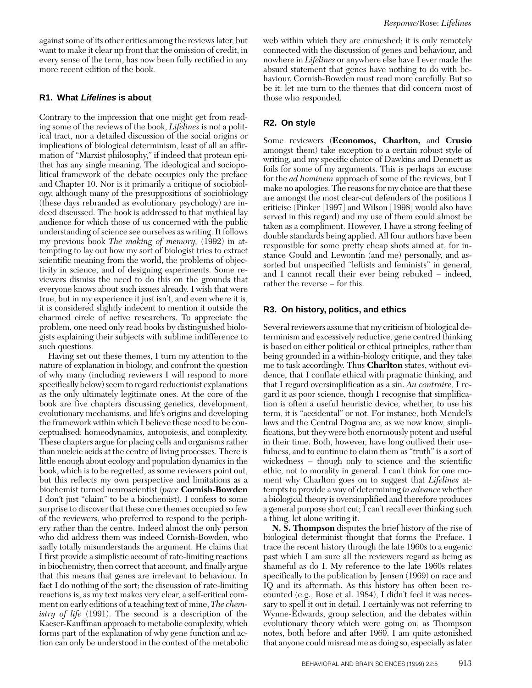against some of its other critics among the reviews later, but want to make it clear up front that the omission of credit, in every sense of the term, has now been fully rectified in any more recent edition of the book.

## **R1. What Lifelines is about**

Contrary to the impression that one might get from reading some of the reviews of the book, *Lifelines* is not a political tract, nor a detailed discussion of the social origins or implications of biological determinism, least of all an affirmation of "Marxist philosophy," if indeed that protean epithet has any single meaning. The ideological and sociopolitical framework of the debate occupies only the preface and Chapter 10. Nor is it primarily a critique of sociobiology, although many of the presuppositions of sociobiology (these days rebranded as evolutionary psychology) are indeed discussed. The book is addressed to that mythical lay audience for which those of us concerned with the public understanding of science see ourselves as writing. It follows my previous book *The making of memory,* (1992) in attempting to lay out how my sort of biologist tries to extract scientific meaning from the world, the problems of objectivity in science, and of designing experiments. Some reviewers dismiss the need to do this on the grounds that everyone knows about such issues already. I wish that were true, but in my experience it just isn't, and even where it is, it is considered slightly indecent to mention it outside the charmed circle of active researchers. To appreciate the problem, one need only read books by distinguished biologists explaining their subjects with sublime indifference to such questions.

Having set out these themes, I turn my attention to the nature of explanation in biology, and confront the question of why many (including reviewers I will respond to more specifically below) seem to regard reductionist explanations as the only ultimately legitimate ones. At the core of the book are five chapters discussing genetics, development, evolutionary mechanisms, and life's origins and developing the framework within which I believe these need to be conceptualised: homeodynamics, autopoiesis, and complexity. These chapters argue for placing cells and organisms rather than nucleic acids at the centre of living processes. There is little enough about ecology and population dynamics in the book, which is to be regretted, as some reviewers point out, but this reflects my own perspective and limitations as a biochemist turned neuroscientist (*pace* **Cornish-Bowden** I don't just "claim" to be a biochemist). I confess to some surprise to discover that these core themes occupied so few of the reviewers, who preferred to respond to the periphery rather than the centre. Indeed almost the only person who did address them was indeed Cornish-Bowden, who sadly totally misunderstands the argument. He claims that I first provide a simplistic account of rate-limiting reactions in biochemistry, then correct that account, and finally argue that this means that genes are irrelevant to behaviour. In fact I do nothing of the sort; the discussion of rate-limiting reactions is, as my text makes very clear, a self-critical comment on early editions of a teaching text of mine, *The chemistry of life* (1991). The second is a description of the Kacser-Kauffman approach to metabolic complexity, which forms part of the explanation of why gene function and action can only be understood in the context of the metabolic

web within which they are enmeshed; it is only remotely connected with the discussion of genes and behaviour, and nowhere in *Lifelines* or anywhere else have I ever made the absurd statement that genes have nothing to do with behaviour. Cornish-Bowden must read more carefully. But so be it: let me turn to the themes that did concern most of those who responded.

## **R2. On style**

Some reviewers (**Economos, Charlton,** and **Crusio** amongst them) take exception to a certain robust style of writing, and my specific choice of Dawkins and Dennett as foils for some of my arguments. This is perhaps an excuse for the *ad hominem* approach of some of the reviews, but I make no apologies. The reasons for my choice are that these are amongst the most clear-cut defenders of the positions I criticise (Pinker [1997] and Wilson [1998] would also have served in this regard) and my use of them could almost be taken as a compliment. However, I have a strong feeling of double standards being applied. All four authors have been responsible for some pretty cheap shots aimed at, for instance Gould and Lewontin (and me) personally, and assorted but unspecified "leftists and feminists" in general, and I cannot recall their ever being rebuked – indeed, rather the reverse – for this.

## **R3. On history, politics, and ethics**

Several reviewers assume that my criticism of biological determinism and excessively reductive, gene centred thinking is based on either political or ethical principles, rather than being grounded in a within-biology critique, and they take me to task accordingly. Thus **Charlton** states, without evidence, that I conflate ethical with pragmatic thinking, and that I regard oversimplification as a sin. *Au contraire,* I regard it as poor science, though I recognise that simplification is often a useful heuristic device, whether, to use his term, it is "accidental" or not. For instance, both Mendel's laws and the Central Dogma are, as we now know, simplifications, but they were both enormously potent and useful in their time. Both, however, have long outlived their usefulness, and to continue to claim them as "truth" is a sort of wickedness – though only to science and the scientific ethic, not to morality in general. I can't think for one moment why Charlton goes on to suggest that *Lifelines* attempts to provide a way of determining *in advance* whether a biological theory is oversimplified and therefore produces a general purpose short cut; I can't recall ever thinking such a thing, let alone writing it.

**N. S. Thompson** disputes the brief history of the rise of biological determinist thought that forms the Preface. I trace the recent history through the late 1960s to a eugenic past which I am sure all the reviewers regard as being as shameful as do I. My reference to the late 1960s relates specifically to the publication by Jensen (1969) on race and IQ and its aftermath. As this history has often been recounted (e.g., Rose et al. 1984), I didn't feel it was necessary to spell it out in detail. I certainly was not referring to Wynne-Edwards, group selection, and the debates within evolutionary theory which were going on, as Thompson notes, both before and after 1969. I am quite astonished that anyone could misread me as doing so, especially as later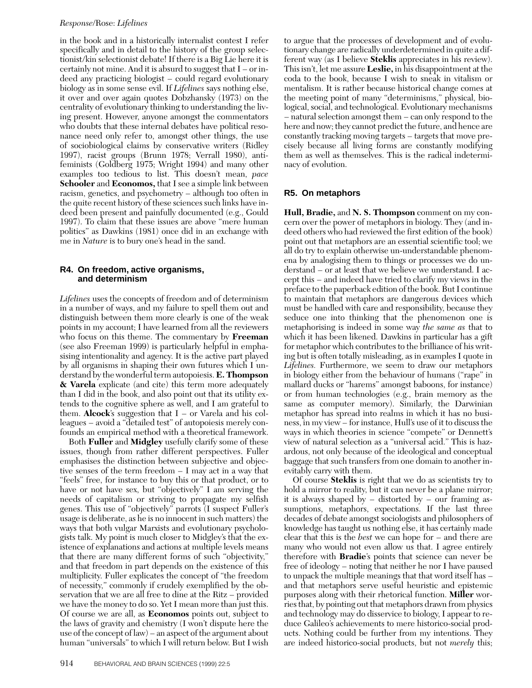## *Response*/Rose: *Lifelines*

in the book and in a historically internalist contest I refer specifically and in detail to the history of the group selectionist/kin selectionist debate! If there is a Big Lie here it is certainly not mine. And it is absurd to suggest that I – or indeed any practicing biologist – could regard evolutionary biology as in some sense evil. If *Lifelines* says nothing else, it over and over again quotes Dobzhansky (1973) on the centrality of evolutionary thinking to understanding the living present. However, anyone amongst the commentators who doubts that these internal debates have political resonance need only refer to, amongst other things, the use of sociobiological claims by conservative writers (Ridley 1997), racist groups (Brunn 1978; Verrall 1980), antifeminists (Goldberg 1975; Wright 1994) and many other examples too tedious to list. This doesn't mean, *pace* **Schooler** and **Economos,** that I see a simple link between racism, genetics, and psychometry – although too often in the quite recent history of these sciences such links have indeed been present and painfully documented (e.g., Gould 1997). To claim that these issues are above "mere human politics" as Dawkins (1981) once did in an exchange with me in *Nature* is to bury one's head in the sand.

## **R4. On freedom, active organisms, and determinism**

*Lifelines* uses the concepts of freedom and of determinism in a number of ways, and my failure to spell them out and distinguish between them more clearly is one of the weak points in my account; I have learned from all the reviewers who focus on this theme. The commentary by **Freeman** (see also Freeman 1999) is particularly helpful in emphasising intentionality and agency. It is the active part played by all organisms in shaping their own futures which I understand by the wonderful term autopoiesis. **E. Thompson & Varela** explicate (and cite) this term more adequately than I did in the book, and also point out that its utility extends to the cognitive sphere as well, and I am grateful to them. **Alcock**'s suggestion that I – or Varela and his colleagues – avoid a "detailed test" of autopoiesis merely confounds an empirical method with a theoretical framework.

Both **Fuller** and **Midgley** usefully clarify some of these issues, though from rather different perspectives. Fuller emphasises the distinction between subjective and objective senses of the term freedom – I may act in a way that "feels" free, for instance to buy this or that product, or to have or not have sex, but "objectively" I am serving the needs of capitalism or striving to propagate my selfish genes. This use of "objectively" parrots (I suspect Fuller's usage is deliberate, as he is no innocent in such matters) the ways that both vulgar Marxists and evolutionary psychologists talk. My point is much closer to Midgley's that the existence of explanations and actions at multiple levels means that there are many different forms of such "objectivity," and that freedom in part depends on the existence of this multiplicity. Fuller explicates the concept of "the freedom of necessity," commonly if crudely exemplified by the observation that we are all free to dine at the Ritz – provided we have the money to do so. Yet I mean more than just this. Of course we are all, as **Economos** points out, subject to the laws of gravity and chemistry (I won't dispute here the use of the concept of law) – an aspect of the argument about human "universals" to which I will return below. But I wish

to argue that the processes of development and of evolutionary change are radically underdetermined in quite a different way (as I believe **Steklis** appreciates in his review). This isn't, let me assure **Leslie,** in his disappointment at the coda to the book, because I wish to sneak in vitalism or mentalism. It is rather because historical change comes at the meeting point of many "determinisms," physical, biological, social, and technological. Evolutionary mechanisms – natural selection amongst them – can only respond to the here and now; they cannot predict the future, and hence are constantly tracking moving targets – targets that move precisely because all living forms are constantly modifying them as well as themselves. This is the radical indeterminacy of evolution.

## **R5. On metaphors**

**Hull, Bradie,** and **N. S. Thompson** comment on my concern over the power of metaphors in biology. They (and indeed others who had reviewed the first edition of the book) point out that metaphors are an essential scientific tool; we all do try to explain otherwise un-understandable phenomena by analogising them to things or processes we do understand – or at least that we believe we understand. I accept this – and indeed have tried to clarify my views in the preface to the paperback edition of the book. But I continue to maintain that metaphors are dangerous devices which must be handled with care and responsibility, because they seduce one into thinking that the phenomenon one is metaphorising is indeed in some way *the same as* that to which it has been likened. Dawkins in particular has a gift for metaphor which contributes to the brilliance of his writing but is often totally misleading, as in examples I quote in *Lifelines.* Furthermore, we seem to draw our metaphors in biology either from the behaviour of humans ("rape" in mallard ducks or "harems" amongst baboons, for instance) or from human technologies (e.g., brain memory as the same as computer memory). Similarly, the Darwinian metaphor has spread into realms in which it has no business, in my view – for instance, Hull's use of it to discuss the ways in which theories in science "compete" or Dennett's view of natural selection as a "universal acid." This is hazardous, not only because of the ideological and conceptual baggage that such transfers from one domain to another inevitably carry with them.

Of course **Steklis** is right that we do as scientists try to hold a mirror to reality, but it can never be a plane mirror; it is always shaped by – distorted by – our framing assumptions, metaphors, expectations. If the last three decades of debate amongst sociologists and philosophers of knowledge has taught us nothing else, it has certainly made clear that this is the *best* we can hope for – and there are many who would not even allow us that. I agree entirely therefore with **Bradie**'s points that science can never be free of ideology – noting that neither he nor I have paused to unpack the multiple meanings that that word itself has – and that metaphors serve useful heuristic and epistemic purposes along with their rhetorical function. **Miller** worries that, by pointing out that metaphors drawn from physics and technology may do disservice to biology, I appear to reduce Galileo's achievements to mere historico-social products. Nothing could be further from my intentions. They are indeed historico-social products, but not *merely* this;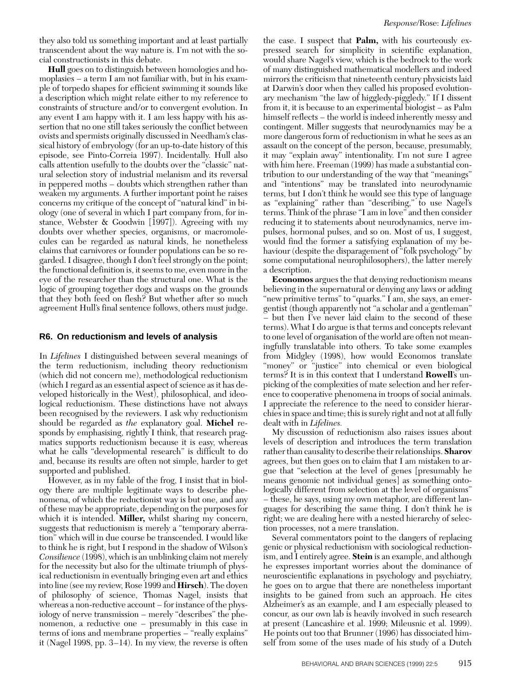they also told us something important and at least partially transcendent about the way nature is. I'm not with the social constructionists in this debate.

**Hull** goes on to distinguish between homologies and homoplasies – a term I am not familiar with, but in his example of torpedo shapes for efficient swimming it sounds like a description which might relate either to my reference to constraints of structure and/or to convergent evolution. In any event I am happy with it. I am less happy with his assertion that no one still takes seriously the conflict between ovists and spermists originally discussed in Needham's classical history of embryology (for an up-to-date history of this episode, see Pinto-Correia 1997). Incidentally. Hull also calls attention usefully to the doubts over the "classic" natural selection story of industrial melanism and its reversal in peppered moths – doubts which strengthen rather than weaken my arguments. A further important point he raises concerns my critique of the concept of "natural kind" in biology (one of several in which I part company from, for instance, Webster & Goodwin [1997]). Agreeing with my doubts over whether species, organisms, or macromolecules can be regarded as natural kinds, he nonetheless claims that carnivores or founder populations can be so regarded. I disagree, though I don't feel strongly on the point; the functional definition is, it seems to me, even more in the eye of the researcher than the structural one. What is the logic of grouping together dogs and wasps on the grounds that they both feed on flesh? But whether after so much agreement Hull's final sentence follows, others must judge.

## **R6. On reductionism and levels of analysis**

In *Lifelines* I distinguished between several meanings of the term reductionism, including theory reductionism (which did not concern me), methodological reductionism (which I regard as an essential aspect of science as it has developed historically in the West), philosophical, and ideological reductionism. These distinctions have not always been recognised by the reviewers. I ask why reductionism should be regarded as *the* explanatory goal. **Michel** responds by emphasising, rightly I think, that research pragmatics supports reductionism because it is easy, whereas what he calls "developmental research" is difficult to do and, because its results are often not simple, harder to get supported and published.

However, as in my fable of the frog, I insist that in biology there are multiple legitimate ways to describe phenomena, of which the reductionist way is but one, and any of these may be appropriate, depending on the purposes for which it is intended. **Miller,** whilst sharing my concern, suggests that reductionism is merely a "temporary aberration" which will in due course be transcended. I would like to think he is right, but I respond in the shadow of Wilson's *Consilience* (1998), which is an unblinking claim not merely for the necessity but also for the ultimate triumph of physical reductionism in eventually bringing even art and ethics into line (see my review, Rose 1999 and **Hirsch**). The doyen of philosophy of science, Thomas Nagel, insists that whereas a non-reductive account – for instance of the physiology of nerve transmission – merely "describes" the phenomenon, a reductive one – presumably in this case in terms of ions and membrane properties – "really explains" it (Nagel 1998, pp. 3–14). In my view, the reverse is often

the case. I suspect that **Palm,** with his courteously expressed search for simplicity in scientific explanation, would share Nagel's view, which is the bedrock to the work of many distinguished mathematical modellers and indeed mirrors the criticism that nineteenth century physicists laid at Darwin's door when they called his proposed evolutionary mechanism "the law of higgledy-piggledy." If I dissent from it, it is because to an experimental biologist – as Palm himself reflects – the world is indeed inherently messy and contingent. Miller suggests that neurodynamics may be a more dangerous form of reductionism in what he sees as an assault on the concept of the person, because, presumably, it may "explain away" intentionality. I'm not sure I agree with him here. Freeman (1999) has made a substantial contribution to our understanding of the way that "meanings" and "intentions" may be translated into neurodynamic terms, but I don't think he would see this type of language as "explaining" rather than "describing," to use Nagel's terms. Think of the phrase "I am in love" and then consider reducing it to statements about neurodynamics, nerve impulses, hormonal pulses, and so on. Most of us, I suggest, would find the former a satisfying explanation of my behaviour (despite the disparagement of "folk psychology" by some computational neurophilosophers), the latter merely a description.

**Economos** argues the that denying reductionism means believing in the supernatural or denying any laws or adding "new primitive terms" to "quarks." I am, she says, an emergentist (though apparently not "a scholar and a gentleman" – but then I've never laid claim to the second of these terms). What I do argue is that terms and concepts relevant to one level of organisation of the world are often not meaningfully translatable into others. To take some examples from Midgley (1998), how would Economos translate "money" or "justice" into chemical or even biological terms? It is in this context that I understand **Rowell**'s unpicking of the complexities of mate selection and her reference to cooperative phenomena in troops of social animals. I appreciate the reference to the need to consider hierarchies in space and time; this is surely right and not at all fully dealt with in *Lifelines.*

My discussion of reductionism also raises issues about levels of description and introduces the term translation rather than causality to describe their relationships. **Sharov** agrees, but then goes on to claim that I am mistaken to argue that "selection at the level of genes [presumably he means genomic not individual genes] as something ontologically different from selection at the level of organisms" – these, he says, using my own metaphor, are different languages for describing the same thing. I don't think he is right; we are dealing here with a nested hierarchy of selection processes, not a mere translation.

Several commentators point to the dangers of replacing genic or physical reductionism with sociological reductionism, and I entirely agree. **Stein** is an example, and although he expresses important worries about the dominance of neuroscientific explanations in psychology and psychiatry, he goes on to argue that there are nonetheless important insights to be gained from such an approach. He cites Alzheimer's as an example, and I am especially pleased to concur, as our own lab is heavily involved in such research at present (Lancashire et al. 1999; Mileusnic et al. 1999). He points out too that Brunner (1996) has dissociated himself from some of the uses made of his study of a Dutch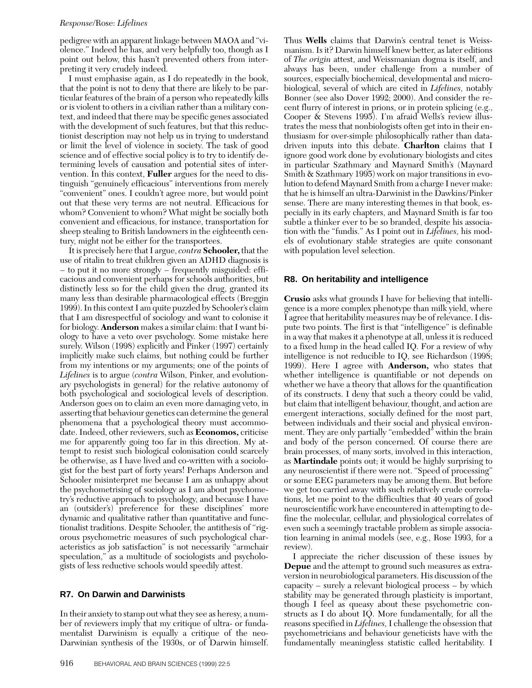## *Response*/Rose: *Lifelines*

pedigree with an apparent linkage between MAOA and "violence." Indeed he has, and very helpfully too, though as I point out below, this hasn't prevented others from interpreting it very crudely indeed.

I must emphasise again, as I do repeatedly in the book, that the point is not to deny that there are likely to be particular features of the brain of a person who repeatedly kills or is violent to others in a civilian rather than a military context, and indeed that there may be specific genes associated with the development of such features, but that this reductionist description may not help us in trying to understand or limit the level of violence in society. The task of good science and of effective social policy is to try to identify determining levels of causation and potential sites of intervention. In this context, **Fuller** argues for the need to distinguish "genuinely efficacious" interventions from merely "convenient" ones. I couldn't agree more, but would point out that these very terms are not neutral. Efficacious for whom? Convenient to whom? What might be socially both convenient and efficacious, for instance, transportation for sheep stealing to British landowners in the eighteenth century, might not be either for the transportees.

It is precisely here that I argue, *contra* **Schooler,** that the use of ritalin to treat children given an ADHD diagnosis is – to put it no more strongly – frequently misguided: efficacious and convenient perhaps for schools authorities, but distinctly less so for the child given the drug, granted its many less than desirable pharmacological effects (Breggin 1999). In this context I am quite puzzled by Schooler's claim that I am disrespectful of sociology and want to colonise it for biology. **Anderson** makes a similar claim: that I want biology to have a veto over psychology. Some mistake here surely. Wilson (1998) explicitly and Pinker (1997) certainly implicitly make such claims, but nothing could be further from my intentions or my arguments; one of the points of *Lifelines* is to argue (*contra* Wilson, Pinker, and evolutionary psychologists in general) for the relative autonomy of both psychological and sociological levels of description. Anderson goes on to claim an even more damaging veto, in asserting that behaviour genetics can determine the general phenomena that a psychological theory must accommodate. Indeed, other reviewers, such as **Economos,** criticise me for apparently going too far in this direction. My attempt to resist such biological colonisation could scarcely be otherwise, as I have lived and co-written with a sociologist for the best part of forty years! Perhaps Anderson and Schooler misinterpret me because I am as unhappy about the psychometrising of sociology as I am about psychometry's reductive approach to psychology, and because I have an (outsider's) preference for these disciplines' more dynamic and qualitative rather than quantitative and functionalist traditions. Despite Schooler, the antithesis of "rigorous psychometric measures of such psychological characteristics as job satisfaction" is not necessarily "armchair speculation," as a multitude of sociologists and psychologists of less reductive schools would speedily attest.

## **R7. On Darwin and Darwinists**

In their anxiety to stamp out what they see as heresy, a number of reviewers imply that my critique of ultra- or fundamentalist Darwinism is equally a critique of the neo-Darwinian synthesis of the 1930s, or of Darwin himself.

manism. Is it? Darwin himself knew better, as later editions of *The origin* attest, and Weissmanian dogma is itself, and always has been, under challenge from a number of sources, especially biochemical, developmental and microbiological, several of which are cited in *Lifelines,* notably Bonner (see also Dover 1992; 2000). And consider the recent flurry of interest in prions, or in protein splicing (e.g., Cooper & Stevens 1995). I'm afraid Wells's review illustrates the mess that nonbiologists often get into in their enthusiasm for over-simple philosophically rather than datadriven inputs into this debate. **Charlton** claims that I ignore good work done by evolutionary biologists and cites in particular Szathmary and Maynard Smith's (Maynard Smith & Szathmary 1995) work on major transitions in evolution to defend Maynard Smith from a charge I never make: that he is himself an ultra-Darwinist in the Dawkins/Pinker sense. There are many interesting themes in that book, especially in its early chapters, and Maynard Smith is far too subtle a thinker ever to be so branded, despite his association with the "fundis." As I point out in *Lifelines,* his models of evolutionary stable strategies are quite consonant with population level selection.

Thus **Wells** claims that Darwin's central tenet is Weiss-

## **R8. On heritability and intelligence**

**Crusio** asks what grounds I have for believing that intelligence is a more complex phenotype than milk yield, where I agree that heritability measures may be of relevance. I dispute two points. The first is that "intelligence" is definable in a way that makes it a phenotype at all, unless it is reduced to a fixed lump in the head called IQ. For a review of why intelligence is not reducible to IQ, see Richardson (1998; 1999). Here I agree with **Anderson,** who states that whether intelligence is quantifiable or not depends on whether we have a theory that allows for the quantification of its constructs. I deny that such a theory could be valid, but claim that intelligent behaviour, thought, and action are emergent interactions, socially defined for the most part, between individuals and their social and physical environment. They are only partially "embedded" within the brain and body of the person concerned. Of course there are brain processes, of many sorts, involved in this interaction, as **Martindale** points out; it would be highly surprising to any neuroscientist if there were not. "Speed of processing" or some EEG parameters may be among them. But before we get too carried away with such relatively crude correlations, let me point to the difficulties that 40 years of good neuroscientific work have encountered in attempting to define the molecular, cellular, and physiological correlates of even such a seemingly tractable problem as simple association learning in animal models (see, e.g., Rose 1993, for a review).

I appreciate the richer discussion of these issues by **Depue** and the attempt to ground such measures as extraversion in neurobiological parameters. His discussion of the capacity – surely a relevant biological process – by which stability may be generated through plasticity is important, though I feel as queasy about these psychometric constructs as I do about IQ. More fundamentally, for all the reasons specified in *Lifelines,*I challenge the obsession that psychometricians and behaviour geneticists have with the fundamentally meaningless statistic called heritability. I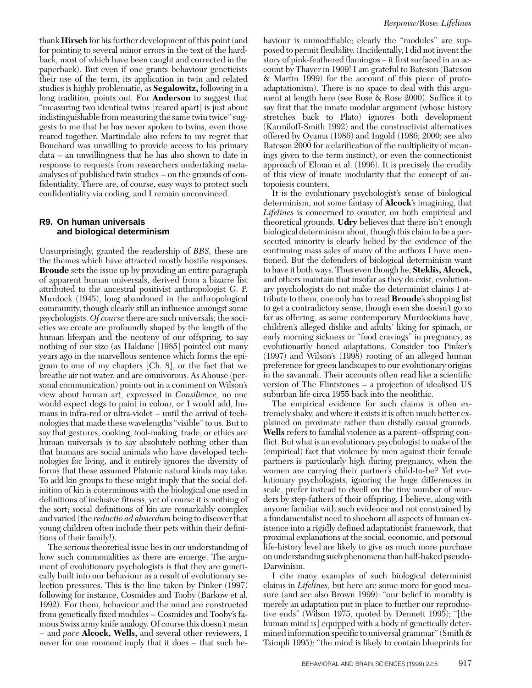thank **Hirsch** for his further development of this point (and for pointing to several minor errors in the text of the hardback, most of which have been caught and corrected in the paperback). But even if one grants behaviour geneticists their use of the term, its application in twin and related studies is highly problematic, as **Segalowitz,** following in a long tradition, points out. For **Anderson** to suggest that "measuring two identical twins [reared apart] is just about indistinguishable from measuring the same twin twice" suggests to me that he has never spoken to twins, even those reared together. Martindale also refers to my regret that Bouchard was unwilling to provide access to his primary data – an unwillingness that he has also shown to date in response to requests from researchers undertaking metaanalyses of published twin studies – on the grounds of confidentiality. There are, of course, easy ways to protect such confidentiality via coding, and I remain unconvinced.

## **R9. On human universals and biological determinism**

Unsurprisingly, granted the readership of *BBS,* these are the themes which have attracted mostly hostile responses. **Broude** sets the issue up by providing an entire paragraph of apparent human universals, derived from a bizarre list attributed to the ancestral positivist anthropologist G. P. Murdock (1945), long abandoned in the anthropological community, though clearly still an influence amongst some psychologists. *Of course* there are such universals; the societies we create are profoundly shaped by the length of the human lifespan and the neoteny of our offspring, to say nothing of our size (as Haldane [1985] pointed out many years ago in the marvellous sentence which forms the epigram to one of my chapters [Ch. 8], or the fact that we breathe air not water, and are omnivorous. As Ahouse (personal communication) points out in a comment on Wilson's view about human art, expressed in *Consilience,* no one would expect dogs to paint in colour, or I would add, humans in infra-red or ultra-violet – until the arrival of technologies that made these wavelengths "visible" to us. But to say that gestures, cooking, tool-making, trade, or ethics are human universals is to say absolutely nothing other than that humans are social animals who have developed technologies for living, and it entirely ignores the diversity of forms that these assumed Platonic natural kinds may take. To add kin groups to these might imply that the social definition of kin is coterminous with the biological one used in definitions of inclusive fitness, yet of course it is nothing of the sort; social definitions of kin are remarkably complex and varied (the *reductio ad absurdum* being to discover that young children often include their pets within their definitions of their family!).

The serious theoretical issue lies in our understanding of how such commonalities as there are emerge. The argument of evolutionary psychologists is that they are genetically built into our behaviour as a result of evolutionary selection pressures. This is the line taken by Pinker (1997) following for instance, Cosmides and Tooby (Barkow et al. 1992). For them, behaviour and the mind are constructed from genetically fixed modules – Cosmides and Tooby's famous Swiss army knife analogy. Of course this doesn't mean – and *pace* **Alcock, Wells,** and several other reviewers, I never for one moment imply that it does – that such be-

haviour is unmodifiable; clearly the "modules" are supposed to permit flexibility. (Incidentally, I did not invent the story of pink-feathered flamingos – it first surfaced in an account by Thayer in 1909! I am grateful to Bateson (Bateson & Martin 1999) for the account of this piece of protoadaptationism). There is no space to deal with this argument at length here (see Rose & Rose 2000). Suffice it to say first that the innate modular argument (whose history stretches back to Plato) ignores both development (Karmiloff-Smith 1992) and the constructivist alternatives offered by Oyama (1986) and Ingold (1986; 2000; see also Bateson 2000 for a clarification of the multiplicity of meanings given to the term instinct), or even the connectionist approach of Elman et al. (1996). It is precisely the crudity of this view of innate modularity that the concept of autopoiesis counters.

It is the evolutionary psychologist's sense of biological determinism, not some fantasy of **Alcock**'s imagining, that *Lifelines* is concerned to counter, on both empirical and theoretical grounds. **Udry** believes that there isn't enough biological determinism about, though this claim to be a persecuted minority is clearly belied by the evidence of the continuing mass sales of many of the authors I have mentioned. But the defenders of biological determinism want to have it both ways. Thus even though he, **Steklis, Alcock,** and others maintain that insofar as they do exist, evolutionary psychologists do not make the determinist claims I attribute to them, one only has to read **Broude**'s shopping list to get a contradictory sense, though even she doesn't go so far as offering, as some contemporary Murdockians have, children's alleged dislike and adults' liking for spinach, or early morning sickness or "food cravings" in pregnancy, as evolutionarily honed adaptations. Consider too Pinker's (1997) and Wilson's (1998) rooting of an alleged human preference for green landscapes to our evolutionary origins in the savannah. Their accounts often read like a scientific version of The Flintstones – a projection of idealised US suburban life circa 1955 back into the neolithic.

The empirical evidence for such claims is often extremely shaky, and where it exists it is often much better explained on proximate rather than distally causal grounds. **Wells** refers to familial violence as a parent–offspring conflict. But what is an evolutionary psychologist to make of the (empirical) fact that violence by men against their female partners is particularly high during pregnancy, when the women are carrying their partner's child-to-be? Yet evolutionary psychologists, ignoring the huge differences in scale, prefer instead to dwell on the tiny number of murders by step-fathers of their offspring. I believe, along with anyone familiar with such evidence and not constrained by a fundamentalist need to shoehorn all aspects of human existence into a rigidly defined adaptationist framework, that proximal explanations at the social, economic, and personal life-history level are likely to give us much more purchase on understanding such phenomena than half-baked pseudo-Darwinism.

I cite many examples of such biological determinist claims in *Lifelines,* but here are some more for good measure (and see also Brown 1999): "our belief in morality is merely an adaptation put in place to further our reproductive ends" (Wilson 1975, quoted by Dennett 1995); "[the human mind is] equipped with a body of genetically determined information specific to universal grammar" (Smith & Tsimpli 1995); "the mind is likely to contain blueprints for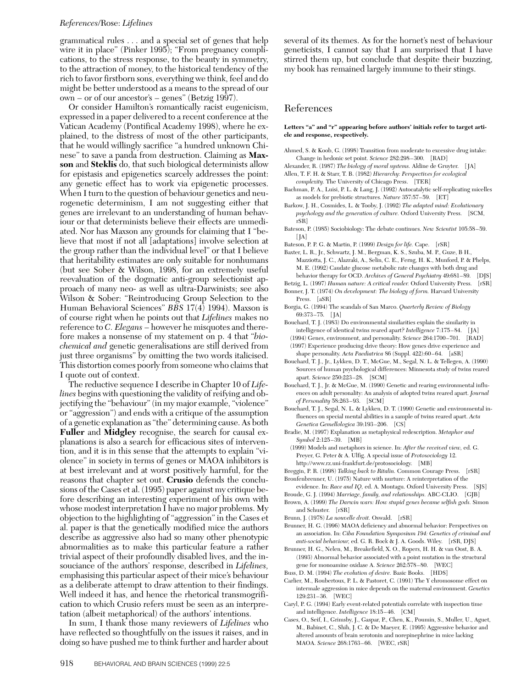### *References*/Rose: *Lifelines*

grammatical rules . . . and a special set of genes that help wire it in place" (Pinker 1995); "From pregnancy complications, to the stress response, to the beauty in symmetry, to the attraction of money, to the historical tendency of the rich to favor firstborn sons, everything we think, feel and do might be better understood as a means to the spread of our own – or of our ancestor's – genes" (Betzig 1997).

Or consider Hamilton's romantically racist eugenicism, expressed in a paper delivered to a recent conference at the Vatican Academy (Pontifical Academy 1998), where he explained, to the distress of most of the other participants, that he would willingly sacrifice "a hundred unknown Chinese" to save a panda from destruction. Claiming as **Maxson** and **Steklis** do, that such biological determinists allow for epistasis and epigenetics scarcely addresses the point: any genetic effect has to work via epigenetic processes. When I turn to the question of behaviour genetics and neurogenetic determinism, I am not suggesting either that genes are irrelevant to an understanding of human behaviour or that determinists believe their effects are unmediated. Nor has Maxson any grounds for claiming that I "believe that most if not all [adaptations] involve selection at the group rather than the individual level" or that I believe that heritability estimates are only suitable for nonhumans (but see Sober & Wilson, 1998, for an extremely useful reevaluation of the dogmatic anti-group selectionist approach of many neo- as well as ultra-Darwinists; see also Wilson & Sober: "Reintroducing Group Selection to the Human Behavioral Sciences" *BBS* 17(4) 1994). Maxson is of course right when he points out that *Lifelines* makes no reference to *C. Elegans* – however he misquotes and therefore makes a nonsense of my statement on p. 4 that "*biochemical and* genetic generalisations are still derived from just three organisms" by omitting the two words italicised. This distortion comes poorly from someone who claims that I quote out of context.

The reductive sequence I describe in Chapter 10 of *Lifelines* begins with questioning the validity of reifying and objectifying the "behaviour" (in my major example, "violence" or "aggression") and ends with a critique of the assumption of a genetic explanation as "the" determining cause. As both **Fuller** and **Midgley** recognise, the search for causal explanations is also a search for efficacious sites of intervention, and it is in this sense that the attempts to explain "violence" in society in terms of genes or MAOA inhibitors is at best irrelevant and at worst positively harmful, for the reasons that chapter set out. **Crusio** defends the conclusions of the Cases et al. (1995) paper against my critique before describing an interesting experiment of his own with whose modest interpretation I have no major problems. My objection to the highlighting of "aggression" in the Cases et al. paper is that the genetically modified mice the authors describe as aggressive also had so many other phenotypic abnormalities as to make this particular feature a rather trivial aspect of their profoundly disabled lives, and the insouciance of the authors' response, described in *Lifelines,* emphasising this particular aspect of their mice's behaviour as a deliberate attempt to draw attention to their findings. Well indeed it has, and hence the rhetorical transmogrification to which Crusio refers must be seen as an interpretation (albeit metaphorical) of the authors' intentions.

In sum, I thank those many reviewers of *Lifelines* who have reflected so thoughtfully on the issues it raises, and in doing so have pushed me to think further and harder about several of its themes. As for the hornet's nest of behaviour geneticists, I cannot say that I am surprised that I have stirred them up, but conclude that despite their buzzing, my book has remained largely immune to their stings.

## References

#### **Letters "a" and "r" appearing before authors' initials refer to target article and response, respectively.**

- Ahmed, S. & Koob, G. (1998) Transition from moderate to excessive drug intake: Change in hedonic set point. *Science* 282:298–300. [RAD]
- Alexander, R. (1987) *The biology of moral systems.* Aldine de Gruyter. [JA] Allen, T. F. H. & Starr, T. B. (1982) *Hierarchy: Perspectives for ecological*
- *complexity.* The University of Chicago Press. [TER] Bachman, P. A., Luisi, P. L. & Lang, J. (1992) Autocatalytic self-replicating micelles
- as models for prebiotic structures. *Nature* 357:57–59. [ET]
- Barkow, J. H., Cosmides, L. & Tooby, J. (1992) *The adapted mind: Evolutionary psychology and the generation of culture.* Oxford University Press. [SCM, rSR]
- Bateson, P. (1985) Sociobiology: The debate continues. *New Scientist* 105:58–59.  $[IA]$
- Bateson, P. P. G. & Martin, P. (1999) *Design for life.* Cape. [rSR]
- Baxter, L. R., Jr., Schwartz, J. M., Bergman, K. S., Szuba, M. P., Guze, B H., Mazziotta, J. C., Alazraki, A., Selin, C. E., Ferng, H. K., Munford, P. & Phelps, M. E. (1992) Caudate glucose metabolic rate changes with both drug and behavior therapy for OCD. *Archives of General Psychiatry* 49:681–89. [DJS]
- Betzig, L. (1997) *Human nature: A critical reader.* Oxford University Press. [rSR]
- Bonner, J. T. (1974) *On development: The biology of form.* Harvard University Press. [aSR]
- Borgia, G. (1994) The scandals of San Marco. *Quarterly Review of Biology* 69:373–75. [JA]
- Bouchard, T. J. (1983) Do environmental similarities explain the similarity in intelligence of identical twins reared apart? *Intelligence* 7:175–84. [JA]
- (1994) Genes, environment, and personality. *Science* 264:1700–701. [RAD] (1997) Experience producing drive theory: How genes drive experience and shape personality. *Acta Paediatrica* 86 (Suppl. 422):60–64. [aSR]
- Bouchard, T. J., Jr., Lykken, D. T., McGue, M., Segal, N. L. & Tellegen, A. (1990) Sources of human psychological differences: Minnesota study of twins reared apart. *Science* 250:223–28. [SCM]
- Bouchard, T. J., Jr. & McGue, M. (1990) Genetic and rearing environmental influences on adult personality: An analysis of adopted twins reared apart. *Journal of Personality* 58:263–93. [SCM]
- Bouchard, T. J., Segal, N. L. & Lykken, D. T. (1990) Genetic and environmental influences on special mental abilities in a sample of twins reared apart. *Acta Genetica Gemellologica* 39:193–206. [CS]
- Bradie, M. (1997) Explanation as metaphysical redescription. *Metaphor and Symbol* 2:125–39. [MB]
	- (1999) Models and metaphors in science. In: *After the received view,* ed. G. Preyer, G. Peter & A. Ulfig. A special issue of *Protosociology* 12. http://www.rz.uni-frankfurt.de/protosociology. [MB]
- Breggin, P. R. (1998) *Talking back to Ritalin.* Common Courage Press. [rSR] Bronfenbrenner, U. (1975) Nature with nurture: A reinterpretation of the
- evidence. In: *Race and IQ,* ed. A. Montagu. Oxford University Press. [SJS]
- Broude, G. J. (1994) *Marriage, family, and relationships.* ABC-CLIO. [GJB] Brown, A. (1999) *The Darwin wars: How stupid genes became selfish gods.* Simon
- and Schuster. [rSR] Brunn, J. (1978) *La nouvelle droit.* Oswald. [rSR]
- Brunner, H. G. (1996) MAOA deficiency and abnormal behavior: Perspectives on
- an association. In: *Ciba Foundation Symposium 194: Genetics of criminal and anti-social behaviour,* ed. G. R. Bock & J. A. Goods. Wiley. [rSR, DJS]
- Brunner, H. G., Nelen, M., Breakefield, X. O., Ropers, H. H. & van Oost, B. A. (1993) Abnormal behavior associated with a point mutation in the structural gene for monoamine oxidase A. *Science* 262:578–80. [WEC]
- Buss, D. M. (1994) *The evolution of desire.* Basic Books. [HDS]
- Carlier, M., Roubertoux, P. L. & Pastoret, C. (1991) The Y chromosome effect on intermale aggression in mice depends on the maternal environment. *Genetics* 129:231–36. [WEC]
- Caryl, P. G. (1994) Early event-related potentials correlate with inspection time and intelligence. *Intelligence* 18:15–46. [CM]
- Cases, O., Seif, I., Grimsby, J., Gaspar, P., Chen, K., Poumin, S., Muller, U., Aguet, M., Babinet, C., Shih, J. C. & De Maeyer, E. (1995) Aggressive behavior and altered amounts of brain serotonin and norepinephrine in mice lacking MAOA. *Science* 268:1763–66. [WEC, rSR]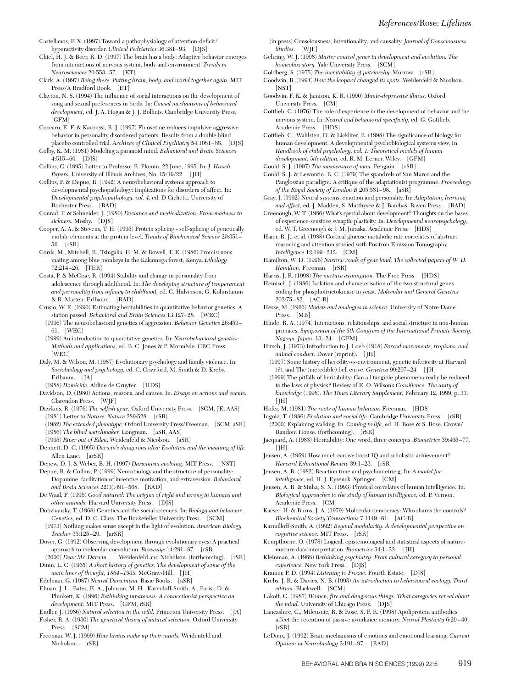- Castellanos, F. X. (1997) Toward a pathophysiology of attention-deficit/ hyperactivity disorder. *Clinical Pedriatrics* 36:381–93. [DJS]
- Chiel, H. J. & Beer, R. D. (1997) The brain has a body: Adaptive behavior emerges from interactions of nervous system, body and environment. *Trends in Neurosciences* 20:553–57. [ET]
- Clark, A. (1997) *Being there: Putting brain, body, and world together again.* MIT Press/A Bradford Book. [ET]
- Clayton, N. S. (1994) The influence of social interactions on the development of song and sexual preferences in birds. In: *Causal mechanisms of behavioral development,* ed. J. A. Hogan & J. J. Bolhuis. Cambridge University Press. [GFM]
- Coccaro, E. F. & Kavoussi, R. J. (1997) Fluoxetine reduces impulsive aggressive behavior in personality disordered patients: Results from a double blind placebo controlled trial. *Archives of Clinical Psychiatry* 54:1081–88. [DJS]
- Colby, K. M. (1981) Modeling a paranoid mind. *Behavioral and Brain Sciences* 4:515–60. [DJS]
- Collins, C. (1995) Letter to Professor R. Plomin, 22 June, 1995. In: *J. Hirsch Papers,* University of Illinois Archives, No. 15/19/22. [JH]
- Collins, P. & Depue, R. (1992) A neurobehavioral systems approach to developmental psychopathology: Implications for disorders of affect. In: *Developmental psychopathology, vol. 4,* ed. D Cichetti. University of Rochester Press. [RAD]
- Conrad, P. & Schneider, J. (1980) *Deviance and medicalization: From madness to sickness.* Mosby. [DJS]
- Cooper, A. A. & Stevens, T. H. (1995) Protein splicing self-splicing of genetically mobile elements at the protein level. *Trends of Biochemical Science* 20:351– 56. [rSR]
- Cords, M., Mitchell, B., Tsingalia, H. M. & Rowell, T. E. (1986) Promiscuous mating among blue monkeys in the Kakamega forest, Kenya. *Ethology* 72:214–26. [TER]
- Costa, P. & McCrae, R. (1994) Stability and change in personality from adolescence through adulthood. In: *The developing structure of temperament and personality from infancy to childhood,* ed. C. Halverson, G. Kohnstamm & R. Marten. Erlbaum. [RAD]
- Crusio, W. E. (1990) Estimating heritabilities in quantitative behavior genetics: A station passed. *Behavioral and Brain Sciences* 13:127–28. [WEC]
- (1996) The neurobehavioral genetics of aggression. *Behavior Genetics* 26:459– 61. [WEC]
- (1999) An introduction to quantitative genetics. In: *Neurobehavioral genetics: Methods and applications,* ed. B. C. Jones & P. Mormède. CRC Press. [WEC]
- Daly, M. & Wilson, M. (1987) Evolutionary psychology and family violence. In: *Sociobiology and psychology,* ed. C. Crawford, M. Smith & D. Krebs. Erlbaum. [JA]
	- (1988) *Homicide.* Aldine de Gruyter. [HDS]
- Davidson, D. (1980) Actions, reasons, and causes. In: *Essays on actions and events.* Clarendon Press. [WJF]
- Dawkins, R. (1976) *The selfish gene.* Oxford University Press. [SCM, JE, AAS] (1981) Letter to *Nature. Nature* 289:528. [rSR]
- (1982) *The extended phenotype.* Oxford University Press/Freeman. [SCM, aSR] (1986) *The blind watchmaker.* Longman. [aSR, AAS]
- (1995) *River out of Eden.* Weidenfeld & Nicolson. [aSR]
- Dennett, D. C. (1995) *Darwin's dangerous idea: Evolution and the meaning of life.* Allen Lane. [arSR]
- Depew, D. J. & Weber, B. H. (1997) *Darwinism evolving.* MIT Press. [NST]
- Depue, R. & Collins, P. (1999) Neurobiology and the structure of personality: Dopamine, facilitation of incentive motivation, and extraversion. *Behavioral and Brain Sciences* 22(3):491–568. [RAD]
- De Waal, F. (1996) *Good natured: The origins of right and wrong in humans and other animals.* Harvard University Press. [DJS]
- Dobzhansky, T. (1968) Genetics and the social sciences. In: *Biology and behavior: Genetics,* ed. D. C. Glass. The Rockefeller University Press. [SCM] (1973) Nothing makes sense except in the light of evolution. *American Biology Teacher* 35:125–29. [arSR]
- Dover, G. (1992) Observing development through evolutionary eyes: A practical approach to molecular coevolution. *Bioessays* 14:281–87. [rSR]
- (2000) *Dear Mr. Darwin. . . .* Weidenfeld and Nicholson. (forthcoming). [rSR] Dunn, L. C. (1965) *A short history of genetics: The development of some of the*
- *main lines of thought, 1864–1939.* McGraw-Hill. [JH] Edelman, G. (1987) *Neural Darwinism.* Basic Books. [aSR]
- Elman, J. L., Bates, E. A., Johnson, M. H., Karmiloff-Smith, A., Parisi, D. & Plunkett, K. (1996) *Rethinking innateness: A connectionist perspective on development.* MIT Press. [GFM, rSR]
- Endler, J. (1986) *Natural selection in the wild.* Princeton University Press. [JA]
- Fisher, R. A. (1930) *The genetical theory of natural selection.* Oxford University Press. [SCM]
- Freeman, W. J. (1999) *How brains make up their minds.* Weidenfeld and Nicholson. [rSR]
- (in press) Consciousness, intentionality, and causality. *Journal of Consciousness Studies.* [WJF]
- Gehring, W. J. (1998) *Master control genes in development and evolution: The homeobox story.* Yale University Press. [SCM]
- Goldberg, S. (1975) *The inevitability of patriarchy.* Morrow. [rSR]
- Goodwin, B. (1994) *How the leopard changed its spots.* Weidenfeld & Nicolson. [NST]
- Goodwin, F. K. & Jamison, K. R. (1990) *Manic-depressive illness.* Oxford University Press. [CM]
- Gottlieb, G. (1976) The role of experience in the development of behavior and the nervous system. In: *Neural and behavioral specificity,* ed. G. Gottlieb. Academic Press. [HDS]
- Gottlieb, G., Wahlsten, D. & Lickliter, R. (1998) The significance of biology for human development: A developmental psychobiological systems view. In: *Handbook of child psychology, vol. 1: Theoretical models of human development, 5th edition,* ed. R. M. Lerner. Wiley. [GFM]
- Gould, S. J. (1997) *The mismeasure of man.* Penguin. [rSR]
- Gould, S. J. & Lewontin, R. C. (1979) The spandrels of San Marco and the Panglossian paradigm: A critique of the adaptationist programme. *Proceedings of the Royal Society of London B* 205:581–98. [aSR]
- Gray, J. (1992) Neural systems, emotion and personality. In: *Adaptation, learning and affect,* ed. J. Madden, S. Matthysee & J. Barchas. Raven Press. [RAD]
- Greenough, W. T. (1986) What's special about development? Thoughts on the bases of experience-sensitive synaptic plasticity. In: *Developmental neuropsychology,* ed. W. T. Greenough & J. M. Juraska. Academic Press. [HDS]
- Haier, R. J., et al. (1988) Cortical glucose metabolic rate correlates of abstract reasoning and attention studied with Positron Emission Tomography. *Intelligence* 12:199–212. [CM]
- Hamilton, W. D. (1996) *Narrow roads of gene land: The collected papers of W. D. Hamilton.* Freeman. [rSR]
- Harris, J. R. (1998) *The nurture assumption.* The Free Press. [HDS]
- Heinisch, J. (1986) Isolation and characterisation of the two structural genes coding for phosphofructokinase in yeast. *Molecular and General Genetics* 202:75–82. [AC-B]
- Hesse, M. (1966) *Models and analogies in science.* University of Notre Dame Press. [MB]
- Hinde, R. A. (1974) Interactions, relationships, and social structure in non-human primates. *Symposium of the 5th Congress of the International Primate Society, Nagoya, Japan,* 13–24. [GFM]
- Hirsch, J. (1973) Introduction to J. Loeb (1918) *Forced movements, tropisms, and animal conduct.* Dover (reprint). [JH]
- (1997) Some history of heredity-vs-environment, genetic inferiority at Harvard (?), and The (incredible) bell curve. *Genetica* 99:207–24. [JH]
- (1999) The pitfalls of heritability: Can all tangible phenomena really be reduced to the laws of physics? Review of E. O. Wilson's *Consilience: The unity of knowledge* (1998). *The Times Literary Supplement,* February 12, 1999, p. 33.  $[$  $[$  $[$  $]$  $[$  $]$  $[$  $]$  $[$  $]$  $[$  $]$  $[$  $]$  $[$  $]$  $[$  $]$  $[$  $]$  $[$  $]$  $[$  $]$  $[$  $]$  $[$  $]$  $[$  $]$  $[$  $]$  $[$  $]$  $[$  $]$  $[$  $]$  $[$  $]$  $[$  $]$  $[$  $]$  $[$  $]$  $[$  $]$  $[$  $]$  $[$  $]$  $[$  $]$  $[$  $]$  $[$  $]$  $[$  $]$  $[$  $]$  $[$  $]$  $[$  $]$  $[$  $]$  $[$  $]$  $[$  $]$  $[$  $]$
- Hofer, M. (1981) *The roots of human behavior.* Freeman. [HDS]
- Ingold, T. (1986) *Evolution and social life.* Cambridge University Press. [rSR] (2000) Explaining walking. In: *Coming to life,* ed. H. Rose & S. Rose. Crown/ Random House. (forthcoming). [rSR]
- Jacquard, A. (1983) Heritability: One word, three concepts. *Biometrics* 39:465–77. [JH]
- Jensen, A. (1969) How much can we boost IQ and scholastic achievement? *Harvard Educational Review* 39:1–23. [rSR]
- Jensen, A. R. (1982) Reaction time and psychometric g. In: *A model for intelligence,* ed. H. J. Eysenck. Springer. [CM]
- Jensen, A. R. & Sinha, S. N. (1993) Physical correlates of human intelligence. In: *Biological approaches to the study of human intelligence,* ed. P. Vernon. Academic Press. [CM]
- Kacser, H. & Burns, J. A. (1979) Molecular democracy: Who shares the controls? *Biochemical Society Transactions* 7:1149–61. [AC-B]
- Karmilloff-Smith, A. (1992) *Beyond modularity: A developmental perspective on cognitive science.* MIT Press. [rSR]
- Kempthorne, O. (1978) Logical, epistemological and statistical aspects of naturenurture data interpretation. *Biometrics* 34:1–23. [JH]
- Kleinman, A. (1988) *Rethinking psychiatry: From cultural category to personal experience.* New York Press. [DJS]
- Kramer, P. D. (1994) *Listening to Prozac.* Fourth Estate. [DJS]
- Krebs, J. R. & Davies, N. B. (1993) *An introduction to behavioural ecology. Third edition.* Blackwell. [SCM]
- Lakoff, G. (1987) *Women, fire and dangerous things: What categories reveal about the mind.* University of Chicago Press. [DJS]
- Lancashire, C., Mileusnic, R. & Rose, S. P. R. (1998) Apoliprotein antibodies
- affect the retention of passive avoidance memory. *Neural Plasticity* 6:29–40. [rSR]
- LeDoux, J. (1992) Brain mechanisms of emotions and emotional learning. *Current Opinion in Neurobiology* 2:191–97. [RAD]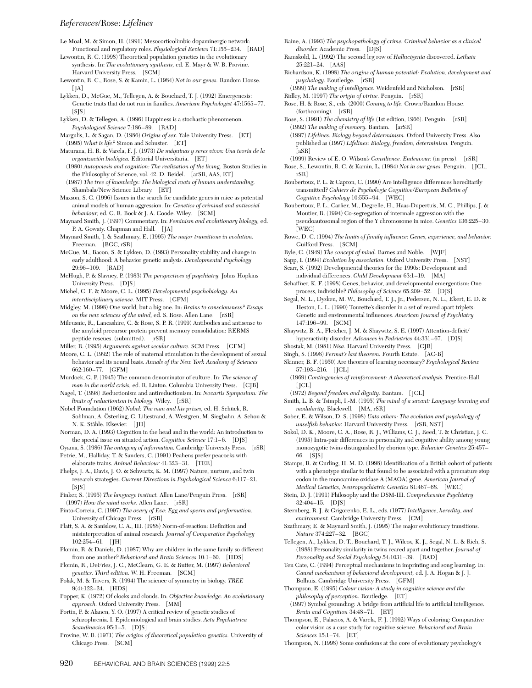### *References*/Rose: *Lifelines*

- Le Moal, M. & Simon, H. (1991) Mesocorticolimbic dopaminergic network: Functional and regulatory roles. *Physiological Reviews* 71:155–234. [RAD]
- Lewontin, R. C. (1998) Theoretical population genetics in the evolutionary synthesis. In: *The evolutionary synthesis,* ed. E. Mayr & W. B. Provine. Harvard University Press. [SCM]
- Lewontin, R. C., Rose, S. & Kamin, L. (1984) *Not in our genes.* Random House.  $[$ [ $A$ ]
- Lykken, D., McGue, M., Tellegen, A. & Bouchard, T. J. (1992) Emergenesis: Genetic traits that do not run in families. *American Psychologist* 47:1565–77. [SJS]
- Lykken, D. & Tellegen, A. (1996) Happiness is a stochastic phenomenon. *Psychological Science* 7:186–89. [RAD]
- Margulis, L. & Sagan, D. (1986) *Origins of sex.* Yale University Press. [ET] (1995) *What is life?* Simon and Schuster. [ET]
- Maturana, H. R. & Varela, F. J. (1973) *De máquinas y seres vivos: Una teoría de la organización biológica.* Editorial Universitaria. [ET]
- (1980) *Autopoiesis and cognition: The realization of the living.* Boston Studies in the Philosophy of Science, vol. 42. D. Reidel. [arSR, AAS, ET]
- (1987) *The tree of knowledge: The biological roots of human understanding.* Shambala/New Science Library. [ET]
- Maxson, S. C. (1996) Issues in the search for candidate genes in mice as potential animal models of human aggression. In: *Genetics of criminal and antisocial behaviour,* ed. G. R. Bock & J. A. Goode. Wiley. [SCM]
- Maynard Smith, J. (1997) Commentary. In: *Feminism and evolutionary biology,* ed. P. A. Gowaty. Chapman and Hall. [JA]
- Maynard Smith, J. & Szathmary, E. (1995) *The major transitions in evolution.* Freeman. [BGC, rSR]
- McGue, M., Bacon, S. & Lykken, D. (1993) Personality stability and change in early adulthood: A behavior genetic analysis. *Developmental Psychology* 29:96–109. [RAD]
- McHugh, P. & Slavney, P. (1983) *The perspectives of psychiatry.* Johns Hopkins University Press. [DJS]
- Michel, G. F. & Moore, C. L. (1995) *Developmental psychobiology: An interdisciplinary science.* MIT Press. [GFM]
- Midgley, M. (1998) One world, but a big one. In: *Brains to consciousness? Essays on the new sciences of the mind,* ed. S. Rose. Allen Lane. [rSR]

Mileusnic, R., Lancashire, C. & Rose, S. P. R. (1999) Antibodies and antisense to the amyloid precursor protein prevent memory consolidation: RERMS peptide rescues. (submitted). [rSR]

- Miller, R. (1995) *Arguments against secular culture.* SCM Press. [GFM]
- Moore, C. L. (1992) The role of maternal stimulation in the development of sexual behavior and its neural basis. *Annals of the New York Academy of Sciences* 662:160–77. [GFM]
- Murdock, G. P. (1945) The common denominator of culture. In: *The science of man in the world crisis, ed. R. Linton. Columbia University Press.* [GJB]
- Nagel, T. (1998) Reductionism and antireductionism. In: *Novartis Symposium: The limits of reductionism in biology.* Wiley. [rSR]
- Nobel Foundation (1962) *Nobel: The man and his prizes,* ed. H. Schück, R. Sohlman, A. Österling, G. Liljestrand, A. Westgren, M. Siegbahn, A. Schou & N. K. Ståhle. Elsevier. [JH]
- Norman, D. A. (1993) Cognition in the head and in the world: An introduction to the special issue on situated action. *Cognitive Science* 17:1–6. [DJS]
- Oyama, S. (1986) *The ontogeny of information.* Cambridge University Press. [rSR] Petrie, M., Halliday, T. & Sanders, C. (1991) Peahens prefer peacocks with
- elaborate trains. *Animal Behaviour* 41:323–31. [TER] Phelps, J. A., Davis, J. O. & Schwartz, K. M. (1997) Nature, nurture, and twin
- research strategies. *Current Directions in Psychological Science* 6:117–21.  $[S]$
- Pinker, S. (1995) *The language instinct.* Allen Lane/Penguin Press. [rSR] (1997) *How the mind works.* Allen Lane. [rSR]
- Pinto-Correia, C. (1997) *The ovary of Eve: Egg and sperm and preformation.* University of Chicago Press. [rSR]
- Platt, S. A. & Sanislow, C. A., III. (1988) Norm-of-reaction: Definition and misinterpretation of animal research. *Journal of Comparative Psychology* 102:254–61. [JH]
- Plomin, R. & Daniels, D. (1987) Why are children in the same family so different from one another? *Behavioral and Brain Sciences* 10:1–60. [HDS]
- Plomin, R., DeFries, J. C., McClearn, G. E. & Rutter, M. (1997) *Behavioral genetics. Third edition.* W. H. Freeman. [SCM]
- Polak, M. & Trivers, R. (1994) The science of symmetry in biology. *TREE* 9(4):122–24. [HDS]
- Popper, K. (1972) Of clocks and clouds. In: *Objective knowledge: An evolutionary approach.* Oxford University Press. [MM]
- Portin, P. & Alanen, Y. O. (1997) A critical review of genetic studies of schizophrenia. I. Epidemiological and brain studies. *Acta Psychiatrica Scandinavica* 95:1–5. [DJS]
- Provine, W. B. (1971) *The origins of theoretical population genetics.* University of Chicago Press. [SCM]
- Raine, A. (1993) *The psychopathology of crime: Criminal behavior as a clinical disorder.* Academic Press. [DJS]
- Ramskold, L. (1992) The second leg row of *Hallucigenia* discovered. *Lethaia* 25:221–24. [AAS]
- Richardson, K. (1998) *The origins of human potential: Evolution, development and psychology.* Routledge. [rSR]

(1999) *The making of intelligence.* Weidenfeld and Nicholson. [rSR] Ridley, M. (1997) *The origin of virtue.* Penguin. [rSR]

- Rose, H. & Rose, S., eds. (2000) *Coming to life.* Crown/Random House. (forthcoming). [rSR]
- Rose, S. (1991) *The chemistry of life* (1st edition, 1966). Penguin. [rSR] (1992) *The making of memory.* Bantam. [arSR]
- (1997) *Lifelines: Biology beyond determinism.* Oxford University Press. Also published as (1997) *Lifelines: Biology, freedom, determinism.* Penguin. [aSR]
- (1999) Review of E. O. Wilson's *Consilience. Endeavour.* (in press). [rSR] Rose, S., Lewontin, R. C. & Kamin, L. (1984) *Not in our genes.* Penguin. [JCL, rSR]
- Roubertoux, P. L. & Capron, C. (1990) Are intelligence differences hereditarily transmitted? *Cahiers de Psychologie Cognitive/European Bulletin of Cognitive Psychology* 10:555–94. [WEC]
- Roubertoux, P. L., Carlier, M., Degrelle, H., Haas-Dupertuis, M. C., Phillips, J. & Moutier, R. (1994) Co-segregation of intermale aggression with the pseudoautosomal region of the Y chromosome in mice. *Genetics* 136:225–30. [WEC]
- Rowe, D. C. (1994) *The limits of family influence: Genes, experience, and behavior.* Guilford Press. [SCM]
- Ryle, G. (1949) *The concept of mind.* Barnes and Noble. [WJF]
- Sapp, I. (1994) *Evolution by association.* Oxford University Press. [NST]
- Scarr, S. (1992) Developmental theories for the 1990s: Development and individual differences. *Child Development* 63:1–19. [MA]
- Schaffner, K. F. (1998) Genes, behavior, and developmental emergentism: One process, indivisible? *Philosophy of Science* 65:209–52. [DJS]
- Segal, N. L., Dysken, M. W., Bouchard, T. J., Jr., Pedersen, N. L., Ekert, E. D. & Heston, L. L. (1990) Tourette's disorder in a set of reared apart triplets: Genetic and environmental influences. *American Journal of Psychiatry* 147:196–99. [SCM]
- Shaywitz, B. A., Fletcher, J. M. & Shaywitz, S. E. (1997) Attention-deficit/ hyperactivity disorder. *Advances in Pedriatrics* 44:331–67. [DJS]
- Shostak, M. (1981) *Nisa.* Harvard University Press. [GJB]
- Singh, S. (1998) *Fermat's last theorem.* Fourth Estate. [AC-B]
- Skinner, B. F. (1950) Are theories of learning necessary? *Psychological Review* 57:193–216. [JCL]
	- (1969) *Contingencies of reinforcement: A theoretical analysis.* Prentice-Hall.  $\lfloor | \text{ICL} | \rfloor$

(1972) *Beyond freedom and dignity.* Bantam. [JCL]

- Smith, L. B. & Tsimpli, I.-M. (1995) *The mind of a savant: Language learning and modularity.* Blackwell. [MA, rSR]
- Sober, E. & Wilson, D. S. (1998) *Unto others: The evolution and psychology of unselfish behavior.* Harvard University Press. [rSR, NST]
- Sokol, D. K., Moore, C. A., Rose, R. J., Williams, C. J., Reed, T. & Christian, J. C. (1995) Intra-pair differences in personality and cognitive ability among young monozygotic twins distinguished by chorion type. *Behavior Genetics* 25:457– 66. [SJS]
- Stamps, R. & Gurling, H. M. D. (1998) Identification of a British cohort of patients with a phenotype similar to that found to be associated with a premature stop codon in the monoamine oxidase A (MAOA) gene. *American Journal of Medical Genetics, Neuropsychiatric Genetics* 81:467–68. [WEC]
- Stein, D. J. (1991) Philosophy and the DSM-III. *Comprehensive Psychiatry* 32:404–15. [DJS]
- Sternberg, R. J. & Grigorenko, E. L., eds. (1977) *Intelligence, heredity, and environment.* Cambridge University Press. [CM]
- Szathmary, E. & Maynard Smith, J. (1995) The major evolutionary transitions. *Nature* 374:227–32. [BGC]
- Tellegen, A., Lykken, D. T., Bouchard, T. J., Wilcox, K. J., Segal, N. L. & Rich, S. (1988) Personality similarity in twins reared apart and together. *Journal of Personality and Social Psychology* 54:1031–39. [RAD]
- Ten Cate, C. (1994) Perceptual mechanisms in imprinting and song learning. In: *Causal mechanisms of behavioral development,* ed. J. A. Hogan & J. J. Bolhuis. Cambridge University Press. [GFM]
- Thompson, E. (1995) *Colour vision: A study in cognitive science and the philosophy of perception.* Routledge. [ET]
- (1997) Symbol grounding: A bridge from artificial life to artificial intelligence. *Brain and Cognition* 34:48–71. [ET]
- Thompson, E., Palacios, A. & Varela, F. J. (1992) Ways of coloring: Comparative color vision as a case study for cognitive science. *Behavioral and Brain Sciences* 15:1–74. [ET]
- Thompson, N. (1998) Some confusions at the core of evolutionary psychology's